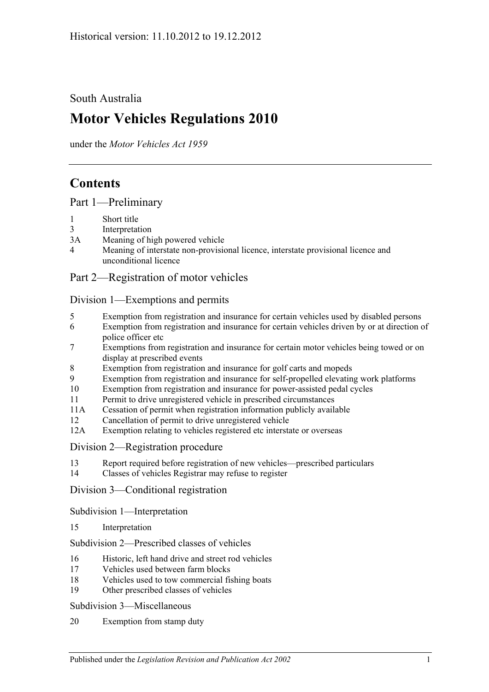South Australia

# **Motor Vehicles Regulations 2010**

under the *Motor Vehicles Act 1959*

# **Contents**

[Part 1—Preliminary](#page-6-0)

- 1 [Short title](#page-6-1)
- 3 [Interpretation](#page-6-2)
- 3A [Meaning of high powered vehicle](#page-8-0)
- 4 [Meaning of interstate non-provisional licence, interstate provisional licence and](#page-9-0)  [unconditional licence](#page-9-0)

## [Part 2—Registration of motor vehicles](#page-10-0)

### [Division 1—Exemptions and permits](#page-10-1)

- 5 [Exemption from registration and insurance for certain vehicles used by disabled persons](#page-10-2)
- 6 [Exemption from registration and insurance for certain vehicles driven by or at direction of](#page-10-3)  [police officer etc](#page-10-3)
- 7 [Exemptions from registration and insurance for certain motor vehicles being towed or on](#page-10-4)  [display at prescribed events](#page-10-4)
- 8 [Exemption from registration and insurance for golf carts and mopeds](#page-11-0)
- 9 [Exemption from registration and insurance for self-propelled elevating work platforms](#page-11-1)
- 10 [Exemption from registration and insurance for power-assisted pedal cycles](#page-12-0)
- 11 [Permit to drive unregistered vehicle in prescribed circumstances](#page-12-1)
- 11A [Cessation of permit when registration information publicly available](#page-12-2)
- 12 [Cancellation of permit to drive unregistered vehicle](#page-12-3)
- 12A [Exemption relating to vehicles registered etc interstate or overseas](#page-12-4)
- [Division 2—Registration procedure](#page-13-0)
- 13 [Report required before registration of new vehicles—prescribed particulars](#page-13-1)
- 14 [Classes of vehicles Registrar may refuse to register](#page-13-2)

[Division 3—Conditional registration](#page-13-3)

[Subdivision 1—Interpretation](#page-13-4)

15 [Interpretation](#page-13-5)

[Subdivision 2—Prescribed classes of vehicles](#page-14-0)

- 16 [Historic, left hand drive and street rod vehicles](#page-14-1)
- 17 [Vehicles used between farm blocks](#page-16-0)
- 18 [Vehicles used to tow commercial fishing boats](#page-16-1)
- 19 [Other prescribed classes of vehicles](#page-16-2)

[Subdivision 3—Miscellaneous](#page-17-0)

20 [Exemption from stamp duty](#page-17-1)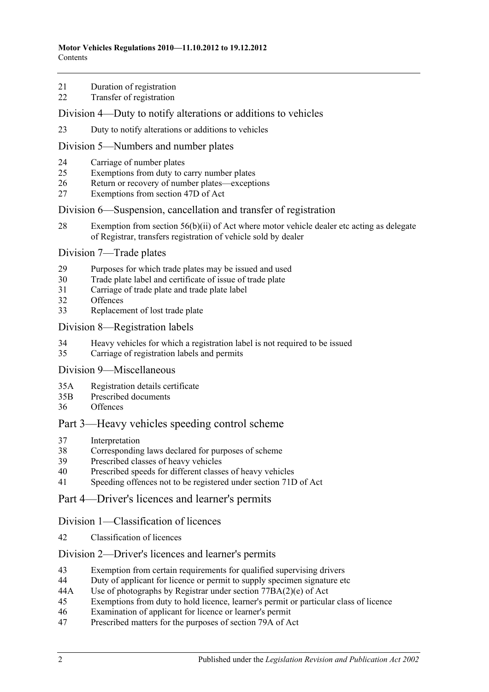- [Duration of registration](#page-17-2)
- [Transfer of registration](#page-17-3)

#### [Division 4—Duty to notify alterations or additions to vehicles](#page-17-4)

[Duty to notify alterations or additions to vehicles](#page-17-5)

#### [Division 5—Numbers and number plates](#page-19-0)

- [Carriage of number plates](#page-19-1)
- [Exemptions from duty to carry number plates](#page-19-2)
- [Return or recovery of number plates—exceptions](#page-21-0)
- [Exemptions from section 47D of Act](#page-21-1)

#### [Division 6—Suspension, cancellation and transfer of registration](#page-22-0)

 [Exemption from section 56\(b\)\(ii\) of Act where motor vehicle dealer etc acting as delegate](#page-22-1)  [of Registrar, transfers registration of vehicle sold by dealer](#page-22-1)

#### [Division 7—Trade plates](#page-22-2)

- [Purposes for which trade plates may be issued and used](#page-22-3)
- [Trade plate label and certificate of issue of trade plate](#page-25-0)
- [Carriage of trade plate and trade plate label](#page-25-1)
- [Offences](#page-26-0)
- [Replacement of lost trade plate](#page-26-1)

#### [Division 8—Registration labels](#page-26-2)

- [Heavy vehicles for which a registration label is not required to be issued](#page-26-3)
- [Carriage of registration labels and permits](#page-27-0)

### [Division 9—Miscellaneous](#page-28-0)

- 35A [Registration details certificate](#page-28-1)
- 35B [Prescribed documents](#page-29-0)
- [Offences](#page-29-1)

## [Part 3—Heavy vehicles speeding control scheme](#page-32-0)

- [Interpretation](#page-32-1)
- [Corresponding laws declared for purposes of scheme](#page-32-2)
- [Prescribed classes of heavy vehicles](#page-32-3)
- [Prescribed speeds for different classes of heavy vehicles](#page-32-4)
- [Speeding offences not to be registered under section](#page-32-5) 71D of Act

## [Part 4—Driver's licences and learner's permits](#page-34-0)

#### [Division 1—Classification of licences](#page-34-1)

[Classification of licences](#page-34-2)

#### [Division 2—Driver's licences and learner's permits](#page-34-3)

- [Exemption from certain requirements for qualified supervising drivers](#page-34-4)
- [Duty of applicant for licence or permit to supply specimen signature etc](#page-34-5)
- 44A [Use of photographs by Registrar under section](#page-35-0) 77BA(2)(e) of Act
- [Exemptions from duty to hold licence, learner's permit or particular class of licence](#page-35-1)
- [Examination of applicant for licence or learner's permit](#page-37-0)
- [Prescribed matters for the purposes of section 79A of Act](#page-38-0)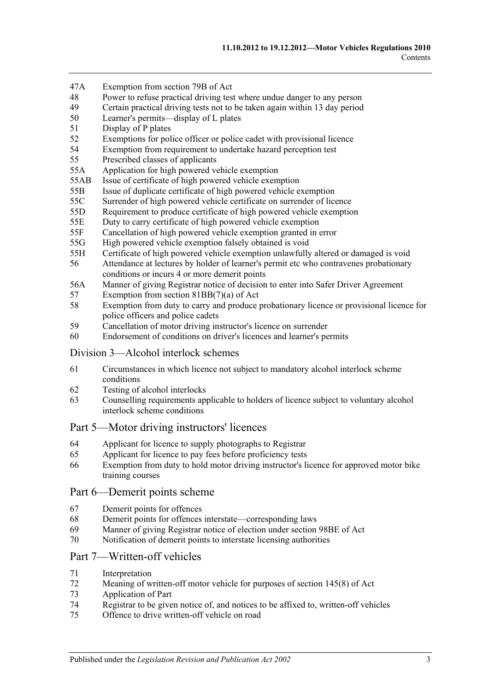- 47A [Exemption from section 79B of Act](#page-38-1)
- 48 [Power to refuse practical driving test where undue danger to any person](#page-38-2)<br>49 Certain practical driving tests not to be taken again within 13 day period
- [Certain practical driving tests not to be taken again within 13](#page-38-3) day period
- 50 [Learner's permits—display of L plates](#page-38-4)
- 51 [Display of P plates](#page-39-0)
- 52 [Exemptions for police officer or police cadet with provisional licence](#page-40-0)
- 54 [Exemption from requirement to undertake hazard perception test](#page-40-1)
- 55 [Prescribed classes of applicants](#page-40-2)
- 55A [Application for high powered vehicle exemption](#page-40-3)
- 55AB [Issue of certificate of high powered vehicle exemption](#page-40-4)
- 55B [Issue of duplicate certificate of high powered vehicle exemption](#page-41-0)
- 55C [Surrender of high powered vehicle certificate on surrender of licence](#page-41-1)
- 55D [Requirement to produce certificate of high powered vehicle exemption](#page-41-2)
- 55E [Duty to carry certificate of high powered vehicle exemption](#page-41-3)
- 55F [Cancellation of high powered vehicle exemption granted in error](#page-41-4)
- 55G [High powered vehicle exemption falsely obtained is void](#page-42-0)
- 55H [Certificate of high powered vehicle exemption unlawfully altered or damaged is void](#page-42-1)
- 56 [Attendance at lectures by holder of learner's permit etc who contravenes probationary](#page-42-2)  [conditions or incurs 4 or more demerit points](#page-42-2)
- 56A [Manner of giving Registrar notice of decision to enter into Safer Driver Agreement](#page-42-3)
- 57 [Exemption from section 81BB\(7\)\(a\) of Act](#page-43-0)
- 58 [Exemption from duty to carry and produce probationary licence or provisional licence for](#page-43-1)  [police officers and police cadets](#page-43-1)
- 59 [Cancellation of motor driving instructor's licence on surrender](#page-43-2)
- 60 [Endorsement of conditions on driver's licences and learner's permits](#page-43-3)

#### [Division 3—Alcohol interlock schemes](#page-44-0)

- 61 [Circumstances in which licence not subject to mandatory alcohol interlock scheme](#page-44-1)  [conditions](#page-44-1)
- 62 [Testing of alcohol interlocks](#page-44-2)
- 63 [Counselling requirements applicable to holders of licence subject to voluntary alcohol](#page-44-3)  [interlock scheme conditions](#page-44-3)

## [Part 5—Motor driving instructors' licences](#page-46-0)

- 64 [Applicant for licence to supply photographs to Registrar](#page-46-1)
- 65 [Applicant for licence to pay fees before proficiency tests](#page-46-2)
- 66 [Exemption from duty to hold motor driving instructor's licence for approved motor bike](#page-46-3)  [training courses](#page-46-3)

#### [Part 6—Demerit points scheme](#page-48-0)

- 67 [Demerit points for offences](#page-48-1)
- 68 [Demerit points for offences interstate—corresponding laws](#page-48-2)
- 69 [Manner of giving Registrar notice of election under section](#page-48-3) 98BE of Act
- 70 [Notification of demerit points to interstate licensing authorities](#page-49-0)

## [Part 7—Written-off vehicles](#page-50-0)

- 71 [Interpretation](#page-50-1)
- 72 [Meaning of written-off motor vehicle for purposes of section](#page-51-0) 145(8) of Act
- 73 [Application of Part](#page-51-1)
- 74 [Registrar to be given notice of, and notices to be affixed to, written-off vehicles](#page-52-0)
- 75 [Offence to drive written-off vehicle on road](#page-54-0)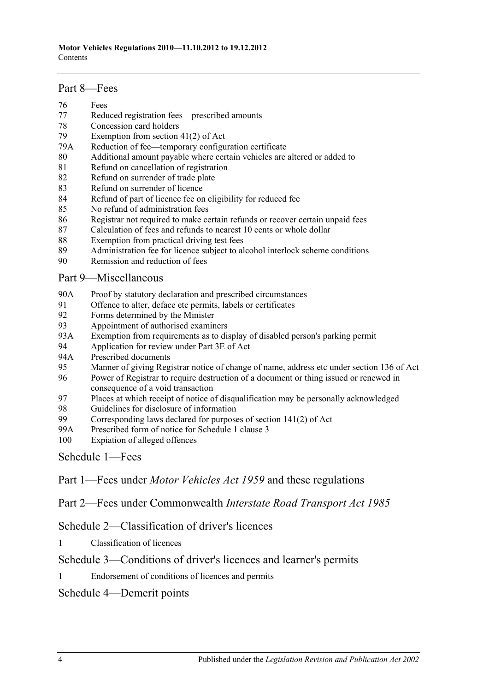#### [Part 8—Fees](#page-56-0)

- 76 [Fees](#page-56-1)
- 77 [Reduced registration fees—prescribed amounts](#page-56-2)
- 78 [Concession card holders](#page-57-0)
- 79 [Exemption from section 41\(2\) of Act](#page-57-1)
- 79A [Reduction of fee—temporary configuration certificate](#page-57-2)
- 80 [Additional amount payable where certain vehicles are altered or added to](#page-58-0)
- 81 [Refund on cancellation of registration](#page-58-1)
- 82 [Refund on surrender of trade plate](#page-59-0)
- 83 [Refund on surrender of licence](#page-59-1)
- 84 [Refund of part of licence fee on eligibility for reduced fee](#page-59-2)
- 85 [No refund of administration fees](#page-59-3)
- 86 [Registrar not required to make certain refunds or recover certain unpaid fees](#page-59-4)
- 87 [Calculation of fees and refunds to nearest 10 cents or whole dollar](#page-59-5)
- 88 [Exemption from practical driving test fees](#page-60-0)
- 89 [Administration fee for licence subject to alcohol interlock scheme conditions](#page-60-1)
- 90 [Remission and reduction of fees](#page-60-2)

## [Part 9—Miscellaneous](#page-62-0)

- 90A [Proof by statutory declaration and prescribed circumstances](#page-62-1)
- 91 [Offence to alter, deface etc permits, labels or certificates](#page-62-2)<br>92 Forms determined by the Minister
- [Forms determined by the Minister](#page-63-0)
- 93 [Appointment of authorised examiners](#page-63-1)
- 93A [Exemption from requirements as to display of disabled person's parking permit](#page-63-2)
- 94 [Application for review under Part 3E of Act](#page-64-0)<br>94A Prescribed documents
- [Prescribed documents](#page-64-1)
- 95 [Manner of giving Registrar notice of change of name, address etc under section](#page-64-2) 136 of Act
- 96 [Power of Registrar to require destruction of a document or thing issued or renewed in](#page-64-3)  [consequence of a void transaction](#page-64-3)
- 97 [Places at which receipt of notice of disqualification may be personally acknowledged](#page-64-4)
- 98 [Guidelines for disclosure of information](#page-65-0)<br>99 Corresponding laws declared for purpose
- Corresponding laws declared for purposes of section  $141(2)$  of Act
- 99A [Prescribed form of notice for Schedule 1 clause 3](#page-68-0)
- 100 [Expiation of alleged offences](#page-68-1)

[Schedule 1—Fees](#page-70-0)

Part 1—Fees under *Motor Vehicles Act 1959* and these regulations

Part 2—Fees under Commonwealth *Interstate Road Transport Act 1985*

[Schedule 2—Classification of driver's licences](#page-80-0)

1 [Classification of licences](#page-80-1)

## [Schedule 3—Conditions of driver's licences and learner's permits](#page-84-0)

1 [Endorsement of conditions of licences and permits](#page-84-1)

## [Schedule 4—Demerit points](#page-86-0)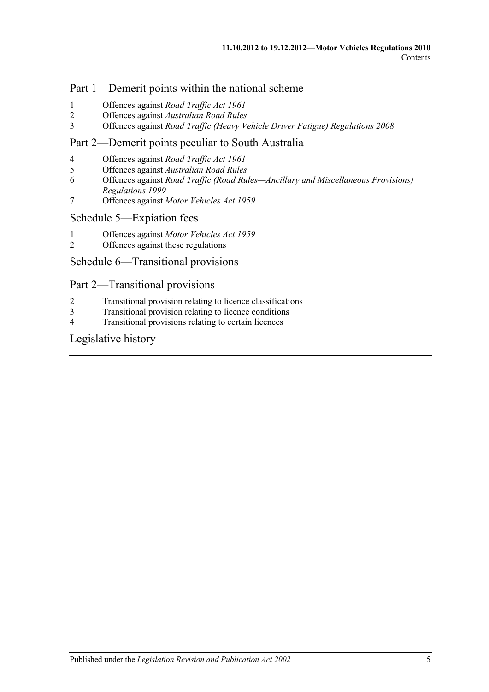## Part 1—Demerit points within the national scheme

- 1 [Offences against](#page-86-1) *Road Traffic Act 1961*
- 2 Offences against *[Australian Road Rules](#page-86-2)*
- 3 Offences against *[Road Traffic \(Heavy Vehicle Driver Fatigue\) Regulations](#page-91-0) 2008*

## Part 2—Demerit points peculiar to South Australia

- 4 [Offences against](#page-92-0) *Road Traffic Act 1961*
- 5 Offences against *[Australian Road Rules](#page-93-0)*
- 6 Offences against *[Road Traffic \(Road Rules—Ancillary and Miscellaneous Provisions\)](#page-97-0)  [Regulations](#page-97-0) 1999*
- 7 Offences against *[Motor Vehicles Act](#page-97-1) 1959*

### [Schedule 5—Expiation fees](#page-98-0)

- 1 Offences against *[Motor Vehicles Act](#page-98-1) 1959*
- 2 [Offences against these regulations](#page-100-0)

## [Schedule 6—Transitional provisions](#page-102-0)

## Part 2—Transitional provisions

- 2 [Transitional provision relating to licence classifications](#page-102-1)
- 3 [Transitional provision relating to licence conditions](#page-102-2)
- 4 [Transitional provisions relating to certain licences](#page-103-0)

## [Legislative history](#page-104-0)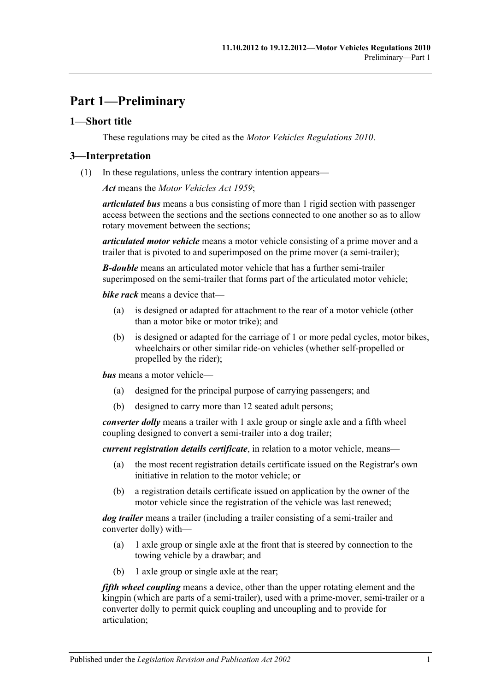# <span id="page-6-0"></span>**Part 1—Preliminary**

## <span id="page-6-1"></span>**1—Short title**

These regulations may be cited as the *Motor Vehicles Regulations 2010*.

## <span id="page-6-2"></span>**3—Interpretation**

(1) In these regulations, unless the contrary intention appears—

*Act* means the *[Motor Vehicles Act](http://www.legislation.sa.gov.au/index.aspx?action=legref&type=act&legtitle=Motor%20Vehicles%20Act%201959) 1959*;

*articulated bus* means a bus consisting of more than 1 rigid section with passenger access between the sections and the sections connected to one another so as to allow rotary movement between the sections;

*articulated motor vehicle* means a motor vehicle consisting of a prime mover and a trailer that is pivoted to and superimposed on the prime mover (a semi-trailer);

*B-double* means an articulated motor vehicle that has a further semi-trailer superimposed on the semi-trailer that forms part of the articulated motor vehicle;

*bike rack* means a device that—

- (a) is designed or adapted for attachment to the rear of a motor vehicle (other than a motor bike or motor trike); and
- (b) is designed or adapted for the carriage of 1 or more pedal cycles, motor bikes, wheelchairs or other similar ride-on vehicles (whether self-propelled or propelled by the rider);

*bus* means a motor vehicle—

- (a) designed for the principal purpose of carrying passengers; and
- (b) designed to carry more than 12 seated adult persons;

*converter dolly* means a trailer with 1 axle group or single axle and a fifth wheel coupling designed to convert a semi-trailer into a dog trailer;

*current registration details certificate*, in relation to a motor vehicle, means—

- (a) the most recent registration details certificate issued on the Registrar's own initiative in relation to the motor vehicle; or
- (b) a registration details certificate issued on application by the owner of the motor vehicle since the registration of the vehicle was last renewed;

*dog trailer* means a trailer (including a trailer consisting of a semi-trailer and converter dolly) with—

- (a) 1 axle group or single axle at the front that is steered by connection to the towing vehicle by a drawbar; and
- (b) 1 axle group or single axle at the rear;

*fifth wheel coupling* means a device, other than the upper rotating element and the kingpin (which are parts of a semi-trailer), used with a prime-mover, semi-trailer or a converter dolly to permit quick coupling and uncoupling and to provide for articulation;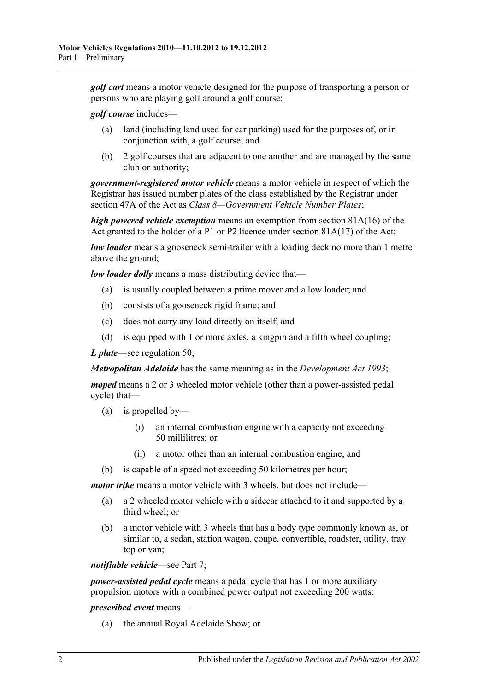*golf cart* means a motor vehicle designed for the purpose of transporting a person or persons who are playing golf around a golf course;

*golf course* includes—

- (a) land (including land used for car parking) used for the purposes of, or in conjunction with, a golf course; and
- (b) 2 golf courses that are adjacent to one another and are managed by the same club or authority;

*government-registered motor vehicle* means a motor vehicle in respect of which the Registrar has issued number plates of the class established by the Registrar under section 47A of the Act as *Class 8—Government Vehicle Number Plates*;

*high powered vehicle exemption* means an exemption from section 81A(16) of the Act granted to the holder of a P1 or P2 licence under section  $81A(17)$  of the Act;

*low loader* means a gooseneck semi-trailer with a loading deck no more than 1 metre above the ground;

*low loader dolly* means a mass distributing device that—

- (a) is usually coupled between a prime mover and a low loader; and
- (b) consists of a gooseneck rigid frame; and
- (c) does not carry any load directly on itself; and
- (d) is equipped with 1 or more axles, a kingpin and a fifth wheel coupling;

*L plate*—see [regulation](#page-38-4) 50;

*Metropolitan Adelaide* has the same meaning as in the *[Development Act](http://www.legislation.sa.gov.au/index.aspx?action=legref&type=act&legtitle=Development%20Act%201993) 1993*;

*moped* means a 2 or 3 wheeled motor vehicle (other than a power-assisted pedal cycle) that—

- (a) is propelled by—
	- (i) an internal combustion engine with a capacity not exceeding 50 millilitres; or
	- (ii) a motor other than an internal combustion engine; and
- (b) is capable of a speed not exceeding 50 kilometres per hour;

*motor trike* means a motor vehicle with 3 wheels, but does not include—

- (a) a 2 wheeled motor vehicle with a sidecar attached to it and supported by a third wheel; or
- (b) a motor vehicle with 3 wheels that has a body type commonly known as, or similar to, a sedan, station wagon, coupe, convertible, roadster, utility, tray top or van;

*notifiable vehicle*—see [Part 7;](#page-50-0)

*power-assisted pedal cycle* means a pedal cycle that has 1 or more auxiliary propulsion motors with a combined power output not exceeding 200 watts;

#### *prescribed event* means—

(a) the annual Royal Adelaide Show; or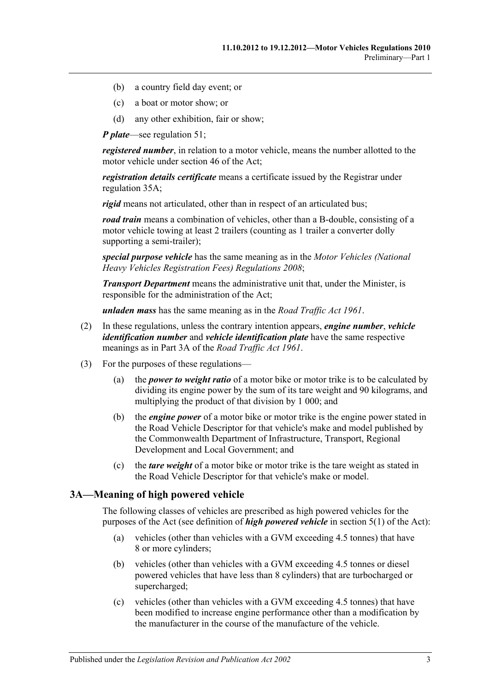- (b) a country field day event; or
- (c) a boat or motor show; or
- (d) any other exhibition, fair or show;

*P plate*—see [regulation](#page-39-0) 51;

*registered number*, in relation to a motor vehicle, means the number allotted to the motor vehicle under section 46 of the Act;

*registration details certificate* means a certificate issued by the Registrar under [regulation](#page-28-1) 35A;

*rigid* means not articulated, other than in respect of an articulated bus;

*road train* means a combination of vehicles, other than a B-double, consisting of a motor vehicle towing at least 2 trailers (counting as 1 trailer a converter dolly supporting a semi-trailer);

*special purpose vehicle* has the same meaning as in the *[Motor Vehicles \(National](http://www.legislation.sa.gov.au/index.aspx?action=legref&type=subordleg&legtitle=Motor%20Vehicles%20(National%20Heavy%20Vehicles%20Registration%20Fees)%20Regulations%202008)  [Heavy Vehicles Registration Fees\) Regulations](http://www.legislation.sa.gov.au/index.aspx?action=legref&type=subordleg&legtitle=Motor%20Vehicles%20(National%20Heavy%20Vehicles%20Registration%20Fees)%20Regulations%202008) 2008*;

*Transport Department* means the administrative unit that, under the Minister, is responsible for the administration of the Act;

*unladen mass* has the same meaning as in the *[Road Traffic Act](http://www.legislation.sa.gov.au/index.aspx?action=legref&type=act&legtitle=Road%20Traffic%20Act%201961) 1961*.

- (2) In these regulations, unless the contrary intention appears, *engine number*, *vehicle identification number* and *vehicle identification plate* have the same respective meanings as in Part 3A of the *[Road Traffic Act](http://www.legislation.sa.gov.au/index.aspx?action=legref&type=act&legtitle=Road%20Traffic%20Act%201961) 1961*.
- (3) For the purposes of these regulations—
	- (a) the *power to weight ratio* of a motor bike or motor trike is to be calculated by dividing its engine power by the sum of its tare weight and 90 kilograms, and multiplying the product of that division by 1 000; and
	- (b) the *engine power* of a motor bike or motor trike is the engine power stated in the Road Vehicle Descriptor for that vehicle's make and model published by the Commonwealth Department of Infrastructure, Transport, Regional Development and Local Government; and
	- (c) the *tare weight* of a motor bike or motor trike is the tare weight as stated in the Road Vehicle Descriptor for that vehicle's make or model.

## <span id="page-8-0"></span>**3A—Meaning of high powered vehicle**

The following classes of vehicles are prescribed as high powered vehicles for the purposes of the Act (see definition of *high powered vehicle* in section 5(1) of the Act):

- (a) vehicles (other than vehicles with a GVM exceeding 4.5 tonnes) that have 8 or more cylinders;
- (b) vehicles (other than vehicles with a GVM exceeding 4.5 tonnes or diesel powered vehicles that have less than 8 cylinders) that are turbocharged or supercharged;
- (c) vehicles (other than vehicles with a GVM exceeding 4.5 tonnes) that have been modified to increase engine performance other than a modification by the manufacturer in the course of the manufacture of the vehicle.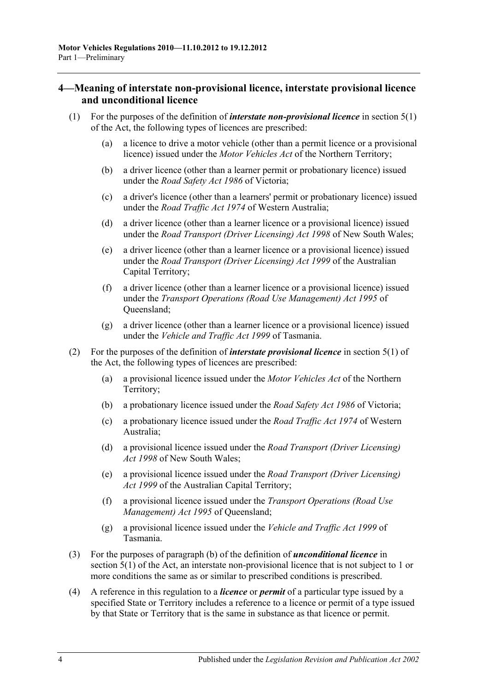## <span id="page-9-0"></span>**4—Meaning of interstate non-provisional licence, interstate provisional licence and unconditional licence**

- (1) For the purposes of the definition of *interstate non-provisional licence* in section 5(1) of the Act, the following types of licences are prescribed:
	- (a) a licence to drive a motor vehicle (other than a permit licence or a provisional licence) issued under the *Motor Vehicles Act* of the Northern Territory;
	- (b) a driver licence (other than a learner permit or probationary licence) issued under the *Road Safety Act 1986* of Victoria;
	- (c) a driver's licence (other than a learners' permit or probationary licence) issued under the *Road Traffic Act 1974* of Western Australia;
	- (d) a driver licence (other than a learner licence or a provisional licence) issued under the *Road Transport (Driver Licensing) Act 1998* of New South Wales;
	- (e) a driver licence (other than a learner licence or a provisional licence) issued under the *Road Transport (Driver Licensing) Act 1999* of the Australian Capital Territory;
	- (f) a driver licence (other than a learner licence or a provisional licence) issued under the *Transport Operations (Road Use Management) Act 1995* of Queensland;
	- (g) a driver licence (other than a learner licence or a provisional licence) issued under the *Vehicle and Traffic Act 1999* of Tasmania.
- (2) For the purposes of the definition of *interstate provisional licence* in section 5(1) of the Act, the following types of licences are prescribed:
	- (a) a provisional licence issued under the *Motor Vehicles Act* of the Northern Territory;
	- (b) a probationary licence issued under the *Road Safety Act 1986* of Victoria;
	- (c) a probationary licence issued under the *Road Traffic Act 1974* of Western Australia;
	- (d) a provisional licence issued under the *Road Transport (Driver Licensing) Act 1998* of New South Wales;
	- (e) a provisional licence issued under the *Road Transport (Driver Licensing) Act 1999* of the Australian Capital Territory;
	- (f) a provisional licence issued under the *Transport Operations (Road Use Management) Act 1995* of Queensland;
	- (g) a provisional licence issued under the *Vehicle and Traffic Act 1999* of Tasmania.
- (3) For the purposes of paragraph (b) of the definition of *unconditional licence* in section 5(1) of the Act, an interstate non-provisional licence that is not subject to 1 or more conditions the same as or similar to prescribed conditions is prescribed.
- (4) A reference in this regulation to a *licence* or *permit* of a particular type issued by a specified State or Territory includes a reference to a licence or permit of a type issued by that State or Territory that is the same in substance as that licence or permit.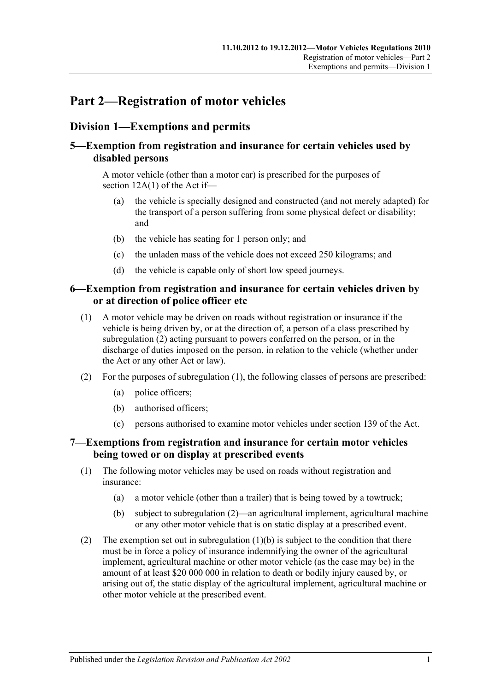# <span id="page-10-0"></span>**Part 2—Registration of motor vehicles**

# <span id="page-10-1"></span>**Division 1—Exemptions and permits**

# <span id="page-10-2"></span>**5—Exemption from registration and insurance for certain vehicles used by disabled persons**

A motor vehicle (other than a motor car) is prescribed for the purposes of section 12A(1) of the Act if—

- (a) the vehicle is specially designed and constructed (and not merely adapted) for the transport of a person suffering from some physical defect or disability; and
- (b) the vehicle has seating for 1 person only; and
- (c) the unladen mass of the vehicle does not exceed 250 kilograms; and
- (d) the vehicle is capable only of short low speed journeys.

## <span id="page-10-3"></span>**6—Exemption from registration and insurance for certain vehicles driven by or at direction of police officer etc**

- <span id="page-10-6"></span>(1) A motor vehicle may be driven on roads without registration or insurance if the vehicle is being driven by, or at the direction of, a person of a class prescribed by [subregulation](#page-10-5) (2) acting pursuant to powers conferred on the person, or in the discharge of duties imposed on the person, in relation to the vehicle (whether under the Act or any other Act or law).
- <span id="page-10-5"></span>(2) For the purposes of [subregulation](#page-10-6) (1), the following classes of persons are prescribed:
	- (a) police officers;
	- (b) authorised officers;
	- (c) persons authorised to examine motor vehicles under section 139 of the Act.

## <span id="page-10-4"></span>**7—Exemptions from registration and insurance for certain motor vehicles being towed or on display at prescribed events**

- (1) The following motor vehicles may be used on roads without registration and insurance:
	- (a) a motor vehicle (other than a trailer) that is being towed by a towtruck;
	- (b) subject to [subregulation](#page-10-7) (2)—an agricultural implement, agricultural machine or any other motor vehicle that is on static display at a prescribed event.
- <span id="page-10-8"></span><span id="page-10-7"></span>(2) The exemption set out in [subregulation](#page-10-8)  $(1)(b)$  is subject to the condition that there must be in force a policy of insurance indemnifying the owner of the agricultural implement, agricultural machine or other motor vehicle (as the case may be) in the amount of at least \$20 000 000 in relation to death or bodily injury caused by, or arising out of, the static display of the agricultural implement, agricultural machine or other motor vehicle at the prescribed event.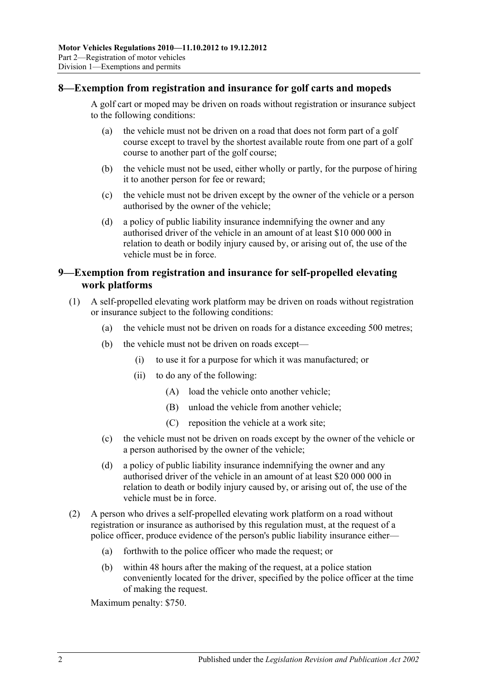## <span id="page-11-0"></span>**8—Exemption from registration and insurance for golf carts and mopeds**

A golf cart or moped may be driven on roads without registration or insurance subject to the following conditions:

- (a) the vehicle must not be driven on a road that does not form part of a golf course except to travel by the shortest available route from one part of a golf course to another part of the golf course;
- (b) the vehicle must not be used, either wholly or partly, for the purpose of hiring it to another person for fee or reward;
- (c) the vehicle must not be driven except by the owner of the vehicle or a person authorised by the owner of the vehicle;
- (d) a policy of public liability insurance indemnifying the owner and any authorised driver of the vehicle in an amount of at least \$10 000 000 in relation to death or bodily injury caused by, or arising out of, the use of the vehicle must be in force.

## <span id="page-11-1"></span>**9—Exemption from registration and insurance for self-propelled elevating work platforms**

- (1) A self-propelled elevating work platform may be driven on roads without registration or insurance subject to the following conditions:
	- (a) the vehicle must not be driven on roads for a distance exceeding 500 metres;
	- (b) the vehicle must not be driven on roads except—
		- (i) to use it for a purpose for which it was manufactured; or
		- (ii) to do any of the following:
			- (A) load the vehicle onto another vehicle;
			- (B) unload the vehicle from another vehicle;
			- (C) reposition the vehicle at a work site;
	- (c) the vehicle must not be driven on roads except by the owner of the vehicle or a person authorised by the owner of the vehicle;
	- (d) a policy of public liability insurance indemnifying the owner and any authorised driver of the vehicle in an amount of at least \$20 000 000 in relation to death or bodily injury caused by, or arising out of, the use of the vehicle must be in force.
- (2) A person who drives a self-propelled elevating work platform on a road without registration or insurance as authorised by this regulation must, at the request of a police officer, produce evidence of the person's public liability insurance either—
	- (a) forthwith to the police officer who made the request; or
	- (b) within 48 hours after the making of the request, at a police station conveniently located for the driver, specified by the police officer at the time of making the request.

Maximum penalty: \$750.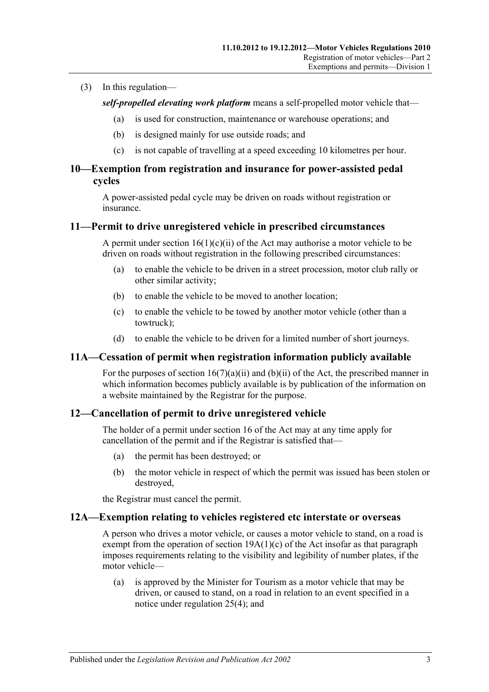#### (3) In this regulation—

*self-propelled elevating work platform* means a self-propelled motor vehicle that—

- (a) is used for construction, maintenance or warehouse operations; and
- (b) is designed mainly for use outside roads; and
- (c) is not capable of travelling at a speed exceeding 10 kilometres per hour.

## <span id="page-12-0"></span>**10—Exemption from registration and insurance for power-assisted pedal cycles**

A power-assisted pedal cycle may be driven on roads without registration or insurance.

### <span id="page-12-1"></span>**11—Permit to drive unregistered vehicle in prescribed circumstances**

A permit under section  $16(1)(c)(ii)$  of the Act may authorise a motor vehicle to be driven on roads without registration in the following prescribed circumstances:

- (a) to enable the vehicle to be driven in a street procession, motor club rally or other similar activity;
- (b) to enable the vehicle to be moved to another location;
- (c) to enable the vehicle to be towed by another motor vehicle (other than a towtruck);
- (d) to enable the vehicle to be driven for a limited number of short journeys.

#### <span id="page-12-2"></span>**11A—Cessation of permit when registration information publicly available**

For the purposes of section  $16(7)(a)(ii)$  and  $(b)(ii)$  of the Act, the prescribed manner in which information becomes publicly available is by publication of the information on a website maintained by the Registrar for the purpose.

## <span id="page-12-3"></span>**12—Cancellation of permit to drive unregistered vehicle**

The holder of a permit under section 16 of the Act may at any time apply for cancellation of the permit and if the Registrar is satisfied that—

- (a) the permit has been destroyed; or
- (b) the motor vehicle in respect of which the permit was issued has been stolen or destroyed,

the Registrar must cancel the permit.

#### <span id="page-12-4"></span>**12A—Exemption relating to vehicles registered etc interstate or overseas**

A person who drives a motor vehicle, or causes a motor vehicle to stand, on a road is exempt from the operation of section  $19A(1)(c)$  of the Act insofar as that paragraph imposes requirements relating to the visibility and legibility of number plates, if the motor vehicle—

(a) is approved by the Minister for Tourism as a motor vehicle that may be driven, or caused to stand, on a road in relation to an event specified in a notice under [regulation](#page-20-0) 25(4); and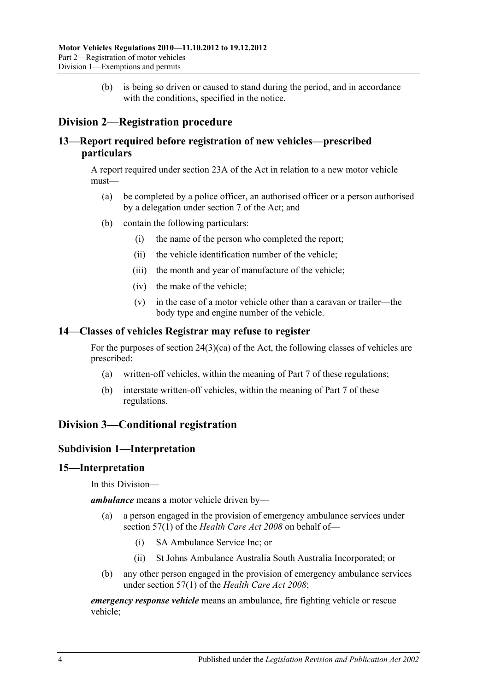(b) is being so driven or caused to stand during the period, and in accordance with the conditions, specified in the notice.

# <span id="page-13-0"></span>**Division 2—Registration procedure**

## <span id="page-13-1"></span>**13—Report required before registration of new vehicles—prescribed particulars**

A report required under section 23A of the Act in relation to a new motor vehicle must—

- (a) be completed by a police officer, an authorised officer or a person authorised by a delegation under section 7 of the Act; and
- (b) contain the following particulars:
	- (i) the name of the person who completed the report;
	- (ii) the vehicle identification number of the vehicle;
	- (iii) the month and year of manufacture of the vehicle;
	- (iv) the make of the vehicle;
	- (v) in the case of a motor vehicle other than a caravan or trailer—the body type and engine number of the vehicle.

## <span id="page-13-2"></span>**14—Classes of vehicles Registrar may refuse to register**

For the purposes of section 24(3)(ca) of the Act, the following classes of vehicles are prescribed:

- (a) written-off vehicles, within the meaning of [Part 7](#page-50-0) of these regulations;
- (b) interstate written-off vehicles, within the meaning of [Part 7](#page-50-0) of these regulations.

# <span id="page-13-4"></span><span id="page-13-3"></span>**Division 3—Conditional registration**

## **Subdivision 1—Interpretation**

#### <span id="page-13-5"></span>**15—Interpretation**

In this Division—

*ambulance* means a motor vehicle driven by—

- (a) a person engaged in the provision of emergency ambulance services under section 57(1) of the *[Health Care Act](http://www.legislation.sa.gov.au/index.aspx?action=legref&type=act&legtitle=Health%20Care%20Act%202008) 2008* on behalf of—
	- (i) SA Ambulance Service Inc; or
	- (ii) St Johns Ambulance Australia South Australia Incorporated; or
- (b) any other person engaged in the provision of emergency ambulance services under section 57(1) of the *[Health Care Act](http://www.legislation.sa.gov.au/index.aspx?action=legref&type=act&legtitle=Health%20Care%20Act%202008) 2008*;

*emergency response vehicle* means an ambulance, fire fighting vehicle or rescue vehicle;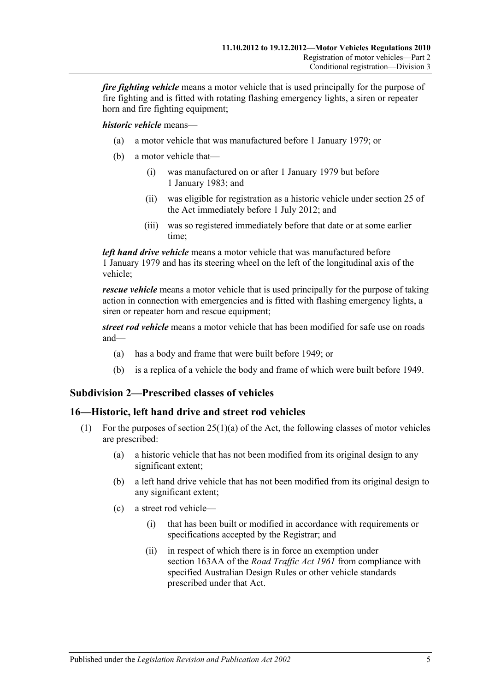*fire fighting vehicle* means a motor vehicle that is used principally for the purpose of fire fighting and is fitted with rotating flashing emergency lights, a siren or repeater horn and fire fighting equipment;

*historic vehicle* means—

- (a) a motor vehicle that was manufactured before 1 January 1979; or
- (b) a motor vehicle that—
	- (i) was manufactured on or after 1 January 1979 but before 1 January 1983; and
	- (ii) was eligible for registration as a historic vehicle under section 25 of the Act immediately before 1 July 2012; and
	- (iii) was so registered immediately before that date or at some earlier time;

*left hand drive vehicle* means a motor vehicle that was manufactured before 1 January 1979 and has its steering wheel on the left of the longitudinal axis of the vehicle;

*rescue vehicle* means a motor vehicle that is used principally for the purpose of taking action in connection with emergencies and is fitted with flashing emergency lights, a siren or repeater horn and rescue equipment;

*street rod vehicle* means a motor vehicle that has been modified for safe use on roads and—

- (a) has a body and frame that were built before 1949; or
- (b) is a replica of a vehicle the body and frame of which were built before 1949.

# <span id="page-14-0"></span>**Subdivision 2—Prescribed classes of vehicles**

## <span id="page-14-1"></span>**16—Historic, left hand drive and street rod vehicles**

- (1) For the purposes of section 25(1)(a) of the Act, the following classes of motor vehicles are prescribed:
	- (a) a historic vehicle that has not been modified from its original design to any significant extent;
	- (b) a left hand drive vehicle that has not been modified from its original design to any significant extent;
	- (c) a street rod vehicle—
		- (i) that has been built or modified in accordance with requirements or specifications accepted by the Registrar; and
		- (ii) in respect of which there is in force an exemption under section 163AA of the *[Road Traffic Act](http://www.legislation.sa.gov.au/index.aspx?action=legref&type=act&legtitle=Road%20Traffic%20Act%201961) 1961* from compliance with specified Australian Design Rules or other vehicle standards prescribed under that Act.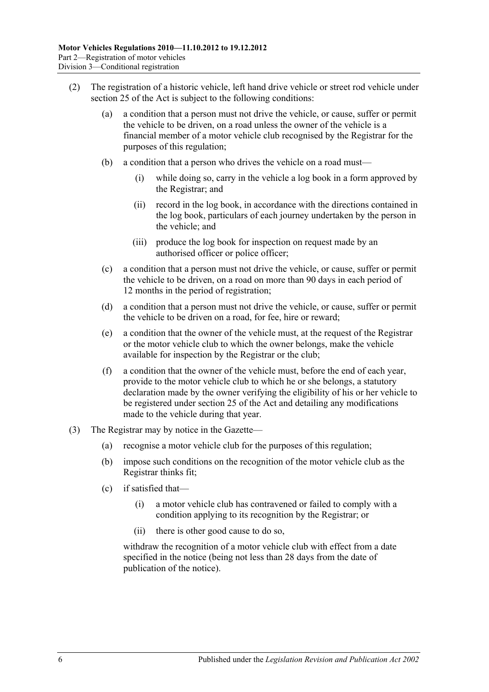- (2) The registration of a historic vehicle, left hand drive vehicle or street rod vehicle under section 25 of the Act is subject to the following conditions:
	- (a) a condition that a person must not drive the vehicle, or cause, suffer or permit the vehicle to be driven, on a road unless the owner of the vehicle is a financial member of a motor vehicle club recognised by the Registrar for the purposes of this regulation;
	- (b) a condition that a person who drives the vehicle on a road must—
		- (i) while doing so, carry in the vehicle a log book in a form approved by the Registrar; and
		- (ii) record in the log book, in accordance with the directions contained in the log book, particulars of each journey undertaken by the person in the vehicle; and
		- (iii) produce the log book for inspection on request made by an authorised officer or police officer;
	- (c) a condition that a person must not drive the vehicle, or cause, suffer or permit the vehicle to be driven, on a road on more than 90 days in each period of 12 months in the period of registration;
	- (d) a condition that a person must not drive the vehicle, or cause, suffer or permit the vehicle to be driven on a road, for fee, hire or reward;
	- (e) a condition that the owner of the vehicle must, at the request of the Registrar or the motor vehicle club to which the owner belongs, make the vehicle available for inspection by the Registrar or the club;
	- (f) a condition that the owner of the vehicle must, before the end of each year, provide to the motor vehicle club to which he or she belongs, a statutory declaration made by the owner verifying the eligibility of his or her vehicle to be registered under section 25 of the Act and detailing any modifications made to the vehicle during that year.
- (3) The Registrar may by notice in the Gazette—
	- (a) recognise a motor vehicle club for the purposes of this regulation;
	- (b) impose such conditions on the recognition of the motor vehicle club as the Registrar thinks fit;
	- (c) if satisfied that—
		- (i) a motor vehicle club has contravened or failed to comply with a condition applying to its recognition by the Registrar; or
		- (ii) there is other good cause to do so,

withdraw the recognition of a motor vehicle club with effect from a date specified in the notice (being not less than 28 days from the date of publication of the notice).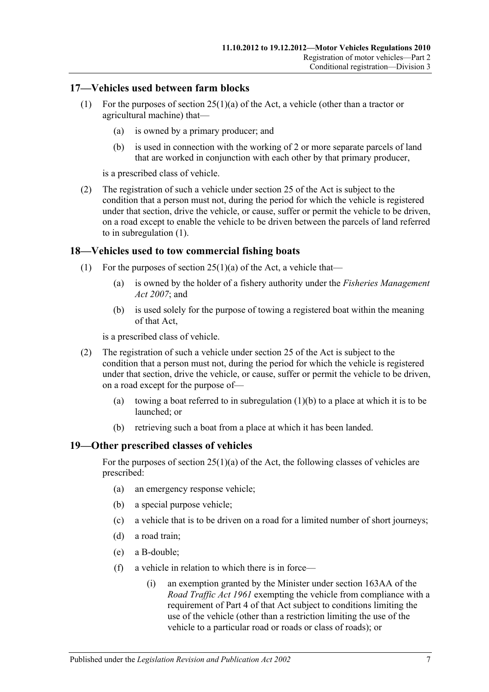## <span id="page-16-3"></span><span id="page-16-0"></span>**17—Vehicles used between farm blocks**

- (1) For the purposes of section 25(1)(a) of the Act, a vehicle (other than a tractor or agricultural machine) that—
	- (a) is owned by a primary producer; and
	- (b) is used in connection with the working of 2 or more separate parcels of land that are worked in conjunction with each other by that primary producer,

is a prescribed class of vehicle.

(2) The registration of such a vehicle under section 25 of the Act is subject to the condition that a person must not, during the period for which the vehicle is registered under that section, drive the vehicle, or cause, suffer or permit the vehicle to be driven, on a road except to enable the vehicle to be driven between the parcels of land referred to in [subregulation](#page-16-3) (1).

## <span id="page-16-1"></span>**18—Vehicles used to tow commercial fishing boats**

- <span id="page-16-4"></span>(1) For the purposes of section  $25(1)(a)$  of the Act, a vehicle that—
	- (a) is owned by the holder of a fishery authority under the *[Fisheries Management](http://www.legislation.sa.gov.au/index.aspx?action=legref&type=act&legtitle=Fisheries%20Management%20Act%202007)  Act [2007](http://www.legislation.sa.gov.au/index.aspx?action=legref&type=act&legtitle=Fisheries%20Management%20Act%202007)*; and
	- (b) is used solely for the purpose of towing a registered boat within the meaning of that Act,

is a prescribed class of vehicle.

- (2) The registration of such a vehicle under section 25 of the Act is subject to the condition that a person must not, during the period for which the vehicle is registered under that section, drive the vehicle, or cause, suffer or permit the vehicle to be driven, on a road except for the purpose of
	- (a) towing a boat referred to in [subregulation](#page-16-4)  $(1)(b)$  to a place at which it is to be launched; or
	- (b) retrieving such a boat from a place at which it has been landed.

## <span id="page-16-2"></span>**19—Other prescribed classes of vehicles**

For the purposes of section  $25(1)(a)$  of the Act, the following classes of vehicles are prescribed:

- (a) an emergency response vehicle;
- (b) a special purpose vehicle;
- (c) a vehicle that is to be driven on a road for a limited number of short journeys;
- (d) a road train;
- (e) a B-double;
- <span id="page-16-5"></span>(f) a vehicle in relation to which there is in force—
	- (i) an exemption granted by the Minister under section 163AA of the *[Road Traffic Act](http://www.legislation.sa.gov.au/index.aspx?action=legref&type=act&legtitle=Road%20Traffic%20Act%201961) 1961* exempting the vehicle from compliance with a requirement of Part 4 of that Act subject to conditions limiting the use of the vehicle (other than a restriction limiting the use of the vehicle to a particular road or roads or class of roads); or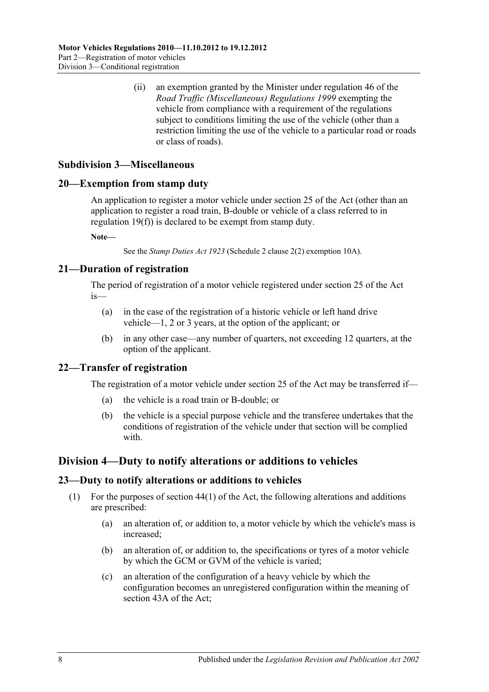(ii) an exemption granted by the Minister under regulation 46 of the *[Road Traffic \(Miscellaneous\) Regulations](http://www.legislation.sa.gov.au/index.aspx?action=legref&type=subordleg&legtitle=Road%20Traffic%20(Miscellaneous)%20Regulations%201999) 1999* exempting the vehicle from compliance with a requirement of the regulations subject to conditions limiting the use of the vehicle (other than a restriction limiting the use of the vehicle to a particular road or roads or class of roads).

## <span id="page-17-0"></span>**Subdivision 3—Miscellaneous**

#### <span id="page-17-1"></span>**20—Exemption from stamp duty**

An application to register a motor vehicle under section 25 of the Act (other than an application to register a road train, B-double or vehicle of a class referred to in [regulation](#page-16-5) 19(f)) is declared to be exempt from stamp duty.

**Note—**

See the *[Stamp Duties Act](http://www.legislation.sa.gov.au/index.aspx?action=legref&type=act&legtitle=Stamp%20Duties%20Act%201923) 1923* (Schedule 2 clause 2(2) exemption 10A).

## <span id="page-17-2"></span>**21—Duration of registration**

The period of registration of a motor vehicle registered under section 25 of the Act is—

- (a) in the case of the registration of a historic vehicle or left hand drive vehicle—1, 2 or 3 years, at the option of the applicant; or
- (b) in any other case—any number of quarters, not exceeding 12 quarters, at the option of the applicant.

## <span id="page-17-3"></span>**22—Transfer of registration**

The registration of a motor vehicle under section 25 of the Act may be transferred if—

- (a) the vehicle is a road train or B-double; or
- (b) the vehicle is a special purpose vehicle and the transferee undertakes that the conditions of registration of the vehicle under that section will be complied with.

## <span id="page-17-4"></span>**Division 4—Duty to notify alterations or additions to vehicles**

#### <span id="page-17-5"></span>**23—Duty to notify alterations or additions to vehicles**

- (1) For the purposes of section 44(1) of the Act, the following alterations and additions are prescribed:
	- (a) an alteration of, or addition to, a motor vehicle by which the vehicle's mass is increased;
	- (b) an alteration of, or addition to, the specifications or tyres of a motor vehicle by which the GCM or GVM of the vehicle is varied;
	- (c) an alteration of the configuration of a heavy vehicle by which the configuration becomes an unregistered configuration within the meaning of section 43A of the Act;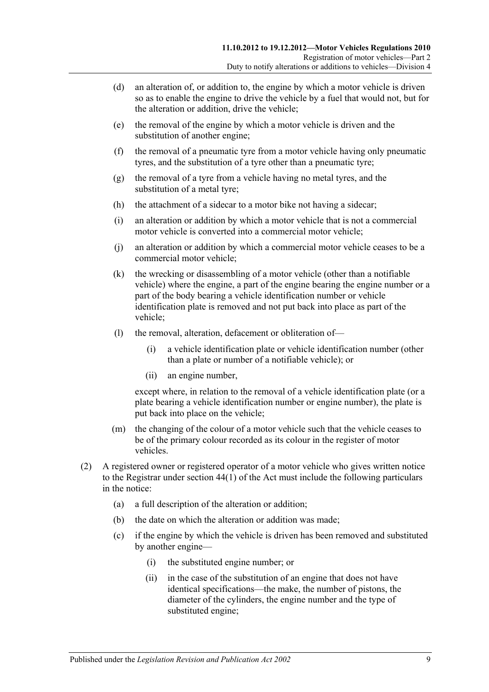- (d) an alteration of, or addition to, the engine by which a motor vehicle is driven so as to enable the engine to drive the vehicle by a fuel that would not, but for the alteration or addition, drive the vehicle;
- (e) the removal of the engine by which a motor vehicle is driven and the substitution of another engine;
- (f) the removal of a pneumatic tyre from a motor vehicle having only pneumatic tyres, and the substitution of a tyre other than a pneumatic tyre;
- (g) the removal of a tyre from a vehicle having no metal tyres, and the substitution of a metal tyre;
- (h) the attachment of a sidecar to a motor bike not having a sidecar;
- (i) an alteration or addition by which a motor vehicle that is not a commercial motor vehicle is converted into a commercial motor vehicle;
- (j) an alteration or addition by which a commercial motor vehicle ceases to be a commercial motor vehicle;
- (k) the wrecking or disassembling of a motor vehicle (other than a notifiable vehicle) where the engine, a part of the engine bearing the engine number or a part of the body bearing a vehicle identification number or vehicle identification plate is removed and not put back into place as part of the vehicle;
- (l) the removal, alteration, defacement or obliteration of—
	- (i) a vehicle identification plate or vehicle identification number (other than a plate or number of a notifiable vehicle); or
	- (ii) an engine number,

except where, in relation to the removal of a vehicle identification plate (or a plate bearing a vehicle identification number or engine number), the plate is put back into place on the vehicle;

- (m) the changing of the colour of a motor vehicle such that the vehicle ceases to be of the primary colour recorded as its colour in the register of motor vehicles.
- (2) A registered owner or registered operator of a motor vehicle who gives written notice to the Registrar under section 44(1) of the Act must include the following particulars in the notice:
	- (a) a full description of the alteration or addition;
	- (b) the date on which the alteration or addition was made;
	- (c) if the engine by which the vehicle is driven has been removed and substituted by another engine—
		- (i) the substituted engine number; or
		- (ii) in the case of the substitution of an engine that does not have identical specifications—the make, the number of pistons, the diameter of the cylinders, the engine number and the type of substituted engine;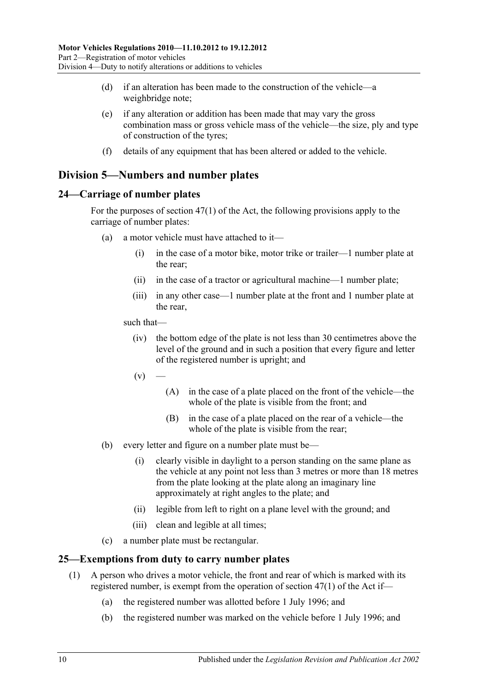- (d) if an alteration has been made to the construction of the vehicle—a weighbridge note;
- (e) if any alteration or addition has been made that may vary the gross combination mass or gross vehicle mass of the vehicle—the size, ply and type of construction of the tyres;
- (f) details of any equipment that has been altered or added to the vehicle.

# <span id="page-19-0"></span>**Division 5—Numbers and number plates**

## <span id="page-19-1"></span>**24—Carriage of number plates**

For the purposes of section 47(1) of the Act, the following provisions apply to the carriage of number plates:

- (a) a motor vehicle must have attached to it—
	- (i) in the case of a motor bike, motor trike or trailer—1 number plate at the rear;
	- (ii) in the case of a tractor or agricultural machine—1 number plate;
	- (iii) in any other case—1 number plate at the front and 1 number plate at the rear,

such that—

- (iv) the bottom edge of the plate is not less than 30 centimetres above the level of the ground and in such a position that every figure and letter of the registered number is upright; and
- $(v)$ 
	- (A) in the case of a plate placed on the front of the vehicle—the whole of the plate is visible from the front; and
	- (B) in the case of a plate placed on the rear of a vehicle—the whole of the plate is visible from the rear;
- (b) every letter and figure on a number plate must be—
	- (i) clearly visible in daylight to a person standing on the same plane as the vehicle at any point not less than 3 metres or more than 18 metres from the plate looking at the plate along an imaginary line approximately at right angles to the plate; and
	- (ii) legible from left to right on a plane level with the ground; and
	- (iii) clean and legible at all times;
- (c) a number plate must be rectangular.

## <span id="page-19-2"></span>**25—Exemptions from duty to carry number plates**

- (1) A person who drives a motor vehicle, the front and rear of which is marked with its registered number, is exempt from the operation of section 47(1) of the Act if—
	- (a) the registered number was allotted before 1 July 1996; and
	- (b) the registered number was marked on the vehicle before 1 July 1996; and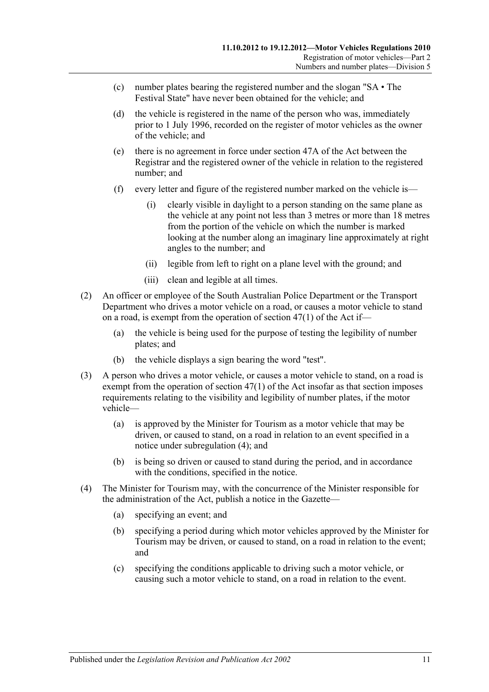- (c) number plates bearing the registered number and the slogan "SA The Festival State" have never been obtained for the vehicle; and
- (d) the vehicle is registered in the name of the person who was, immediately prior to 1 July 1996, recorded on the register of motor vehicles as the owner of the vehicle; and
- (e) there is no agreement in force under section 47A of the Act between the Registrar and the registered owner of the vehicle in relation to the registered number; and
- (f) every letter and figure of the registered number marked on the vehicle is—
	- (i) clearly visible in daylight to a person standing on the same plane as the vehicle at any point not less than 3 metres or more than 18 metres from the portion of the vehicle on which the number is marked looking at the number along an imaginary line approximately at right angles to the number; and
	- (ii) legible from left to right on a plane level with the ground; and
	- (iii) clean and legible at all times.
- (2) An officer or employee of the South Australian Police Department or the Transport Department who drives a motor vehicle on a road, or causes a motor vehicle to stand on a road, is exempt from the operation of section 47(1) of the Act if—
	- (a) the vehicle is being used for the purpose of testing the legibility of number plates; and
	- (b) the vehicle displays a sign bearing the word "test".
- <span id="page-20-1"></span>(3) A person who drives a motor vehicle, or causes a motor vehicle to stand, on a road is exempt from the operation of section 47(1) of the Act insofar as that section imposes requirements relating to the visibility and legibility of number plates, if the motor vehicle—
	- (a) is approved by the Minister for Tourism as a motor vehicle that may be driven, or caused to stand, on a road in relation to an event specified in a notice under [subregulation](#page-20-0) (4); and
	- (b) is being so driven or caused to stand during the period, and in accordance with the conditions, specified in the notice.
- <span id="page-20-0"></span>(4) The Minister for Tourism may, with the concurrence of the Minister responsible for the administration of the Act, publish a notice in the Gazette—
	- (a) specifying an event; and
	- (b) specifying a period during which motor vehicles approved by the Minister for Tourism may be driven, or caused to stand, on a road in relation to the event; and
	- (c) specifying the conditions applicable to driving such a motor vehicle, or causing such a motor vehicle to stand, on a road in relation to the event.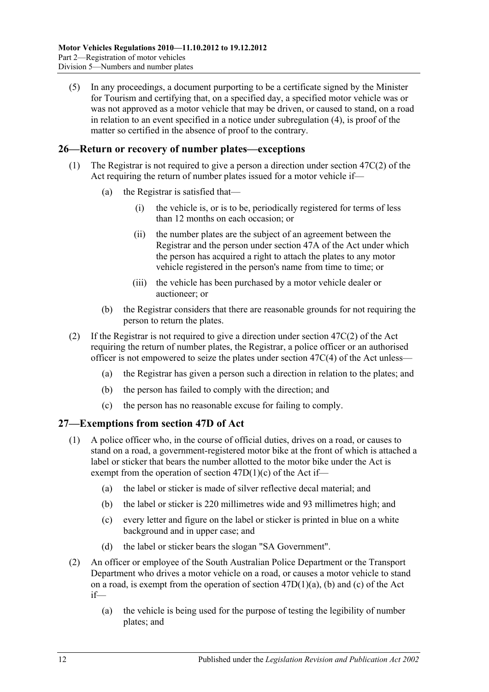(5) In any proceedings, a document purporting to be a certificate signed by the Minister for Tourism and certifying that, on a specified day, a specified motor vehicle was or was not approved as a motor vehicle that may be driven, or caused to stand, on a road in relation to an event specified in a notice under [subregulation](#page-20-0) (4), is proof of the matter so certified in the absence of proof to the contrary.

## <span id="page-21-0"></span>**26—Return or recovery of number plates—exceptions**

- (1) The Registrar is not required to give a person a direction under section 47C(2) of the Act requiring the return of number plates issued for a motor vehicle if—
	- (a) the Registrar is satisfied that—
		- (i) the vehicle is, or is to be, periodically registered for terms of less than 12 months on each occasion; or
		- (ii) the number plates are the subject of an agreement between the Registrar and the person under section 47A of the Act under which the person has acquired a right to attach the plates to any motor vehicle registered in the person's name from time to time; or
		- (iii) the vehicle has been purchased by a motor vehicle dealer or auctioneer; or
	- (b) the Registrar considers that there are reasonable grounds for not requiring the person to return the plates.
- (2) If the Registrar is not required to give a direction under section 47C(2) of the Act requiring the return of number plates, the Registrar, a police officer or an authorised officer is not empowered to seize the plates under section 47C(4) of the Act unless—
	- (a) the Registrar has given a person such a direction in relation to the plates; and
	- (b) the person has failed to comply with the direction; and
	- (c) the person has no reasonable excuse for failing to comply.

## <span id="page-21-1"></span>**27—Exemptions from section 47D of Act**

- (1) A police officer who, in the course of official duties, drives on a road, or causes to stand on a road, a government-registered motor bike at the front of which is attached a label or sticker that bears the number allotted to the motor bike under the Act is exempt from the operation of section  $47D(1)(c)$  of the Act if—
	- (a) the label or sticker is made of silver reflective decal material; and
	- (b) the label or sticker is 220 millimetres wide and 93 millimetres high; and
	- (c) every letter and figure on the label or sticker is printed in blue on a white background and in upper case; and
	- (d) the label or sticker bears the slogan "SA Government".
- (2) An officer or employee of the South Australian Police Department or the Transport Department who drives a motor vehicle on a road, or causes a motor vehicle to stand on a road, is exempt from the operation of section 47D(1)(a), (b) and (c) of the Act if—
	- (a) the vehicle is being used for the purpose of testing the legibility of number plates; and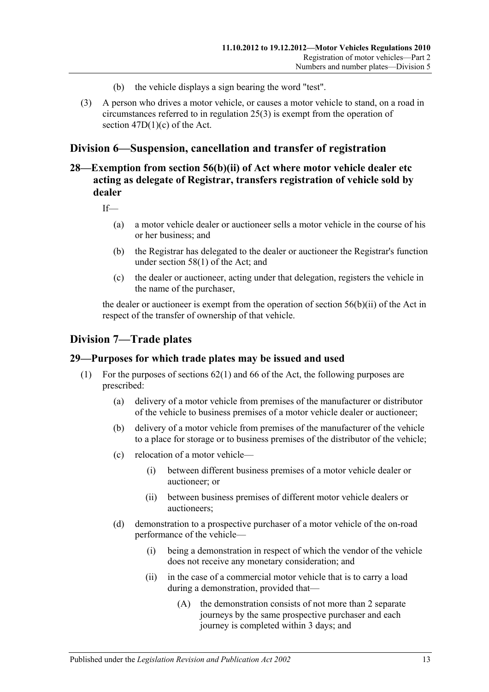- (b) the vehicle displays a sign bearing the word "test".
- (3) A person who drives a motor vehicle, or causes a motor vehicle to stand, on a road in circumstances referred to in [regulation](#page-20-1) 25(3) is exempt from the operation of section 47D(1)(c) of the Act.

# <span id="page-22-0"></span>**Division 6—Suspension, cancellation and transfer of registration**

# <span id="page-22-1"></span>**28—Exemption from section 56(b)(ii) of Act where motor vehicle dealer etc acting as delegate of Registrar, transfers registration of vehicle sold by dealer**

If—

- (a) a motor vehicle dealer or auctioneer sells a motor vehicle in the course of his or her business; and
- (b) the Registrar has delegated to the dealer or auctioneer the Registrar's function under section 58(1) of the Act; and
- (c) the dealer or auctioneer, acting under that delegation, registers the vehicle in the name of the purchaser,

the dealer or auctioneer is exempt from the operation of section 56(b)(ii) of the Act in respect of the transfer of ownership of that vehicle.

# <span id="page-22-2"></span>**Division 7—Trade plates**

## <span id="page-22-3"></span>**29—Purposes for which trade plates may be issued and used**

- (1) For the purposes of sections 62(1) and 66 of the Act, the following purposes are prescribed:
	- (a) delivery of a motor vehicle from premises of the manufacturer or distributor of the vehicle to business premises of a motor vehicle dealer or auctioneer;
	- (b) delivery of a motor vehicle from premises of the manufacturer of the vehicle to a place for storage or to business premises of the distributor of the vehicle;
	- (c) relocation of a motor vehicle—
		- (i) between different business premises of a motor vehicle dealer or auctioneer; or
		- (ii) between business premises of different motor vehicle dealers or auctioneers;
	- (d) demonstration to a prospective purchaser of a motor vehicle of the on-road performance of the vehicle—
		- (i) being a demonstration in respect of which the vendor of the vehicle does not receive any monetary consideration; and
		- (ii) in the case of a commercial motor vehicle that is to carry a load during a demonstration, provided that—
			- (A) the demonstration consists of not more than 2 separate journeys by the same prospective purchaser and each journey is completed within 3 days; and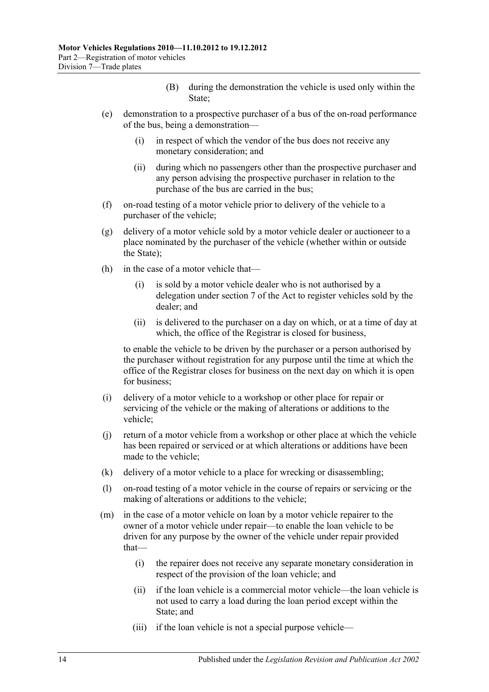- (B) during the demonstration the vehicle is used only within the State;
- (e) demonstration to a prospective purchaser of a bus of the on-road performance of the bus, being a demonstration—
	- (i) in respect of which the vendor of the bus does not receive any monetary consideration; and
	- (ii) during which no passengers other than the prospective purchaser and any person advising the prospective purchaser in relation to the purchase of the bus are carried in the bus;
- (f) on-road testing of a motor vehicle prior to delivery of the vehicle to a purchaser of the vehicle;
- (g) delivery of a motor vehicle sold by a motor vehicle dealer or auctioneer to a place nominated by the purchaser of the vehicle (whether within or outside the State);
- (h) in the case of a motor vehicle that—
	- (i) is sold by a motor vehicle dealer who is not authorised by a delegation under section 7 of the Act to register vehicles sold by the dealer; and
	- (ii) is delivered to the purchaser on a day on which, or at a time of day at which, the office of the Registrar is closed for business,

to enable the vehicle to be driven by the purchaser or a person authorised by the purchaser without registration for any purpose until the time at which the office of the Registrar closes for business on the next day on which it is open for business;

- (i) delivery of a motor vehicle to a workshop or other place for repair or servicing of the vehicle or the making of alterations or additions to the vehicle;
- (j) return of a motor vehicle from a workshop or other place at which the vehicle has been repaired or serviced or at which alterations or additions have been made to the vehicle;
- (k) delivery of a motor vehicle to a place for wrecking or disassembling;
- (l) on-road testing of a motor vehicle in the course of repairs or servicing or the making of alterations or additions to the vehicle;
- (m) in the case of a motor vehicle on loan by a motor vehicle repairer to the owner of a motor vehicle under repair—to enable the loan vehicle to be driven for any purpose by the owner of the vehicle under repair provided that—
	- (i) the repairer does not receive any separate monetary consideration in respect of the provision of the loan vehicle; and
	- (ii) if the loan vehicle is a commercial motor vehicle—the loan vehicle is not used to carry a load during the loan period except within the State; and
	- (iii) if the loan vehicle is not a special purpose vehicle—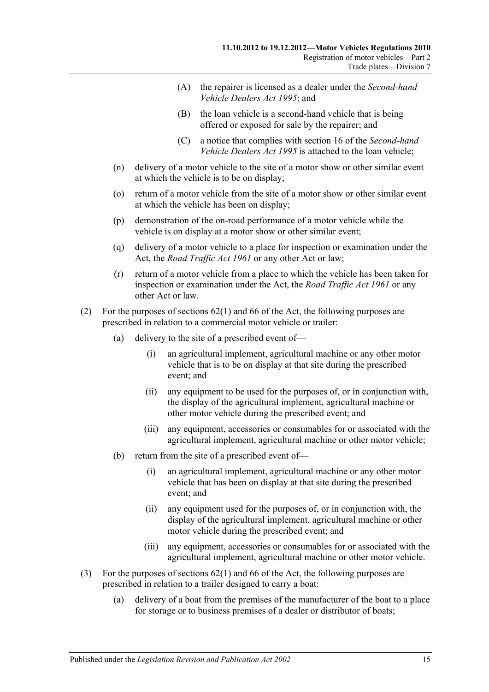- (A) the repairer is licensed as a dealer under the *[Second-hand](http://www.legislation.sa.gov.au/index.aspx?action=legref&type=act&legtitle=Second-hand%20Vehicle%20Dealers%20Act%201995)  [Vehicle Dealers Act](http://www.legislation.sa.gov.au/index.aspx?action=legref&type=act&legtitle=Second-hand%20Vehicle%20Dealers%20Act%201995) 1995*; and
- (B) the loan vehicle is a second-hand vehicle that is being offered or exposed for sale by the repairer; and
- (C) a notice that complies with section 16 of the *[Second-hand](http://www.legislation.sa.gov.au/index.aspx?action=legref&type=act&legtitle=Second-hand%20Vehicle%20Dealers%20Act%201995)  [Vehicle Dealers Act](http://www.legislation.sa.gov.au/index.aspx?action=legref&type=act&legtitle=Second-hand%20Vehicle%20Dealers%20Act%201995) 1995* is attached to the loan vehicle;
- (n) delivery of a motor vehicle to the site of a motor show or other similar event at which the vehicle is to be on display;
- (o) return of a motor vehicle from the site of a motor show or other similar event at which the vehicle has been on display;
- (p) demonstration of the on-road performance of a motor vehicle while the vehicle is on display at a motor show or other similar event;
- (q) delivery of a motor vehicle to a place for inspection or examination under the Act, the *[Road Traffic Act](http://www.legislation.sa.gov.au/index.aspx?action=legref&type=act&legtitle=Road%20Traffic%20Act%201961) 1961* or any other Act or law;
- (r) return of a motor vehicle from a place to which the vehicle has been taken for inspection or examination under the Act, the *[Road Traffic Act](http://www.legislation.sa.gov.au/index.aspx?action=legref&type=act&legtitle=Road%20Traffic%20Act%201961) 1961* or any other Act or law.
- (2) For the purposes of sections 62(1) and 66 of the Act, the following purposes are prescribed in relation to a commercial motor vehicle or trailer:
	- (a) delivery to the site of a prescribed event of—
		- (i) an agricultural implement, agricultural machine or any other motor vehicle that is to be on display at that site during the prescribed event; and
		- (ii) any equipment to be used for the purposes of, or in conjunction with, the display of the agricultural implement, agricultural machine or other motor vehicle during the prescribed event; and
		- (iii) any equipment, accessories or consumables for or associated with the agricultural implement, agricultural machine or other motor vehicle;
	- (b) return from the site of a prescribed event of—
		- (i) an agricultural implement, agricultural machine or any other motor vehicle that has been on display at that site during the prescribed event; and
		- (ii) any equipment used for the purposes of, or in conjunction with, the display of the agricultural implement, agricultural machine or other motor vehicle during the prescribed event; and
		- (iii) any equipment, accessories or consumables for or associated with the agricultural implement, agricultural machine or other motor vehicle.
- (3) For the purposes of sections 62(1) and 66 of the Act, the following purposes are prescribed in relation to a trailer designed to carry a boat:
	- (a) delivery of a boat from the premises of the manufacturer of the boat to a place for storage or to business premises of a dealer or distributor of boats;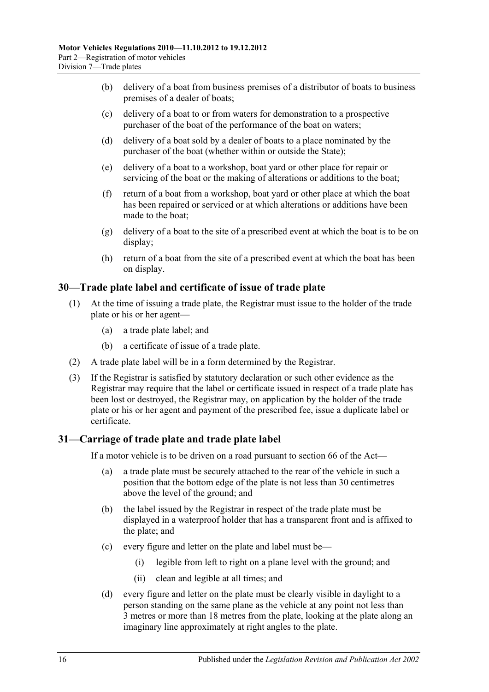- (b) delivery of a boat from business premises of a distributor of boats to business premises of a dealer of boats;
- (c) delivery of a boat to or from waters for demonstration to a prospective purchaser of the boat of the performance of the boat on waters;
- (d) delivery of a boat sold by a dealer of boats to a place nominated by the purchaser of the boat (whether within or outside the State);
- (e) delivery of a boat to a workshop, boat yard or other place for repair or servicing of the boat or the making of alterations or additions to the boat;
- (f) return of a boat from a workshop, boat yard or other place at which the boat has been repaired or serviced or at which alterations or additions have been made to the boat;
- (g) delivery of a boat to the site of a prescribed event at which the boat is to be on display;
- (h) return of a boat from the site of a prescribed event at which the boat has been on display.

## <span id="page-25-0"></span>**30—Trade plate label and certificate of issue of trade plate**

- (1) At the time of issuing a trade plate, the Registrar must issue to the holder of the trade plate or his or her agent—
	- (a) a trade plate label; and
	- (b) a certificate of issue of a trade plate.
- (2) A trade plate label will be in a form determined by the Registrar.
- (3) If the Registrar is satisfied by statutory declaration or such other evidence as the Registrar may require that the label or certificate issued in respect of a trade plate has been lost or destroyed, the Registrar may, on application by the holder of the trade plate or his or her agent and payment of the prescribed fee, issue a duplicate label or certificate.

# <span id="page-25-1"></span>**31—Carriage of trade plate and trade plate label**

If a motor vehicle is to be driven on a road pursuant to section 66 of the Act—

- (a) a trade plate must be securely attached to the rear of the vehicle in such a position that the bottom edge of the plate is not less than 30 centimetres above the level of the ground; and
- (b) the label issued by the Registrar in respect of the trade plate must be displayed in a waterproof holder that has a transparent front and is affixed to the plate; and
- (c) every figure and letter on the plate and label must be—
	- (i) legible from left to right on a plane level with the ground; and
	- (ii) clean and legible at all times; and
- (d) every figure and letter on the plate must be clearly visible in daylight to a person standing on the same plane as the vehicle at any point not less than 3 metres or more than 18 metres from the plate, looking at the plate along an imaginary line approximately at right angles to the plate.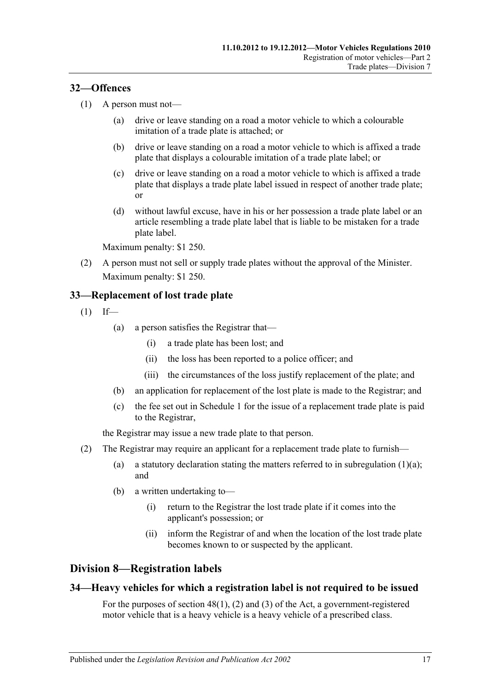## <span id="page-26-0"></span>**32—Offences**

- (1) A person must not—
	- (a) drive or leave standing on a road a motor vehicle to which a colourable imitation of a trade plate is attached; or
	- (b) drive or leave standing on a road a motor vehicle to which is affixed a trade plate that displays a colourable imitation of a trade plate label; or
	- (c) drive or leave standing on a road a motor vehicle to which is affixed a trade plate that displays a trade plate label issued in respect of another trade plate; or
	- (d) without lawful excuse, have in his or her possession a trade plate label or an article resembling a trade plate label that is liable to be mistaken for a trade plate label.

Maximum penalty: \$1 250.

(2) A person must not sell or supply trade plates without the approval of the Minister. Maximum penalty: \$1 250.

# <span id="page-26-1"></span>**33—Replacement of lost trade plate**

<span id="page-26-4"></span> $(1)$  If—

- (a) a person satisfies the Registrar that—
	- (i) a trade plate has been lost; and
	- (ii) the loss has been reported to a police officer; and
	- (iii) the circumstances of the loss justify replacement of the plate; and
- (b) an application for replacement of the lost plate is made to the Registrar; and
- (c) the fee set out in [Schedule 1](#page-70-0) for the issue of a replacement trade plate is paid to the Registrar,

the Registrar may issue a new trade plate to that person.

- (2) The Registrar may require an applicant for a replacement trade plate to furnish
	- (a) a statutory declaration stating the matters referred to in [subregulation](#page-26-4)  $(1)(a)$ ; and
	- (b) a written undertaking to—
		- (i) return to the Registrar the lost trade plate if it comes into the applicant's possession; or
		- (ii) inform the Registrar of and when the location of the lost trade plate becomes known to or suspected by the applicant.

# <span id="page-26-2"></span>**Division 8—Registration labels**

## <span id="page-26-3"></span>**34—Heavy vehicles for which a registration label is not required to be issued**

For the purposes of section 48(1), (2) and (3) of the Act, a government-registered motor vehicle that is a heavy vehicle is a heavy vehicle of a prescribed class.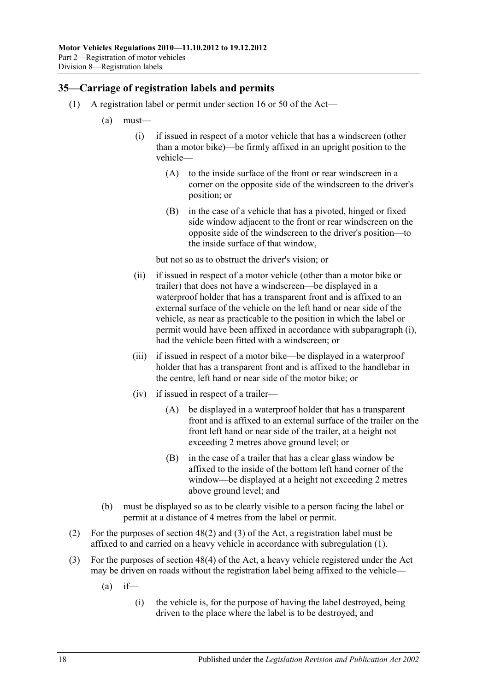## <span id="page-27-2"></span><span id="page-27-0"></span>**35—Carriage of registration labels and permits**

- <span id="page-27-1"></span>(1) A registration label or permit under section 16 or 50 of the Act—
	- (a) must—
		- (i) if issued in respect of a motor vehicle that has a windscreen (other than a motor bike)—be firmly affixed in an upright position to the vehicle—
			- (A) to the inside surface of the front or rear windscreen in a corner on the opposite side of the windscreen to the driver's position; or
			- (B) in the case of a vehicle that has a pivoted, hinged or fixed side window adjacent to the front or rear windscreen on the opposite side of the windscreen to the driver's position—to the inside surface of that window,

but not so as to obstruct the driver's vision; or

- (ii) if issued in respect of a motor vehicle (other than a motor bike or trailer) that does not have a windscreen—be displayed in a waterproof holder that has a transparent front and is affixed to an external surface of the vehicle on the left hand or near side of the vehicle, as near as practicable to the position in which the label or permit would have been affixed in accordance with [subparagraph](#page-27-1) (i), had the vehicle been fitted with a windscreen; or
- (iii) if issued in respect of a motor bike—be displayed in a waterproof holder that has a transparent front and is affixed to the handlebar in the centre, left hand or near side of the motor bike; or
- (iv) if issued in respect of a trailer—
	- (A) be displayed in a waterproof holder that has a transparent front and is affixed to an external surface of the trailer on the front left hand or near side of the trailer, at a height not exceeding 2 metres above ground level; or
	- (B) in the case of a trailer that has a clear glass window be affixed to the inside of the bottom left hand corner of the window—be displayed at a height not exceeding 2 metres above ground level; and
- (b) must be displayed so as to be clearly visible to a person facing the label or permit at a distance of 4 metres from the label or permit.
- (2) For the purposes of section 48(2) and (3) of the Act, a registration label must be affixed to and carried on a heavy vehicle in accordance with [subregulation](#page-27-2) (1).
- (3) For the purposes of section 48(4) of the Act, a heavy vehicle registered under the Act may be driven on roads without the registration label being affixed to the vehicle—
	- $(a)$  if—
		- (i) the vehicle is, for the purpose of having the label destroyed, being driven to the place where the label is to be destroyed; and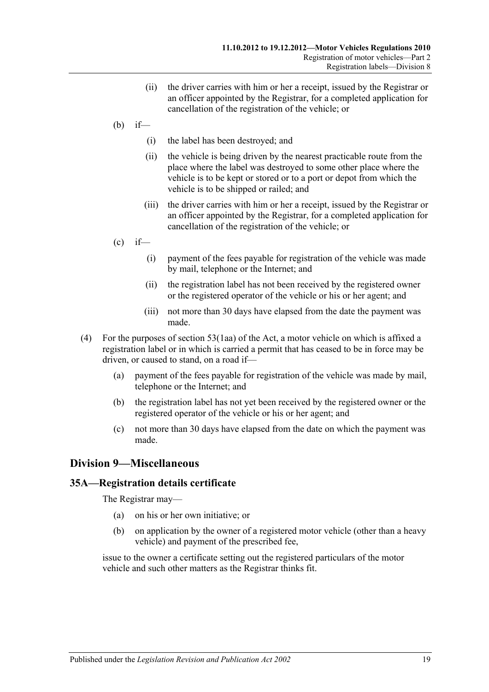- (ii) the driver carries with him or her a receipt, issued by the Registrar or an officer appointed by the Registrar, for a completed application for cancellation of the registration of the vehicle; or
- $(b)$  if—
	- (i) the label has been destroyed; and
	- (ii) the vehicle is being driven by the nearest practicable route from the place where the label was destroyed to some other place where the vehicle is to be kept or stored or to a port or depot from which the vehicle is to be shipped or railed; and
	- (iii) the driver carries with him or her a receipt, issued by the Registrar or an officer appointed by the Registrar, for a completed application for cancellation of the registration of the vehicle; or
- $\int_{c}^{c}$  if—
	- (i) payment of the fees payable for registration of the vehicle was made by mail, telephone or the Internet; and
	- (ii) the registration label has not been received by the registered owner or the registered operator of the vehicle or his or her agent; and
	- (iii) not more than 30 days have elapsed from the date the payment was made.
- (4) For the purposes of section 53(1aa) of the Act, a motor vehicle on which is affixed a registration label or in which is carried a permit that has ceased to be in force may be driven, or caused to stand, on a road if—
	- (a) payment of the fees payable for registration of the vehicle was made by mail, telephone or the Internet; and
	- (b) the registration label has not yet been received by the registered owner or the registered operator of the vehicle or his or her agent; and
	- (c) not more than 30 days have elapsed from the date on which the payment was made.

# <span id="page-28-0"></span>**Division 9—Miscellaneous**

## <span id="page-28-1"></span>**35A—Registration details certificate**

The Registrar may—

- (a) on his or her own initiative; or
- (b) on application by the owner of a registered motor vehicle (other than a heavy vehicle) and payment of the prescribed fee,

issue to the owner a certificate setting out the registered particulars of the motor vehicle and such other matters as the Registrar thinks fit.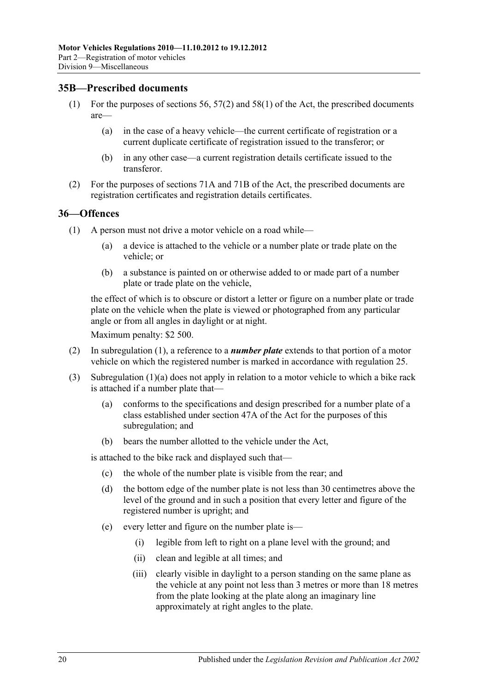## <span id="page-29-0"></span>**35B—Prescribed documents**

- (1) For the purposes of sections 56, 57(2) and 58(1) of the Act, the prescribed documents are—
	- (a) in the case of a heavy vehicle—the current certificate of registration or a current duplicate certificate of registration issued to the transferor; or
	- (b) in any other case—a current registration details certificate issued to the transferor.
- (2) For the purposes of sections 71A and 71B of the Act, the prescribed documents are registration certificates and registration details certificates.

#### <span id="page-29-2"></span><span id="page-29-1"></span>**36—Offences**

- <span id="page-29-3"></span>(1) A person must not drive a motor vehicle on a road while—
	- (a) a device is attached to the vehicle or a number plate or trade plate on the vehicle; or
	- (b) a substance is painted on or otherwise added to or made part of a number plate or trade plate on the vehicle,

the effect of which is to obscure or distort a letter or figure on a number plate or trade plate on the vehicle when the plate is viewed or photographed from any particular angle or from all angles in daylight or at night.

Maximum penalty: \$2 500.

- (2) In [subregulation](#page-29-2) (1), a reference to a *number plate* extends to that portion of a motor vehicle on which the registered number is marked in accordance with [regulation](#page-19-2) 25.
- (3) [Subregulation](#page-29-3) (1)(a) does not apply in relation to a motor vehicle to which a bike rack is attached if a number plate that—
	- (a) conforms to the specifications and design prescribed for a number plate of a class established under section 47A of the Act for the purposes of this subregulation; and
	- (b) bears the number allotted to the vehicle under the Act,

is attached to the bike rack and displayed such that—

- (c) the whole of the number plate is visible from the rear; and
- (d) the bottom edge of the number plate is not less than 30 centimetres above the level of the ground and in such a position that every letter and figure of the registered number is upright; and
- (e) every letter and figure on the number plate is—
	- (i) legible from left to right on a plane level with the ground; and
	- (ii) clean and legible at all times; and
	- (iii) clearly visible in daylight to a person standing on the same plane as the vehicle at any point not less than 3 metres or more than 18 metres from the plate looking at the plate along an imaginary line approximately at right angles to the plate.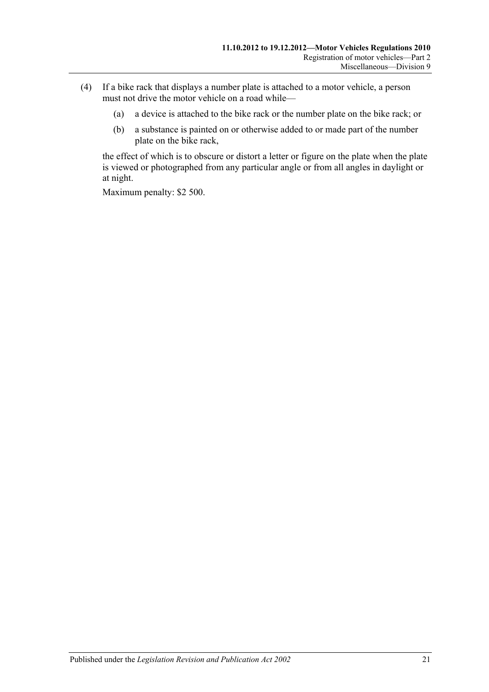- (4) If a bike rack that displays a number plate is attached to a motor vehicle, a person must not drive the motor vehicle on a road while—
	- (a) a device is attached to the bike rack or the number plate on the bike rack; or
	- (b) a substance is painted on or otherwise added to or made part of the number plate on the bike rack,

the effect of which is to obscure or distort a letter or figure on the plate when the plate is viewed or photographed from any particular angle or from all angles in daylight or at night.

Maximum penalty: \$2 500.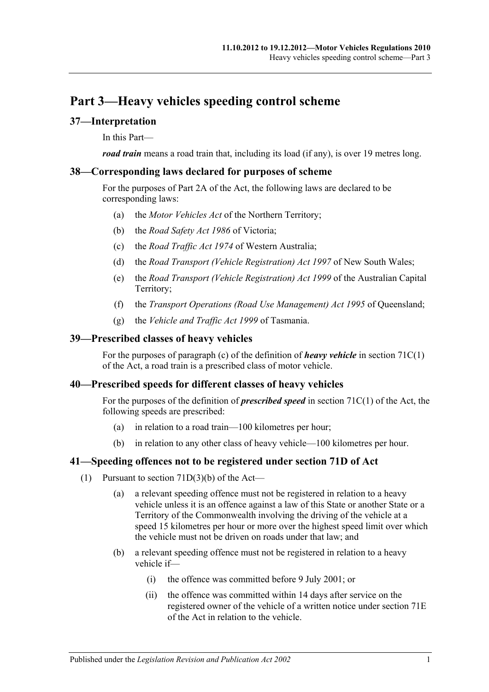# <span id="page-32-0"></span>**Part 3—Heavy vehicles speeding control scheme**

## <span id="page-32-1"></span>**37—Interpretation**

In this Part—

*road train* means a road train that, including its load (if any), is over 19 metres long.

## <span id="page-32-2"></span>**38—Corresponding laws declared for purposes of scheme**

For the purposes of Part 2A of the Act, the following laws are declared to be corresponding laws:

- (a) the *Motor Vehicles Act* of the Northern Territory;
- (b) the *Road Safety Act 1986* of Victoria;
- (c) the *Road Traffic Act 1974* of Western Australia;
- (d) the *Road Transport (Vehicle Registration) Act 1997* of New South Wales;
- (e) the *Road Transport (Vehicle Registration) Act 1999* of the Australian Capital Territory;
- (f) the *Transport Operations (Road Use Management) Act 1995* of Queensland;
- (g) the *Vehicle and Traffic Act 1999* of Tasmania.

## <span id="page-32-3"></span>**39—Prescribed classes of heavy vehicles**

For the purposes of paragraph (c) of the definition of *heavy vehicle* in section 71C(1) of the Act, a road train is a prescribed class of motor vehicle.

## <span id="page-32-4"></span>**40—Prescribed speeds for different classes of heavy vehicles**

For the purposes of the definition of *prescribed speed* in section 71C(1) of the Act, the following speeds are prescribed:

- (a) in relation to a road train—100 kilometres per hour;
- (b) in relation to any other class of heavy vehicle—100 kilometres per hour.

## <span id="page-32-5"></span>**41—Speeding offences not to be registered under section 71D of Act**

- (1) Pursuant to section  $71D(3)(b)$  of the Act—
	- (a) a relevant speeding offence must not be registered in relation to a heavy vehicle unless it is an offence against a law of this State or another State or a Territory of the Commonwealth involving the driving of the vehicle at a speed 15 kilometres per hour or more over the highest speed limit over which the vehicle must not be driven on roads under that law; and
	- (b) a relevant speeding offence must not be registered in relation to a heavy vehicle if—
		- (i) the offence was committed before 9 July 2001; or
		- (ii) the offence was committed within 14 days after service on the registered owner of the vehicle of a written notice under section 71E of the Act in relation to the vehicle.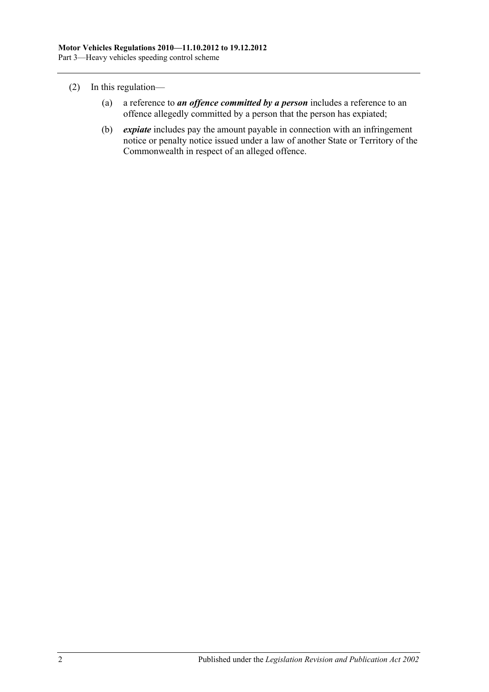- (2) In this regulation—
	- (a) a reference to *an offence committed by a person* includes a reference to an offence allegedly committed by a person that the person has expiated;
	- (b) *expiate* includes pay the amount payable in connection with an infringement notice or penalty notice issued under a law of another State or Territory of the Commonwealth in respect of an alleged offence.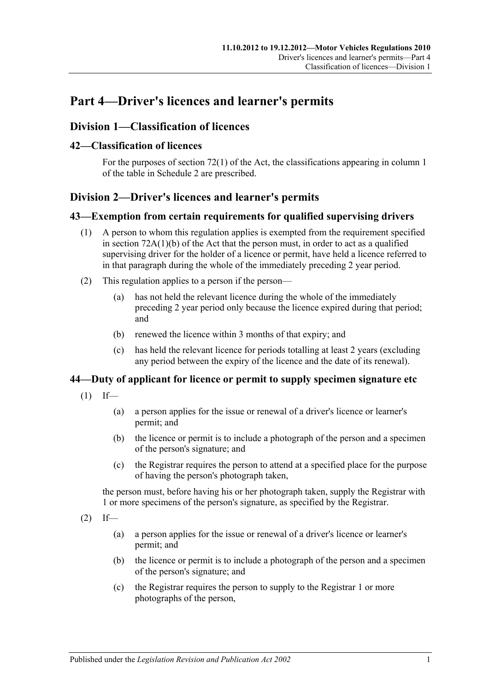# <span id="page-34-0"></span>**Part 4—Driver's licences and learner's permits**

# <span id="page-34-1"></span>**Division 1—Classification of licences**

## <span id="page-34-2"></span>**42—Classification of licences**

For the purposes of section 72(1) of the Act, the classifications appearing in column 1 of the table in [Schedule 2](#page-80-0) are prescribed.

# <span id="page-34-3"></span>**Division 2—Driver's licences and learner's permits**

## <span id="page-34-4"></span>**43—Exemption from certain requirements for qualified supervising drivers**

- (1) A person to whom this regulation applies is exempted from the requirement specified in section 72A(1)(b) of the Act that the person must, in order to act as a qualified supervising driver for the holder of a licence or permit, have held a licence referred to in that paragraph during the whole of the immediately preceding 2 year period.
- (2) This regulation applies to a person if the person—
	- (a) has not held the relevant licence during the whole of the immediately preceding 2 year period only because the licence expired during that period; and
	- (b) renewed the licence within 3 months of that expiry; and
	- (c) has held the relevant licence for periods totalling at least 2 years (excluding any period between the expiry of the licence and the date of its renewal).

# <span id="page-34-5"></span>**44—Duty of applicant for licence or permit to supply specimen signature etc**

- $(1)$  If—
	- (a) a person applies for the issue or renewal of a driver's licence or learner's permit; and
	- (b) the licence or permit is to include a photograph of the person and a specimen of the person's signature; and
	- (c) the Registrar requires the person to attend at a specified place for the purpose of having the person's photograph taken,

the person must, before having his or her photograph taken, supply the Registrar with 1 or more specimens of the person's signature, as specified by the Registrar.

- $(2)$  If—
	- (a) a person applies for the issue or renewal of a driver's licence or learner's permit; and
	- (b) the licence or permit is to include a photograph of the person and a specimen of the person's signature; and
	- (c) the Registrar requires the person to supply to the Registrar 1 or more photographs of the person,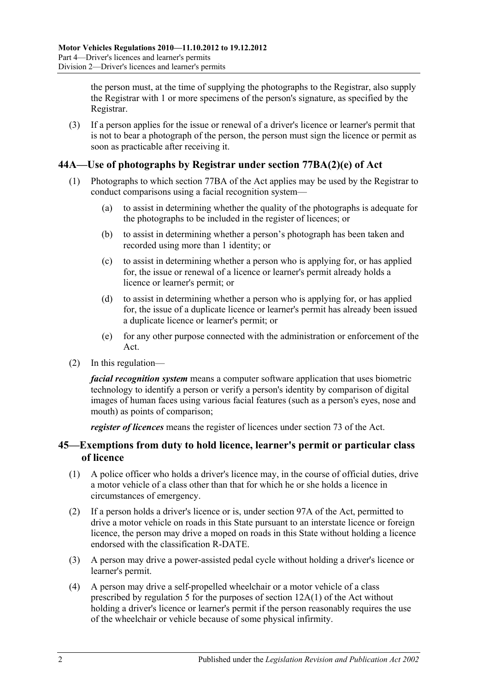the person must, at the time of supplying the photographs to the Registrar, also supply the Registrar with 1 or more specimens of the person's signature, as specified by the Registrar.

(3) If a person applies for the issue or renewal of a driver's licence or learner's permit that is not to bear a photograph of the person, the person must sign the licence or permit as soon as practicable after receiving it.

# <span id="page-35-0"></span>**44A—Use of photographs by Registrar under section 77BA(2)(e) of Act**

- (1) Photographs to which section 77BA of the Act applies may be used by the Registrar to conduct comparisons using a facial recognition system—
	- (a) to assist in determining whether the quality of the photographs is adequate for the photographs to be included in the register of licences; or
	- (b) to assist in determining whether a person's photograph has been taken and recorded using more than 1 identity; or
	- (c) to assist in determining whether a person who is applying for, or has applied for, the issue or renewal of a licence or learner's permit already holds a licence or learner's permit; or
	- (d) to assist in determining whether a person who is applying for, or has applied for, the issue of a duplicate licence or learner's permit has already been issued a duplicate licence or learner's permit; or
	- (e) for any other purpose connected with the administration or enforcement of the Act.
- (2) In this regulation—

*facial recognition system* means a computer software application that uses biometric technology to identify a person or verify a person's identity by comparison of digital images of human faces using various facial features (such as a person's eyes, nose and mouth) as points of comparison;

*register of licences* means the register of licences under section 73 of the Act.

## <span id="page-35-1"></span>**45—Exemptions from duty to hold licence, learner's permit or particular class of licence**

- (1) A police officer who holds a driver's licence may, in the course of official duties, drive a motor vehicle of a class other than that for which he or she holds a licence in circumstances of emergency.
- (2) If a person holds a driver's licence or is, under section 97A of the Act, permitted to drive a motor vehicle on roads in this State pursuant to an interstate licence or foreign licence, the person may drive a moped on roads in this State without holding a licence endorsed with the classification R-DATE.
- (3) A person may drive a power-assisted pedal cycle without holding a driver's licence or learner's permit.
- (4) A person may drive a self-propelled wheelchair or a motor vehicle of a class prescribed by [regulation](#page-10-2) 5 for the purposes of section 12A(1) of the Act without holding a driver's licence or learner's permit if the person reasonably requires the use of the wheelchair or vehicle because of some physical infirmity.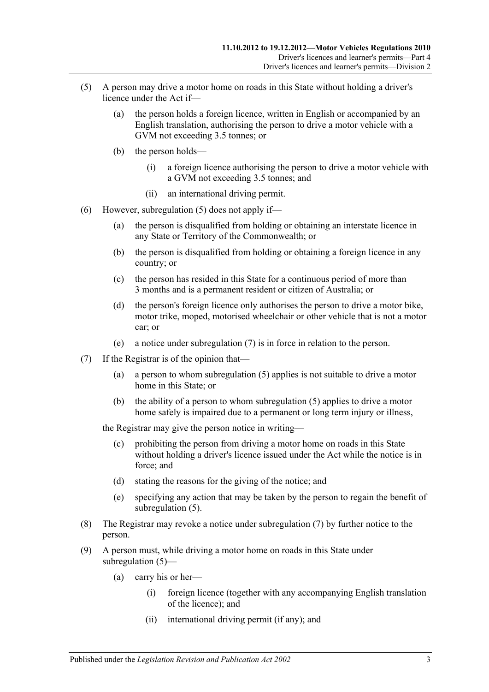- <span id="page-36-0"></span>(5) A person may drive a motor home on roads in this State without holding a driver's licence under the Act if—
	- (a) the person holds a foreign licence, written in English or accompanied by an English translation, authorising the person to drive a motor vehicle with a GVM not exceeding 3.5 tonnes; or
	- (b) the person holds—
		- (i) a foreign licence authorising the person to drive a motor vehicle with a GVM not exceeding 3.5 tonnes; and
		- (ii) an international driving permit.
- (6) However, [subregulation](#page-36-0) (5) does not apply if—
	- (a) the person is disqualified from holding or obtaining an interstate licence in any State or Territory of the Commonwealth; or
	- (b) the person is disqualified from holding or obtaining a foreign licence in any country; or
	- (c) the person has resided in this State for a continuous period of more than 3 months and is a permanent resident or citizen of Australia; or
	- (d) the person's foreign licence only authorises the person to drive a motor bike, motor trike, moped, motorised wheelchair or other vehicle that is not a motor car; or
	- (e) a notice under [subregulation](#page-36-1) (7) is in force in relation to the person.
- <span id="page-36-1"></span>(7) If the Registrar is of the opinion that—
	- (a) a person to whom [subregulation](#page-36-0) (5) applies is not suitable to drive a motor home in this State; or
	- (b) the ability of a person to whom [subregulation](#page-36-0) (5) applies to drive a motor home safely is impaired due to a permanent or long term injury or illness,

the Registrar may give the person notice in writing—

- (c) prohibiting the person from driving a motor home on roads in this State without holding a driver's licence issued under the Act while the notice is in force; and
- (d) stating the reasons for the giving of the notice; and
- (e) specifying any action that may be taken by the person to regain the benefit of [subregulation](#page-36-0) (5).
- (8) The Registrar may revoke a notice under [subregulation](#page-36-1) (7) by further notice to the person.
- (9) A person must, while driving a motor home on roads in this State under [subregulation](#page-36-0) (5)—
	- (a) carry his or her—
		- (i) foreign licence (together with any accompanying English translation of the licence); and
		- (ii) international driving permit (if any); and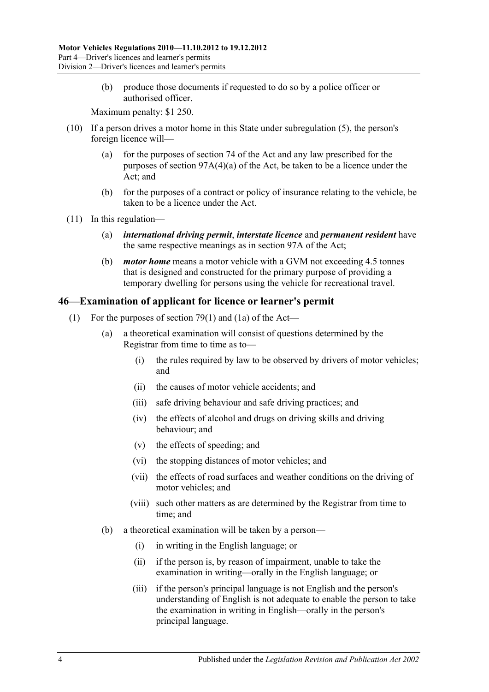(b) produce those documents if requested to do so by a police officer or authorised officer.

Maximum penalty: \$1 250.

- (10) If a person drives a motor home in this State under [subregulation](#page-36-0) (5), the person's foreign licence will—
	- (a) for the purposes of section 74 of the Act and any law prescribed for the purposes of section 97A(4)(a) of the Act, be taken to be a licence under the Act; and
	- (b) for the purposes of a contract or policy of insurance relating to the vehicle, be taken to be a licence under the Act.
- (11) In this regulation—
	- (a) *international driving permit*, *interstate licence* and *permanent resident* have the same respective meanings as in section 97A of the Act;
	- (b) *motor home* means a motor vehicle with a GVM not exceeding 4.5 tonnes that is designed and constructed for the primary purpose of providing a temporary dwelling for persons using the vehicle for recreational travel.

## **46—Examination of applicant for licence or learner's permit**

- (1) For the purposes of section 79(1) and (1a) of the Act—
	- (a) a theoretical examination will consist of questions determined by the Registrar from time to time as to—
		- (i) the rules required by law to be observed by drivers of motor vehicles; and
		- (ii) the causes of motor vehicle accidents; and
		- (iii) safe driving behaviour and safe driving practices; and
		- (iv) the effects of alcohol and drugs on driving skills and driving behaviour; and
		- (v) the effects of speeding; and
		- (vi) the stopping distances of motor vehicles; and
		- (vii) the effects of road surfaces and weather conditions on the driving of motor vehicles; and
		- (viii) such other matters as are determined by the Registrar from time to time; and
	- (b) a theoretical examination will be taken by a person—
		- (i) in writing in the English language; or
		- (ii) if the person is, by reason of impairment, unable to take the examination in writing—orally in the English language; or
		- (iii) if the person's principal language is not English and the person's understanding of English is not adequate to enable the person to take the examination in writing in English—orally in the person's principal language.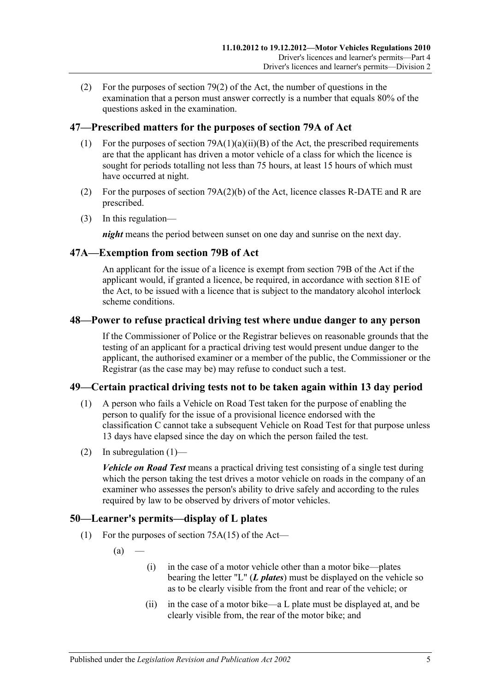(2) For the purposes of section 79(2) of the Act, the number of questions in the examination that a person must answer correctly is a number that equals 80% of the questions asked in the examination.

## **47—Prescribed matters for the purposes of section 79A of Act**

- (1) For the purposes of section  $79A(1)(a)(ii)(B)$  of the Act, the prescribed requirements are that the applicant has driven a motor vehicle of a class for which the licence is sought for periods totalling not less than 75 hours, at least 15 hours of which must have occurred at night.
- (2) For the purposes of section 79A(2)(b) of the Act, licence classes R-DATE and R are prescribed.
- (3) In this regulation—

*night* means the period between sunset on one day and sunrise on the next day.

## **47A—Exemption from section 79B of Act**

An applicant for the issue of a licence is exempt from section 79B of the Act if the applicant would, if granted a licence, be required, in accordance with section 81E of the Act, to be issued with a licence that is subject to the mandatory alcohol interlock scheme conditions.

### **48—Power to refuse practical driving test where undue danger to any person**

If the Commissioner of Police or the Registrar believes on reasonable grounds that the testing of an applicant for a practical driving test would present undue danger to the applicant, the authorised examiner or a member of the public, the Commissioner or the Registrar (as the case may be) may refuse to conduct such a test.

## <span id="page-38-0"></span>**49—Certain practical driving tests not to be taken again within 13 day period**

- (1) A person who fails a Vehicle on Road Test taken for the purpose of enabling the person to qualify for the issue of a provisional licence endorsed with the classification C cannot take a subsequent Vehicle on Road Test for that purpose unless 13 days have elapsed since the day on which the person failed the test.
- (2) In [subregulation](#page-38-0)  $(1)$ —

*Vehicle on Road Test* means a practical driving test consisting of a single test during which the person taking the test drives a motor vehicle on roads in the company of an examiner who assesses the person's ability to drive safely and according to the rules required by law to be observed by drivers of motor vehicles.

## **50—Learner's permits—display of L plates**

- (1) For the purposes of section 75A(15) of the Act—
	- $(a)$
- (i) in the case of a motor vehicle other than a motor bike—plates bearing the letter "L" (*L plates*) must be displayed on the vehicle so as to be clearly visible from the front and rear of the vehicle; or
- (ii) in the case of a motor bike—a L plate must be displayed at, and be clearly visible from, the rear of the motor bike; and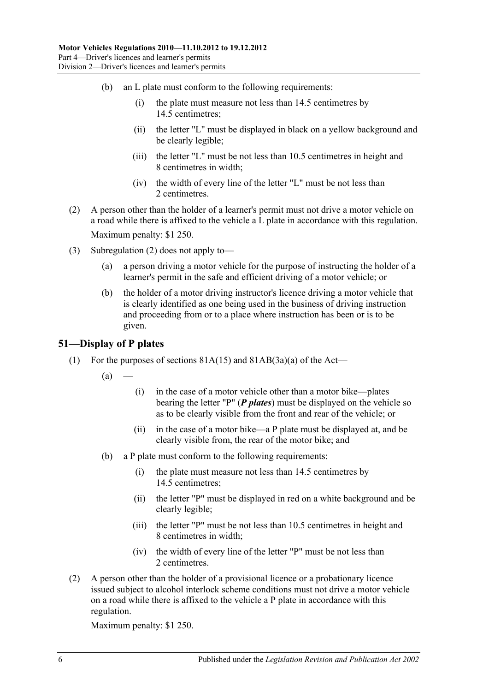- (b) an L plate must conform to the following requirements:
	- (i) the plate must measure not less than 14.5 centimetres by 14.5 centimetres;
	- (ii) the letter "L" must be displayed in black on a yellow background and be clearly legible;
	- (iii) the letter "L" must be not less than 10.5 centimetres in height and 8 centimetres in width;
	- (iv) the width of every line of the letter "L" must be not less than 2 centimetres.
- <span id="page-39-0"></span>(2) A person other than the holder of a learner's permit must not drive a motor vehicle on a road while there is affixed to the vehicle a  $\overline{L}$  plate in accordance with this regulation. Maximum penalty: \$1 250.
- (3) [Subregulation](#page-39-0) (2) does not apply to—
	- (a) a person driving a motor vehicle for the purpose of instructing the holder of a learner's permit in the safe and efficient driving of a motor vehicle; or
	- (b) the holder of a motor driving instructor's licence driving a motor vehicle that is clearly identified as one being used in the business of driving instruction and proceeding from or to a place where instruction has been or is to be given.

#### **51—Display of P plates**

- (1) For the purposes of sections  $81A(15)$  and  $81AB(3a)(a)$  of the Act—
	- $(a)$ 
		- (i) in the case of a motor vehicle other than a motor bike—plates bearing the letter "P" (*P plates*) must be displayed on the vehicle so as to be clearly visible from the front and rear of the vehicle; or
		- (ii) in the case of a motor bike—a P plate must be displayed at, and be clearly visible from, the rear of the motor bike; and
	- (b) a P plate must conform to the following requirements:
		- (i) the plate must measure not less than 14.5 centimetres by 14.5 centimetres;
		- (ii) the letter "P" must be displayed in red on a white background and be clearly legible;
		- (iii) the letter "P" must be not less than 10.5 centimetres in height and 8 centimetres in width;
		- (iv) the width of every line of the letter "P" must be not less than 2 centimetres.
- (2) A person other than the holder of a provisional licence or a probationary licence issued subject to alcohol interlock scheme conditions must not drive a motor vehicle on a road while there is affixed to the vehicle a P plate in accordance with this regulation.

Maximum penalty: \$1 250.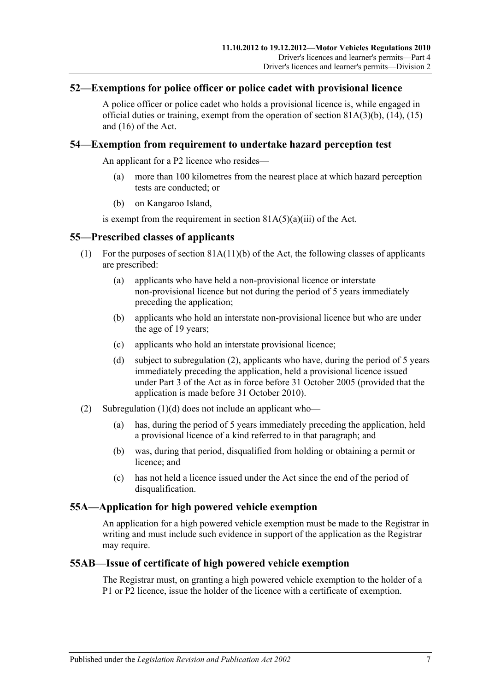## **52—Exemptions for police officer or police cadet with provisional licence**

A police officer or police cadet who holds a provisional licence is, while engaged in official duties or training, exempt from the operation of section  $81A(3)(b)$ ,  $(14)$ ,  $(15)$ and (16) of the Act.

## **54—Exemption from requirement to undertake hazard perception test**

An applicant for a P2 licence who resides—

- (a) more than 100 kilometres from the nearest place at which hazard perception tests are conducted; or
- (b) on Kangaroo Island,

is exempt from the requirement in section  $81A(5)(a)(iii)$  of the Act.

## **55—Prescribed classes of applicants**

- (1) For the purposes of section 81A(11)(b) of the Act, the following classes of applicants are prescribed:
	- (a) applicants who have held a non-provisional licence or interstate non-provisional licence but not during the period of 5 years immediately preceding the application;
	- (b) applicants who hold an interstate non-provisional licence but who are under the age of 19 years;
	- (c) applicants who hold an interstate provisional licence;
	- (d) subject to [subregulation](#page-40-0) (2), applicants who have, during the period of 5 years immediately preceding the application, held a provisional licence issued under Part 3 of the Act as in force before 31 October 2005 (provided that the application is made before 31 October 2010).
- <span id="page-40-1"></span><span id="page-40-0"></span>(2) [Subregulation](#page-40-1) (1)(d) does not include an applicant who—
	- (a) has, during the period of 5 years immediately preceding the application, held a provisional licence of a kind referred to in that paragraph; and
	- (b) was, during that period, disqualified from holding or obtaining a permit or licence; and
	- (c) has not held a licence issued under the Act since the end of the period of disqualification.

## **55A—Application for high powered vehicle exemption**

An application for a high powered vehicle exemption must be made to the Registrar in writing and must include such evidence in support of the application as the Registrar may require.

## **55AB—Issue of certificate of high powered vehicle exemption**

The Registrar must, on granting a high powered vehicle exemption to the holder of a P1 or P2 licence, issue the holder of the licence with a certificate of exemption.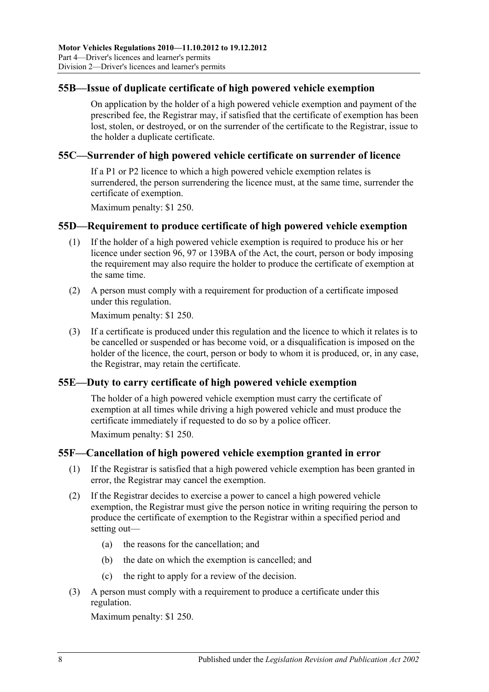## **55B—Issue of duplicate certificate of high powered vehicle exemption**

On application by the holder of a high powered vehicle exemption and payment of the prescribed fee, the Registrar may, if satisfied that the certificate of exemption has been lost, stolen, or destroyed, or on the surrender of the certificate to the Registrar, issue to the holder a duplicate certificate.

## **55C—Surrender of high powered vehicle certificate on surrender of licence**

If a P1 or P2 licence to which a high powered vehicle exemption relates is surrendered, the person surrendering the licence must, at the same time, surrender the certificate of exemption.

Maximum penalty: \$1 250.

### **55D—Requirement to produce certificate of high powered vehicle exemption**

- (1) If the holder of a high powered vehicle exemption is required to produce his or her licence under section 96, 97 or 139BA of the Act, the court, person or body imposing the requirement may also require the holder to produce the certificate of exemption at the same time.
- (2) A person must comply with a requirement for production of a certificate imposed under this regulation.

Maximum penalty: \$1 250.

(3) If a certificate is produced under this regulation and the licence to which it relates is to be cancelled or suspended or has become void, or a disqualification is imposed on the holder of the licence, the court, person or body to whom it is produced, or, in any case, the Registrar, may retain the certificate.

## **55E—Duty to carry certificate of high powered vehicle exemption**

The holder of a high powered vehicle exemption must carry the certificate of exemption at all times while driving a high powered vehicle and must produce the certificate immediately if requested to do so by a police officer.

Maximum penalty: \$1 250.

## **55F—Cancellation of high powered vehicle exemption granted in error**

- (1) If the Registrar is satisfied that a high powered vehicle exemption has been granted in error, the Registrar may cancel the exemption.
- (2) If the Registrar decides to exercise a power to cancel a high powered vehicle exemption, the Registrar must give the person notice in writing requiring the person to produce the certificate of exemption to the Registrar within a specified period and setting out—
	- (a) the reasons for the cancellation; and
	- (b) the date on which the exemption is cancelled; and
	- (c) the right to apply for a review of the decision.
- (3) A person must comply with a requirement to produce a certificate under this regulation.

Maximum penalty: \$1 250.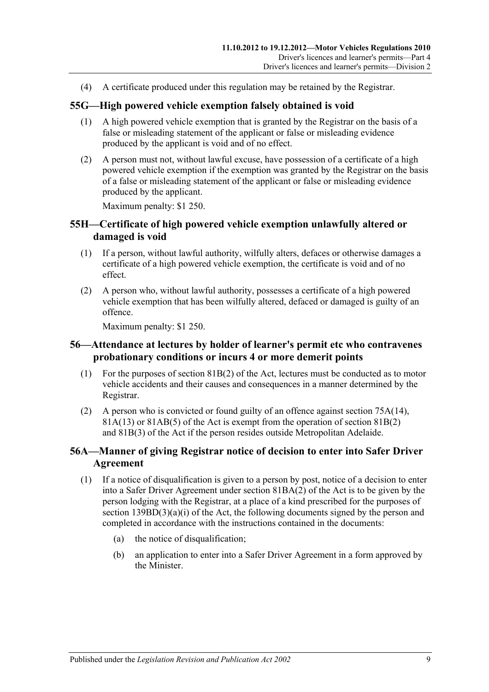(4) A certificate produced under this regulation may be retained by the Registrar.

### **55G—High powered vehicle exemption falsely obtained is void**

- (1) A high powered vehicle exemption that is granted by the Registrar on the basis of a false or misleading statement of the applicant or false or misleading evidence produced by the applicant is void and of no effect.
- (2) A person must not, without lawful excuse, have possession of a certificate of a high powered vehicle exemption if the exemption was granted by the Registrar on the basis of a false or misleading statement of the applicant or false or misleading evidence produced by the applicant.

Maximum penalty: \$1 250.

## **55H—Certificate of high powered vehicle exemption unlawfully altered or damaged is void**

- (1) If a person, without lawful authority, wilfully alters, defaces or otherwise damages a certificate of a high powered vehicle exemption, the certificate is void and of no effect.
- (2) A person who, without lawful authority, possesses a certificate of a high powered vehicle exemption that has been wilfully altered, defaced or damaged is guilty of an offence.

Maximum penalty: \$1 250.

### **56—Attendance at lectures by holder of learner's permit etc who contravenes probationary conditions or incurs 4 or more demerit points**

- (1) For the purposes of section 81B(2) of the Act, lectures must be conducted as to motor vehicle accidents and their causes and consequences in a manner determined by the Registrar.
- (2) A person who is convicted or found guilty of an offence against section 75A(14), 81A(13) or 81AB(5) of the Act is exempt from the operation of section 81B(2) and 81B(3) of the Act if the person resides outside Metropolitan Adelaide.

## **56A—Manner of giving Registrar notice of decision to enter into Safer Driver Agreement**

- (1) If a notice of disqualification is given to a person by post, notice of a decision to enter into a Safer Driver Agreement under section 81BA(2) of the Act is to be given by the person lodging with the Registrar, at a place of a kind prescribed for the purposes of section 139BD(3)(a)(i) of the Act, the following documents signed by the person and completed in accordance with the instructions contained in the documents:
	- (a) the notice of disqualification;
	- (b) an application to enter into a Safer Driver Agreement in a form approved by the Minister.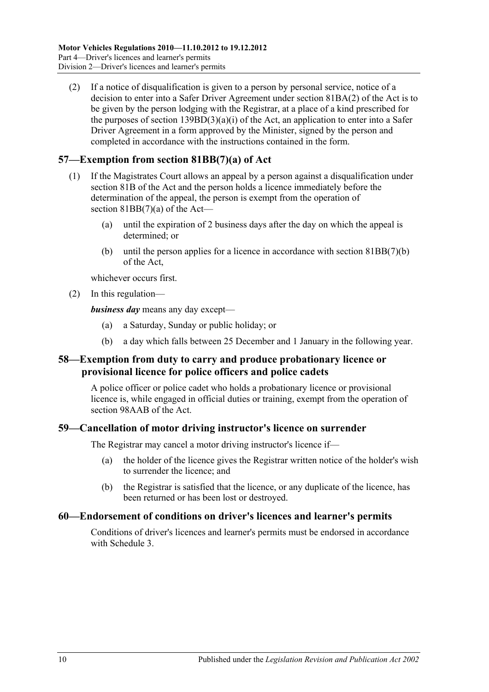(2) If a notice of disqualification is given to a person by personal service, notice of a decision to enter into a Safer Driver Agreement under section 81BA(2) of the Act is to be given by the person lodging with the Registrar, at a place of a kind prescribed for the purposes of section  $139BD(3)(a)(i)$  of the Act, an application to enter into a Safer Driver Agreement in a form approved by the Minister, signed by the person and completed in accordance with the instructions contained in the form.

## **57—Exemption from section 81BB(7)(a) of Act**

- (1) If the Magistrates Court allows an appeal by a person against a disqualification under section 81B of the Act and the person holds a licence immediately before the determination of the appeal, the person is exempt from the operation of section 81BB(7)(a) of the Act—
	- (a) until the expiration of 2 business days after the day on which the appeal is determined; or
	- (b) until the person applies for a licence in accordance with section 81BB(7)(b) of the Act,

whichever occurs first.

(2) In this regulation—

*business day* means any day except—

- (a) a Saturday, Sunday or public holiday; or
- (b) a day which falls between 25 December and 1 January in the following year.

## **58—Exemption from duty to carry and produce probationary licence or provisional licence for police officers and police cadets**

A police officer or police cadet who holds a probationary licence or provisional licence is, while engaged in official duties or training, exempt from the operation of section 98AAB of the Act.

## **59—Cancellation of motor driving instructor's licence on surrender**

The Registrar may cancel a motor driving instructor's licence if—

- (a) the holder of the licence gives the Registrar written notice of the holder's wish to surrender the licence; and
- (b) the Registrar is satisfied that the licence, or any duplicate of the licence, has been returned or has been lost or destroyed.

#### **60—Endorsement of conditions on driver's licences and learner's permits**

Conditions of driver's licences and learner's permits must be endorsed in accordance with [Schedule 3.](#page-84-0)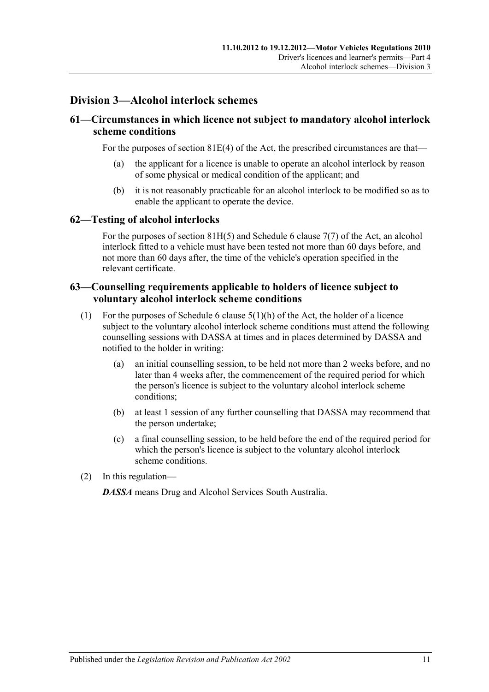## **Division 3—Alcohol interlock schemes**

## **61—Circumstances in which licence not subject to mandatory alcohol interlock scheme conditions**

For the purposes of section 81E(4) of the Act, the prescribed circumstances are that—

- (a) the applicant for a licence is unable to operate an alcohol interlock by reason of some physical or medical condition of the applicant; and
- (b) it is not reasonably practicable for an alcohol interlock to be modified so as to enable the applicant to operate the device.

## **62—Testing of alcohol interlocks**

For the purposes of section 81H(5) and Schedule 6 clause 7(7) of the Act, an alcohol interlock fitted to a vehicle must have been tested not more than 60 days before, and not more than 60 days after, the time of the vehicle's operation specified in the relevant certificate.

## **63—Counselling requirements applicable to holders of licence subject to voluntary alcohol interlock scheme conditions**

- (1) For the purposes of Schedule 6 clause  $5(1)(h)$  of the Act, the holder of a licence subject to the voluntary alcohol interlock scheme conditions must attend the following counselling sessions with DASSA at times and in places determined by DASSA and notified to the holder in writing:
	- (a) an initial counselling session, to be held not more than 2 weeks before, and no later than 4 weeks after, the commencement of the required period for which the person's licence is subject to the voluntary alcohol interlock scheme conditions;
	- (b) at least 1 session of any further counselling that DASSA may recommend that the person undertake;
	- (c) a final counselling session, to be held before the end of the required period for which the person's licence is subject to the voluntary alcohol interlock scheme conditions.
- (2) In this regulation—

*DASSA* means Drug and Alcohol Services South Australia.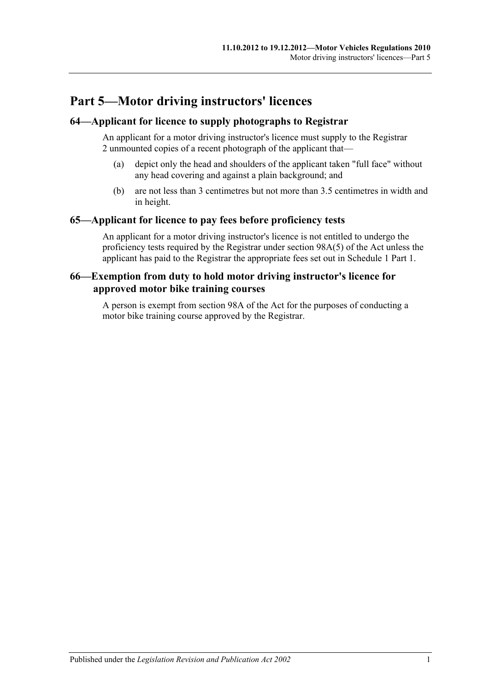# **Part 5—Motor driving instructors' licences**

## **64—Applicant for licence to supply photographs to Registrar**

An applicant for a motor driving instructor's licence must supply to the Registrar 2 unmounted copies of a recent photograph of the applicant that—

- (a) depict only the head and shoulders of the applicant taken "full face" without any head covering and against a plain background; and
- (b) are not less than 3 centimetres but not more than 3.5 centimetres in width and in height.

### **65—Applicant for licence to pay fees before proficiency tests**

An applicant for a motor driving instructor's licence is not entitled to undergo the proficiency tests required by the Registrar under section 98A(5) of the Act unless the applicant has paid to the Registrar the appropriate fees set out in Schedule 1 Part 1.

## **66—Exemption from duty to hold motor driving instructor's licence for approved motor bike training courses**

A person is exempt from section 98A of the Act for the purposes of conducting a motor bike training course approved by the Registrar.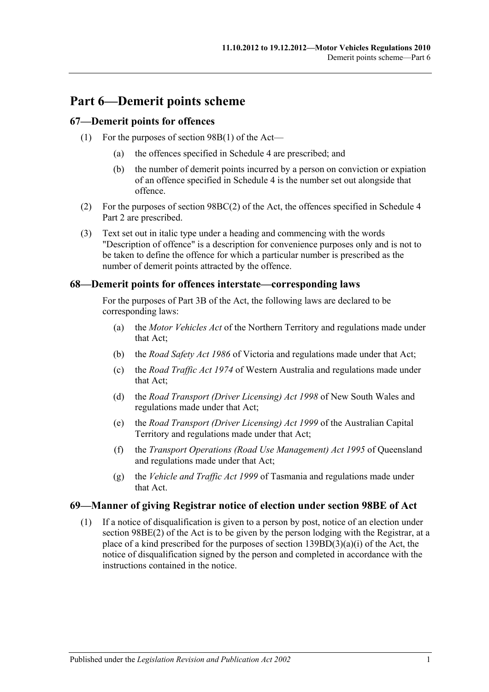# **Part 6—Demerit points scheme**

## **67—Demerit points for offences**

- (1) For the purposes of section 98B(1) of the Act—
	- (a) the offences specified in [Schedule 4](#page-86-0) are prescribed; and
	- (b) the number of demerit points incurred by a person on conviction or expiation of an offence specified in [Schedule 4](#page-86-0) is the number set out alongside that offence.
- (2) For the purposes of section 98BC(2) of the Act, the offences specified in Schedule 4 Part 2 are prescribed.
- (3) Text set out in italic type under a heading and commencing with the words "Description of offence" is a description for convenience purposes only and is not to be taken to define the offence for which a particular number is prescribed as the number of demerit points attracted by the offence.

### **68—Demerit points for offences interstate—corresponding laws**

For the purposes of Part 3B of the Act, the following laws are declared to be corresponding laws:

- (a) the *Motor Vehicles Act* of the Northern Territory and regulations made under that Act;
- (b) the *Road Safety Act 1986* of Victoria and regulations made under that Act;
- (c) the *Road Traffic Act 1974* of Western Australia and regulations made under that Act;
- (d) the *Road Transport (Driver Licensing) Act 1998* of New South Wales and regulations made under that Act;
- (e) the *Road Transport (Driver Licensing) Act 1999* of the Australian Capital Territory and regulations made under that Act;
- (f) the *Transport Operations (Road Use Management) Act 1995* of Queensland and regulations made under that Act;
- (g) the *Vehicle and Traffic Act 1999* of Tasmania and regulations made under that Act.

## **69—Manner of giving Registrar notice of election under section 98BE of Act**

(1) If a notice of disqualification is given to a person by post, notice of an election under section 98BE(2) of the Act is to be given by the person lodging with the Registrar, at a place of a kind prescribed for the purposes of section  $139BD(3)(a)(i)$  of the Act, the notice of disqualification signed by the person and completed in accordance with the instructions contained in the notice.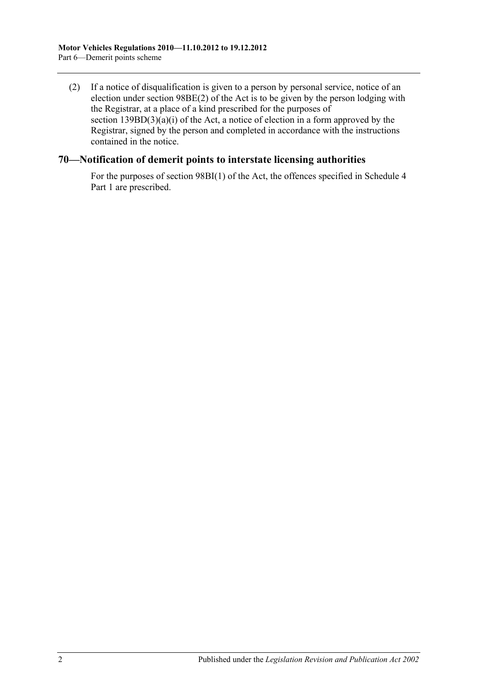(2) If a notice of disqualification is given to a person by personal service, notice of an election under section 98BE(2) of the Act is to be given by the person lodging with the Registrar, at a place of a kind prescribed for the purposes of section  $139BD(3)(a)(i)$  of the Act, a notice of election in a form approved by the Registrar, signed by the person and completed in accordance with the instructions contained in the notice.

### **70—Notification of demerit points to interstate licensing authorities**

For the purposes of section 98BI(1) of the Act, the offences specified in Schedule 4 Part 1 are prescribed.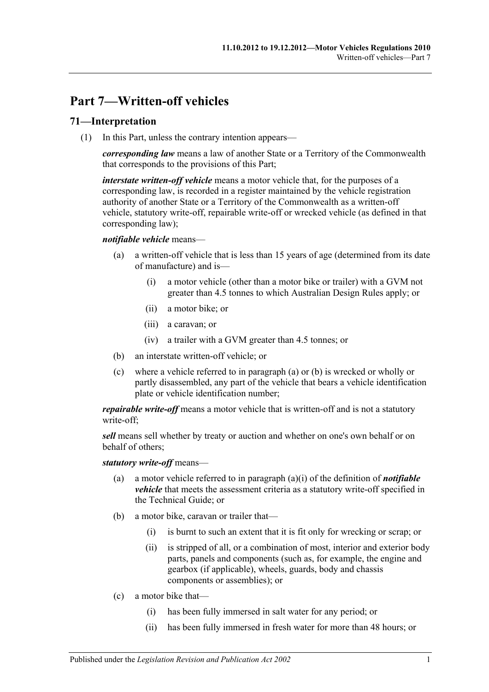# **Part 7—Written-off vehicles**

## **71—Interpretation**

(1) In this Part, unless the contrary intention appears—

*corresponding law* means a law of another State or a Territory of the Commonwealth that corresponds to the provisions of this Part;

*interstate written-off vehicle* means a motor vehicle that, for the purposes of a corresponding law, is recorded in a register maintained by the vehicle registration authority of another State or a Territory of the Commonwealth as a written-off vehicle, statutory write-off, repairable write-off or wrecked vehicle (as defined in that corresponding law);

#### <span id="page-50-0"></span>*notifiable vehicle* means—

- <span id="page-50-2"></span>(a) a written-off vehicle that is less than 15 years of age (determined from its date of manufacture) and is—
	- (i) a motor vehicle (other than a motor bike or trailer) with a GVM not greater than 4.5 tonnes to which Australian Design Rules apply; or
	- (ii) a motor bike; or
	- (iii) a caravan; or
	- (iv) a trailer with a GVM greater than 4.5 tonnes; or
- <span id="page-50-1"></span>(b) an interstate written-off vehicle; or
- (c) where a vehicle referred to in [paragraph](#page-50-0) (a) or [\(b\)](#page-50-1) is wrecked or wholly or partly disassembled, any part of the vehicle that bears a vehicle identification plate or vehicle identification number;

*repairable write-off* means a motor vehicle that is written-off and is not a statutory write-off;

*sell* means sell whether by treaty or auction and whether on one's own behalf or on behalf of others;

#### *statutory write-off* means—

- (a) a motor vehicle referred to in [paragraph](#page-50-2) (a)(i) of the definition of *notifiable vehicle* that meets the assessment criteria as a statutory write-off specified in the Technical Guide; or
- (b) a motor bike, caravan or trailer that—
	- (i) is burnt to such an extent that it is fit only for wrecking or scrap; or
	- (ii) is stripped of all, or a combination of most, interior and exterior body parts, panels and components (such as, for example, the engine and gearbox (if applicable), wheels, guards, body and chassis components or assemblies); or
- (c) a motor bike that—
	- (i) has been fully immersed in salt water for any period; or
	- (ii) has been fully immersed in fresh water for more than 48 hours; or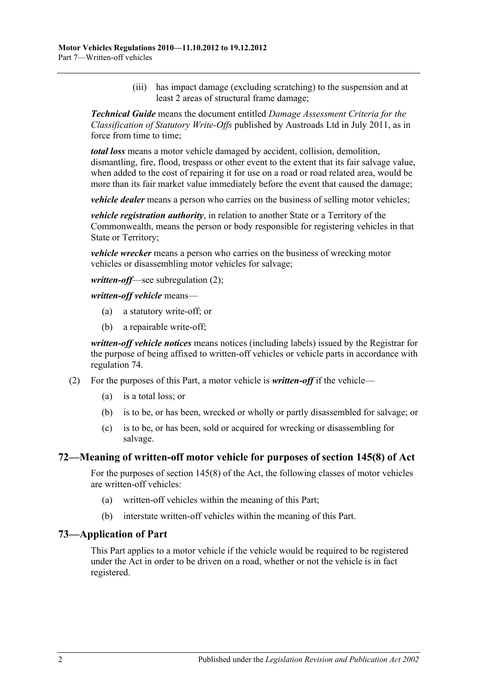(iii) has impact damage (excluding scratching) to the suspension and at least 2 areas of structural frame damage;

*Technical Guide* means the document entitled *Damage Assessment Criteria for the Classification of Statutory Write-Offs* published by Austroads Ltd in July 2011, as in force from time to time:

*total loss* means a motor vehicle damaged by accident, collision, demolition, dismantling, fire, flood, trespass or other event to the extent that its fair salvage value, when added to the cost of repairing it for use on a road or road related area, would be more than its fair market value immediately before the event that caused the damage;

*vehicle dealer* means a person who carries on the business of selling motor vehicles;

*vehicle registration authority*, in relation to another State or a Territory of the Commonwealth, means the person or body responsible for registering vehicles in that State or Territory;

*vehicle wrecker* means a person who carries on the business of wrecking motor vehicles or disassembling motor vehicles for salvage;

*written-off*—see [subregulation](#page-51-0) (2);

*written-off vehicle* means—

- (a) a statutory write-off; or
- (b) a repairable write-off;

*written-off vehicle notices* means notices (including labels) issued by the Registrar for the purpose of being affixed to written-off vehicles or vehicle parts in accordance with [regulation](#page-52-0) 74.

- <span id="page-51-0"></span>(2) For the purposes of this Part, a motor vehicle is *written-off* if the vehicle—
	- (a) is a total loss; or
	- (b) is to be, or has been, wrecked or wholly or partly disassembled for salvage; or
	- (c) is to be, or has been, sold or acquired for wrecking or disassembling for salvage.

#### **72—Meaning of written-off motor vehicle for purposes of section 145(8) of Act**

For the purposes of section 145(8) of the Act, the following classes of motor vehicles are written-off vehicles:

- (a) written-off vehicles within the meaning of this Part;
- (b) interstate written-off vehicles within the meaning of this Part.

#### **73—Application of Part**

This Part applies to a motor vehicle if the vehicle would be required to be registered under the Act in order to be driven on a road, whether or not the vehicle is in fact registered.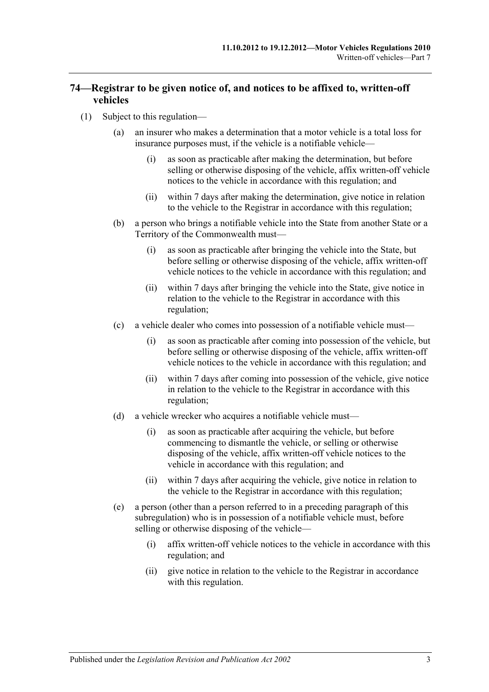## <span id="page-52-0"></span>**74—Registrar to be given notice of, and notices to be affixed to, written-off vehicles**

- <span id="page-52-4"></span><span id="page-52-3"></span><span id="page-52-2"></span><span id="page-52-1"></span>(1) Subject to this regulation—
	- (a) an insurer who makes a determination that a motor vehicle is a total loss for insurance purposes must, if the vehicle is a notifiable vehicle—
		- (i) as soon as practicable after making the determination, but before selling or otherwise disposing of the vehicle, affix written-off vehicle notices to the vehicle in accordance with this regulation; and
		- (ii) within 7 days after making the determination, give notice in relation to the vehicle to the Registrar in accordance with this regulation;
	- (b) a person who brings a notifiable vehicle into the State from another State or a Territory of the Commonwealth must—
		- (i) as soon as practicable after bringing the vehicle into the State, but before selling or otherwise disposing of the vehicle, affix written-off vehicle notices to the vehicle in accordance with this regulation; and
		- (ii) within 7 days after bringing the vehicle into the State, give notice in relation to the vehicle to the Registrar in accordance with this regulation;
	- (c) a vehicle dealer who comes into possession of a notifiable vehicle must—
		- (i) as soon as practicable after coming into possession of the vehicle, but before selling or otherwise disposing of the vehicle, affix written-off vehicle notices to the vehicle in accordance with this regulation; and
		- (ii) within 7 days after coming into possession of the vehicle, give notice in relation to the vehicle to the Registrar in accordance with this regulation;
	- (d) a vehicle wrecker who acquires a notifiable vehicle must—
		- (i) as soon as practicable after acquiring the vehicle, but before commencing to dismantle the vehicle, or selling or otherwise disposing of the vehicle, affix written-off vehicle notices to the vehicle in accordance with this regulation; and
		- (ii) within 7 days after acquiring the vehicle, give notice in relation to the vehicle to the Registrar in accordance with this regulation;
	- (e) a person (other than a person referred to in a preceding paragraph of this subregulation) who is in possession of a notifiable vehicle must, before selling or otherwise disposing of the vehicle—
		- (i) affix written-off vehicle notices to the vehicle in accordance with this regulation; and
		- (ii) give notice in relation to the vehicle to the Registrar in accordance with this regulation.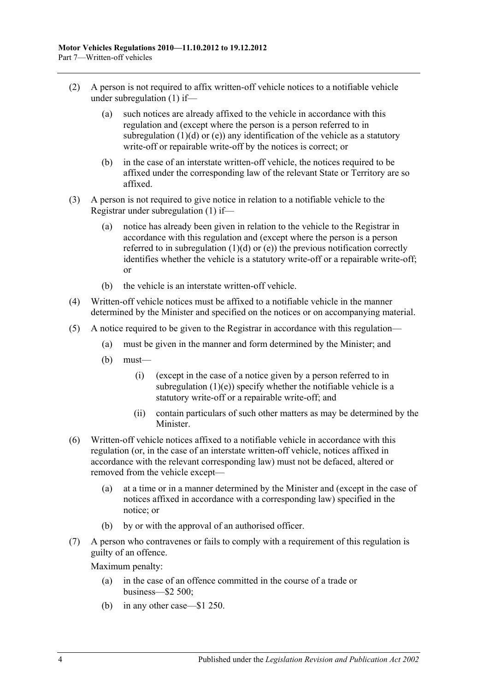- (2) A person is not required to affix written-off vehicle notices to a notifiable vehicle under [subregulation](#page-52-1) (1) if—
	- (a) such notices are already affixed to the vehicle in accordance with this regulation and (except where the person is a person referred to in [subregulation](#page-52-2)  $(1)(d)$  or  $(e)$ ) any identification of the vehicle as a statutory write-off or repairable write-off by the notices is correct; or
	- (b) in the case of an interstate written-off vehicle, the notices required to be affixed under the corresponding law of the relevant State or Territory are so affixed.
- (3) A person is not required to give notice in relation to a notifiable vehicle to the Registrar under [subregulation](#page-52-1) (1) if—
	- (a) notice has already been given in relation to the vehicle to the Registrar in accordance with this regulation and (except where the person is a person referred to in [subregulation](#page-52-2)  $(1)(d)$  or  $(e)$ ) the previous notification correctly identifies whether the vehicle is a statutory write-off or a repairable write-off; or
	- (b) the vehicle is an interstate written-off vehicle.
- (4) Written-off vehicle notices must be affixed to a notifiable vehicle in the manner determined by the Minister and specified on the notices or on accompanying material.
- (5) A notice required to be given to the Registrar in accordance with this regulation—
	- (a) must be given in the manner and form determined by the Minister; and
	- (b) must—
		- (i) (except in the case of a notice given by a person referred to in [subregulation](#page-52-3)  $(1)(e)$ ) specify whether the notifiable vehicle is a statutory write-off or a repairable write-off; and
		- (ii) contain particulars of such other matters as may be determined by the Minister.
- (6) Written-off vehicle notices affixed to a notifiable vehicle in accordance with this regulation (or, in the case of an interstate written-off vehicle, notices affixed in accordance with the relevant corresponding law) must not be defaced, altered or removed from the vehicle except—
	- (a) at a time or in a manner determined by the Minister and (except in the case of notices affixed in accordance with a corresponding law) specified in the notice; or
	- (b) by or with the approval of an authorised officer.
- (7) A person who contravenes or fails to comply with a requirement of this regulation is guilty of an offence.

Maximum penalty:

- (a) in the case of an offence committed in the course of a trade or business—\$2 500;
- (b) in any other case—\$1 250.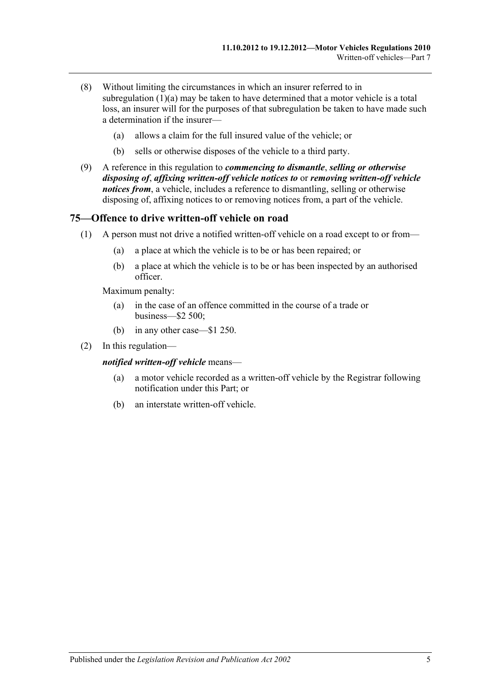- (8) Without limiting the circumstances in which an insurer referred to in [subregulation](#page-52-4)  $(1)(a)$  may be taken to have determined that a motor vehicle is a total loss, an insurer will for the purposes of that subregulation be taken to have made such a determination if the insurer—
	- (a) allows a claim for the full insured value of the vehicle; or
	- (b) sells or otherwise disposes of the vehicle to a third party.
- (9) A reference in this regulation to *commencing to dismantle*, *selling or otherwise disposing of*, *affixing written-off vehicle notices to* or *removing written-off vehicle notices from*, a vehicle, includes a reference to dismantling, selling or otherwise disposing of, affixing notices to or removing notices from, a part of the vehicle.

#### **75—Offence to drive written-off vehicle on road**

- (1) A person must not drive a notified written-off vehicle on a road except to or from—
	- (a) a place at which the vehicle is to be or has been repaired; or
	- (b) a place at which the vehicle is to be or has been inspected by an authorised officer.

Maximum penalty:

- (a) in the case of an offence committed in the course of a trade or business—\$2 500;
- (b) in any other case—\$1 250.
- (2) In this regulation—

#### *notified written-off vehicle* means—

- (a) a motor vehicle recorded as a written-off vehicle by the Registrar following notification under this Part; or
- (b) an interstate written-off vehicle.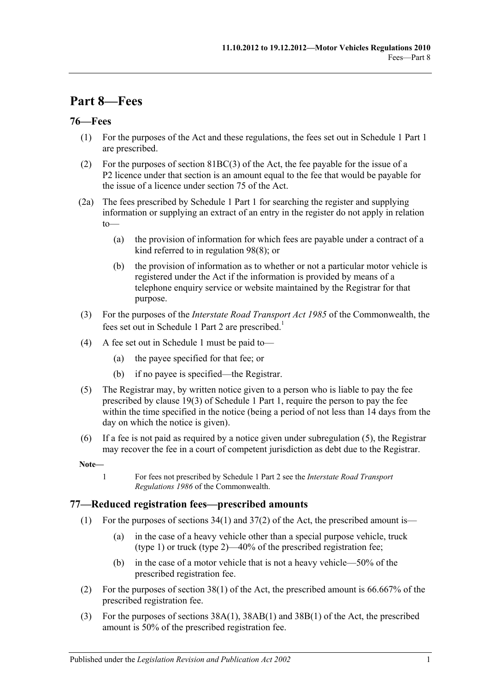# **Part 8—Fees**

## **76—Fees**

- (1) For the purposes of the Act and these regulations, the fees set out in Schedule 1 Part 1 are prescribed.
- (2) For the purposes of section 81BC(3) of the Act, the fee payable for the issue of a P2 licence under that section is an amount equal to the fee that would be payable for the issue of a licence under section 75 of the Act.
- (2a) The fees prescribed by Schedule 1 Part 1 for searching the register and supplying information or supplying an extract of an entry in the register do not apply in relation to—
	- (a) the provision of information for which fees are payable under a contract of a kind referred to in [regulation](#page-67-0) 98(8); or
	- (b) the provision of information as to whether or not a particular motor vehicle is registered under the Act if the information is provided by means of a telephone enquiry service or website maintained by the Registrar for that purpose.
- (3) For the purposes of the *Interstate Road Transport Act 1985* of the Commonwealth, the fees set out in Schedule 1 Part 2 are prescribed.<sup>1</sup>
- (4) A fee set out in [Schedule 1](#page-70-0) must be paid to—
	- (a) the payee specified for that fee; or
	- (b) if no payee is specified—the Registrar.
- <span id="page-56-0"></span>(5) The Registrar may, by written notice given to a person who is liable to pay the fee prescribed by clause 19(3) of Schedule 1 Part 1, require the person to pay the fee within the time specified in the notice (being a period of not less than 14 days from the day on which the notice is given).
- (6) If a fee is not paid as required by a notice given under [subregulation](#page-56-0) (5), the Registrar may recover the fee in a court of competent jurisdiction as debt due to the Registrar.

**Note—**

1 For fees not prescribed by Schedule 1 Part 2 see the *Interstate Road Transport Regulations 1986* of the Commonwealth.

## **77—Reduced registration fees—prescribed amounts**

- (1) For the purposes of sections  $34(1)$  and  $37(2)$  of the Act, the prescribed amount is—
	- (a) in the case of a heavy vehicle other than a special purpose vehicle, truck (type 1) or truck (type 2)—40% of the prescribed registration fee;
	- (b) in the case of a motor vehicle that is not a heavy vehicle—50% of the prescribed registration fee.
- (2) For the purposes of section 38(1) of the Act, the prescribed amount is 66.667% of the prescribed registration fee.
- (3) For the purposes of sections 38A(1), 38AB(1) and 38B(1) of the Act, the prescribed amount is 50% of the prescribed registration fee.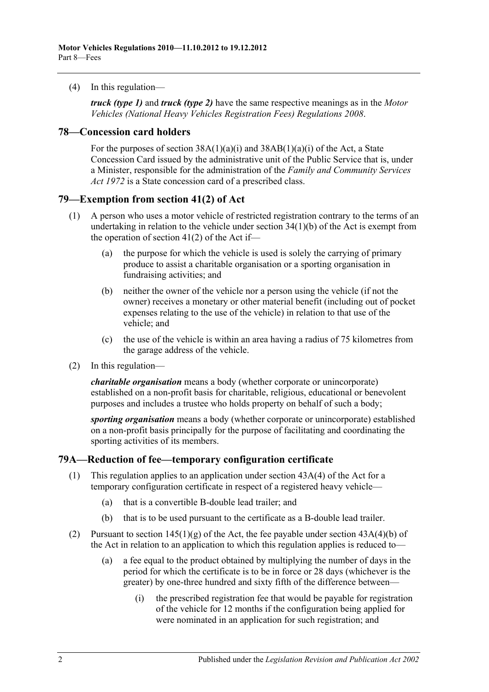(4) In this regulation—

*truck (type 1)* and *truck (type 2)* have the same respective meanings as in the *[Motor](http://www.legislation.sa.gov.au/index.aspx?action=legref&type=subordleg&legtitle=Motor%20Vehicles%20(National%20Heavy%20Vehicles%20Registration%20Fees)%20Regulations%202008)  [Vehicles \(National Heavy Vehicles Registration Fees\) Regulations](http://www.legislation.sa.gov.au/index.aspx?action=legref&type=subordleg&legtitle=Motor%20Vehicles%20(National%20Heavy%20Vehicles%20Registration%20Fees)%20Regulations%202008) 2008*.

### **78—Concession card holders**

For the purposes of section  $38A(1)(a)(i)$  and  $38AB(1)(a)(i)$  of the Act, a State Concession Card issued by the administrative unit of the Public Service that is, under a Minister, responsible for the administration of the *[Family and Community Services](http://www.legislation.sa.gov.au/index.aspx?action=legref&type=act&legtitle=Family%20and%20Community%20Services%20Act%201972)  Act [1972](http://www.legislation.sa.gov.au/index.aspx?action=legref&type=act&legtitle=Family%20and%20Community%20Services%20Act%201972)* is a State concession card of a prescribed class.

### **79—Exemption from section 41(2) of Act**

- (1) A person who uses a motor vehicle of restricted registration contrary to the terms of an undertaking in relation to the vehicle under section 34(1)(b) of the Act is exempt from the operation of section  $41(2)$  of the Act if—
	- (a) the purpose for which the vehicle is used is solely the carrying of primary produce to assist a charitable organisation or a sporting organisation in fundraising activities; and
	- (b) neither the owner of the vehicle nor a person using the vehicle (if not the owner) receives a monetary or other material benefit (including out of pocket expenses relating to the use of the vehicle) in relation to that use of the vehicle; and
	- (c) the use of the vehicle is within an area having a radius of 75 kilometres from the garage address of the vehicle.
- (2) In this regulation—

*charitable organisation* means a body (whether corporate or unincorporate) established on a non-profit basis for charitable, religious, educational or benevolent purposes and includes a trustee who holds property on behalf of such a body;

*sporting organisation* means a body (whether corporate or unincorporate) established on a non-profit basis principally for the purpose of facilitating and coordinating the sporting activities of its members.

## **79A—Reduction of fee—temporary configuration certificate**

- (1) This regulation applies to an application under section 43A(4) of the Act for a temporary configuration certificate in respect of a registered heavy vehicle—
	- (a) that is a convertible B-double lead trailer; and
	- (b) that is to be used pursuant to the certificate as a B-double lead trailer.
- (2) Pursuant to section  $145(1)(g)$  of the Act, the fee payable under section  $43A(4)(b)$  of the Act in relation to an application to which this regulation applies is reduced to—
	- (a) a fee equal to the product obtained by multiplying the number of days in the period for which the certificate is to be in force or 28 days (whichever is the greater) by one-three hundred and sixty fifth of the difference between—
		- (i) the prescribed registration fee that would be payable for registration of the vehicle for 12 months if the configuration being applied for were nominated in an application for such registration; and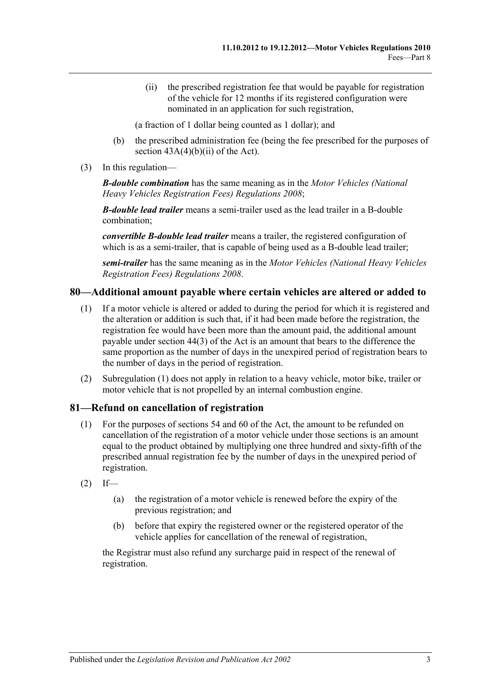(ii) the prescribed registration fee that would be payable for registration of the vehicle for 12 months if its registered configuration were nominated in an application for such registration,

(a fraction of 1 dollar being counted as 1 dollar); and

- (b) the prescribed administration fee (being the fee prescribed for the purposes of section  $43A(4)(b)(ii)$  of the Act).
- (3) In this regulation—

*B-double combination* has the same meaning as in the *[Motor Vehicles \(National](http://www.legislation.sa.gov.au/index.aspx?action=legref&type=subordleg&legtitle=Motor%20Vehicles%20(National%20Heavy%20Vehicles%20Registration%20Fees)%20Regulations%202008)  [Heavy Vehicles Registration Fees\) Regulations](http://www.legislation.sa.gov.au/index.aspx?action=legref&type=subordleg&legtitle=Motor%20Vehicles%20(National%20Heavy%20Vehicles%20Registration%20Fees)%20Regulations%202008) 2008*;

*B-double lead trailer* means a semi-trailer used as the lead trailer in a B-double combination;

*convertible B-double lead trailer* means a trailer, the registered configuration of which is as a semi-trailer, that is capable of being used as a B-double lead trailer;

*semi-trailer* has the same meaning as in the *[Motor Vehicles \(National Heavy Vehicles](http://www.legislation.sa.gov.au/index.aspx?action=legref&type=subordleg&legtitle=Motor%20Vehicles%20(National%20Heavy%20Vehicles%20Registration%20Fees)%20Regulations%202008)  [Registration Fees\) Regulations](http://www.legislation.sa.gov.au/index.aspx?action=legref&type=subordleg&legtitle=Motor%20Vehicles%20(National%20Heavy%20Vehicles%20Registration%20Fees)%20Regulations%202008) 2008*.

## <span id="page-58-0"></span>**80—Additional amount payable where certain vehicles are altered or added to**

- (1) If a motor vehicle is altered or added to during the period for which it is registered and the alteration or addition is such that, if it had been made before the registration, the registration fee would have been more than the amount paid, the additional amount payable under section 44(3) of the Act is an amount that bears to the difference the same proportion as the number of days in the unexpired period of registration bears to the number of days in the period of registration.
- (2) [Subregulation \(1\)](#page-58-0) does not apply in relation to a heavy vehicle, motor bike, trailer or motor vehicle that is not propelled by an internal combustion engine.

## **81—Refund on cancellation of registration**

- (1) For the purposes of sections 54 and 60 of the Act, the amount to be refunded on cancellation of the registration of a motor vehicle under those sections is an amount equal to the product obtained by multiplying one three hundred and sixty-fifth of the prescribed annual registration fee by the number of days in the unexpired period of registration.
- $(2)$  If—
	- (a) the registration of a motor vehicle is renewed before the expiry of the previous registration; and
	- (b) before that expiry the registered owner or the registered operator of the vehicle applies for cancellation of the renewal of registration,

the Registrar must also refund any surcharge paid in respect of the renewal of registration.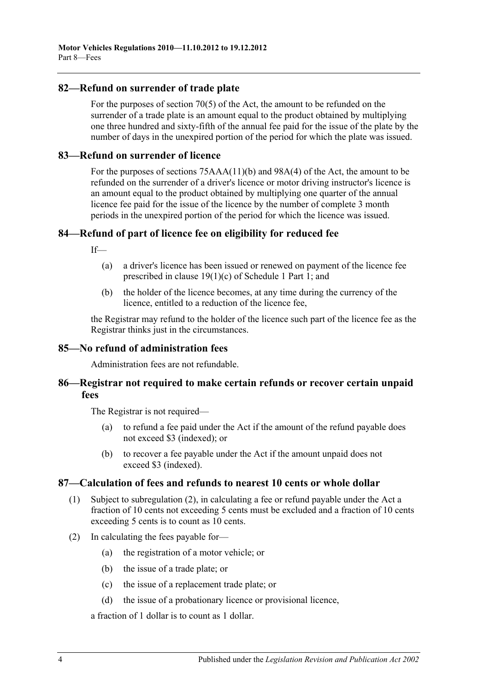## **82—Refund on surrender of trade plate**

For the purposes of section 70(5) of the Act, the amount to be refunded on the surrender of a trade plate is an amount equal to the product obtained by multiplying one three hundred and sixty-fifth of the annual fee paid for the issue of the plate by the number of days in the unexpired portion of the period for which the plate was issued.

#### **83—Refund on surrender of licence**

For the purposes of sections 75AAA(11)(b) and 98A(4) of the Act, the amount to be refunded on the surrender of a driver's licence or motor driving instructor's licence is an amount equal to the product obtained by multiplying one quarter of the annual licence fee paid for the issue of the licence by the number of complete 3 month periods in the unexpired portion of the period for which the licence was issued.

## **84—Refund of part of licence fee on eligibility for reduced fee**

 $If$ <sub> $\equiv$ </sub>

- (a) a driver's licence has been issued or renewed on payment of the licence fee prescribed in clause 19(1)(c) of Schedule 1 Part 1; and
- (b) the holder of the licence becomes, at any time during the currency of the licence, entitled to a reduction of the licence fee,

the Registrar may refund to the holder of the licence such part of the licence fee as the Registrar thinks just in the circumstances.

#### **85—No refund of administration fees**

Administration fees are not refundable.

## **86—Registrar not required to make certain refunds or recover certain unpaid fees**

The Registrar is not required—

- (a) to refund a fee paid under the Act if the amount of the refund payable does not exceed \$3 (indexed); or
- (b) to recover a fee payable under the Act if the amount unpaid does not exceed \$3 (indexed).

## **87—Calculation of fees and refunds to nearest 10 cents or whole dollar**

- (1) Subject to [subregulation](#page-59-0) (2), in calculating a fee or refund payable under the Act a fraction of 10 cents not exceeding 5 cents must be excluded and a fraction of 10 cents exceeding 5 cents is to count as 10 cents.
- <span id="page-59-0"></span>(2) In calculating the fees payable for—
	- (a) the registration of a motor vehicle; or
	- (b) the issue of a trade plate; or
	- (c) the issue of a replacement trade plate; or
	- (d) the issue of a probationary licence or provisional licence,

a fraction of 1 dollar is to count as 1 dollar.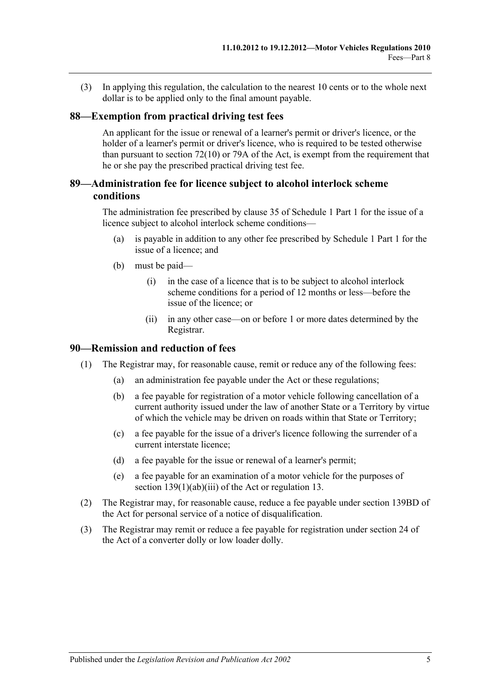(3) In applying this regulation, the calculation to the nearest 10 cents or to the whole next dollar is to be applied only to the final amount payable.

### **88—Exemption from practical driving test fees**

An applicant for the issue or renewal of a learner's permit or driver's licence, or the holder of a learner's permit or driver's licence, who is required to be tested otherwise than pursuant to section  $72(10)$  or 79A of the Act, is exempt from the requirement that he or she pay the prescribed practical driving test fee.

## **89—Administration fee for licence subject to alcohol interlock scheme conditions**

The administration fee prescribed by clause 35 of Schedule 1 Part 1 for the issue of a licence subject to alcohol interlock scheme conditions—

- (a) is payable in addition to any other fee prescribed by Schedule 1 Part 1 for the issue of a licence; and
- (b) must be paid—
	- (i) in the case of a licence that is to be subject to alcohol interlock scheme conditions for a period of 12 months or less—before the issue of the licence; or
	- (ii) in any other case—on or before 1 or more dates determined by the Registrar.

#### **90—Remission and reduction of fees**

- (1) The Registrar may, for reasonable cause, remit or reduce any of the following fees:
	- (a) an administration fee payable under the Act or these regulations;
	- (b) a fee payable for registration of a motor vehicle following cancellation of a current authority issued under the law of another State or a Territory by virtue of which the vehicle may be driven on roads within that State or Territory;
	- (c) a fee payable for the issue of a driver's licence following the surrender of a current interstate licence;
	- (d) a fee payable for the issue or renewal of a learner's permit;
	- (e) a fee payable for an examination of a motor vehicle for the purposes of section 139(1)(ab)(iii) of the Act or [regulation](#page-13-0) 13.
- (2) The Registrar may, for reasonable cause, reduce a fee payable under section 139BD of the Act for personal service of a notice of disqualification.
- (3) The Registrar may remit or reduce a fee payable for registration under section 24 of the Act of a converter dolly or low loader dolly.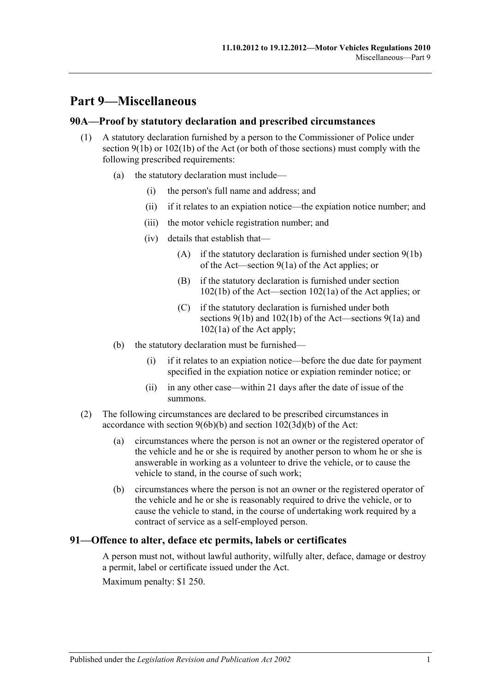# **Part 9—Miscellaneous**

## **90A—Proof by statutory declaration and prescribed circumstances**

- (1) A statutory declaration furnished by a person to the Commissioner of Police under section  $9(1b)$  or  $102(1b)$  of the Act (or both of those sections) must comply with the following prescribed requirements:
	- (a) the statutory declaration must include—
		- (i) the person's full name and address; and
		- (ii) if it relates to an expiation notice—the expiation notice number; and
		- (iii) the motor vehicle registration number; and
		- (iv) details that establish that—
			- (A) if the statutory declaration is furnished under section 9(1b) of the Act—section 9(1a) of the Act applies; or
			- (B) if the statutory declaration is furnished under section 102(1b) of the Act—section 102(1a) of the Act applies; or
			- (C) if the statutory declaration is furnished under both sections 9(1b) and 102(1b) of the Act—sections 9(1a) and 102(1a) of the Act apply;
	- (b) the statutory declaration must be furnished—
		- (i) if it relates to an expiation notice—before the due date for payment specified in the expiation notice or expiation reminder notice; or
		- (ii) in any other case—within 21 days after the date of issue of the summons.
- (2) The following circumstances are declared to be prescribed circumstances in accordance with section 9(6b)(b) and section 102(3d)(b) of the Act:
	- (a) circumstances where the person is not an owner or the registered operator of the vehicle and he or she is required by another person to whom he or she is answerable in working as a volunteer to drive the vehicle, or to cause the vehicle to stand, in the course of such work;
	- (b) circumstances where the person is not an owner or the registered operator of the vehicle and he or she is reasonably required to drive the vehicle, or to cause the vehicle to stand, in the course of undertaking work required by a contract of service as a self-employed person.

## **91—Offence to alter, deface etc permits, labels or certificates**

A person must not, without lawful authority, wilfully alter, deface, damage or destroy a permit, label or certificate issued under the Act.

Maximum penalty: \$1 250.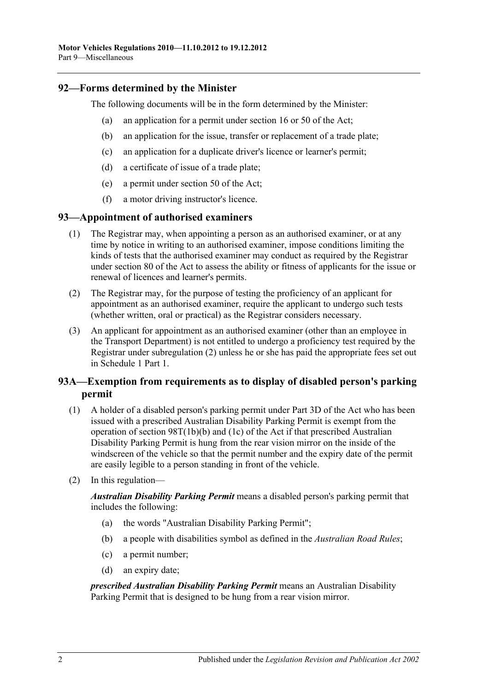## **92—Forms determined by the Minister**

The following documents will be in the form determined by the Minister:

- (a) an application for a permit under section 16 or 50 of the Act;
- (b) an application for the issue, transfer or replacement of a trade plate;
- (c) an application for a duplicate driver's licence or learner's permit;
- (d) a certificate of issue of a trade plate;
- (e) a permit under section 50 of the Act;
- (f) a motor driving instructor's licence.

## **93—Appointment of authorised examiners**

- (1) The Registrar may, when appointing a person as an authorised examiner, or at any time by notice in writing to an authorised examiner, impose conditions limiting the kinds of tests that the authorised examiner may conduct as required by the Registrar under section 80 of the Act to assess the ability or fitness of applicants for the issue or renewal of licences and learner's permits.
- <span id="page-63-0"></span>(2) The Registrar may, for the purpose of testing the proficiency of an applicant for appointment as an authorised examiner, require the applicant to undergo such tests (whether written, oral or practical) as the Registrar considers necessary.
- (3) An applicant for appointment as an authorised examiner (other than an employee in the Transport Department) is not entitled to undergo a proficiency test required by the Registrar under [subregulation](#page-63-0) (2) unless he or she has paid the appropriate fees set out in Schedule 1 Part 1.

## **93A—Exemption from requirements as to display of disabled person's parking permit**

- (1) A holder of a disabled person's parking permit under Part 3D of the Act who has been issued with a prescribed Australian Disability Parking Permit is exempt from the operation of section 98T(1b)(b) and (1c) of the Act if that prescribed Australian Disability Parking Permit is hung from the rear vision mirror on the inside of the windscreen of the vehicle so that the permit number and the expiry date of the permit are easily legible to a person standing in front of the vehicle.
- (2) In this regulation—

*Australian Disability Parking Permit* means a disabled person's parking permit that includes the following:

- (a) the words "Australian Disability Parking Permit";
- (b) a people with disabilities symbol as defined in the *[Australian Road Rules](http://www.legislation.sa.gov.au/index.aspx?action=legref&type=act&legtitle=Australian%20Road%20Rules)*;
- (c) a permit number;
- (d) an expiry date;

*prescribed Australian Disability Parking Permit* means an Australian Disability Parking Permit that is designed to be hung from a rear vision mirror.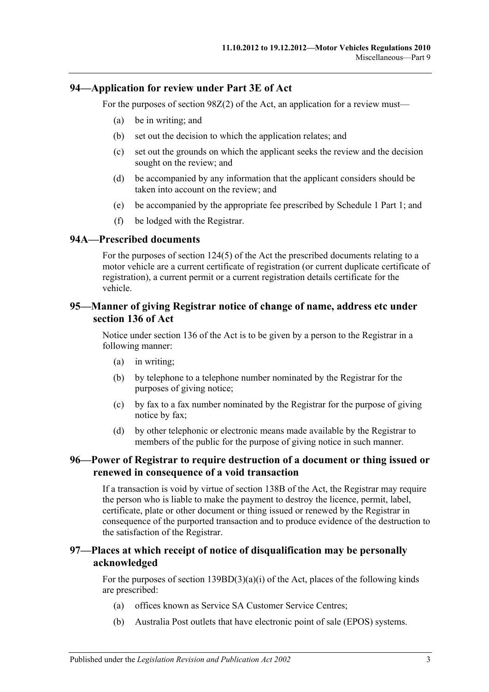## **94—Application for review under Part 3E of Act**

For the purposes of section 98Z(2) of the Act, an application for a review must—

- (a) be in writing; and
- (b) set out the decision to which the application relates; and
- (c) set out the grounds on which the applicant seeks the review and the decision sought on the review; and
- (d) be accompanied by any information that the applicant considers should be taken into account on the review; and
- (e) be accompanied by the appropriate fee prescribed by Schedule 1 Part 1; and
- (f) be lodged with the Registrar.

### **94A—Prescribed documents**

For the purposes of section 124(5) of the Act the prescribed documents relating to a motor vehicle are a current certificate of registration (or current duplicate certificate of registration), a current permit or a current registration details certificate for the vehicle.

## **95—Manner of giving Registrar notice of change of name, address etc under section 136 of Act**

Notice under section 136 of the Act is to be given by a person to the Registrar in a following manner:

- (a) in writing;
- (b) by telephone to a telephone number nominated by the Registrar for the purposes of giving notice;
- (c) by fax to a fax number nominated by the Registrar for the purpose of giving notice by fax;
- (d) by other telephonic or electronic means made available by the Registrar to members of the public for the purpose of giving notice in such manner.

### **96—Power of Registrar to require destruction of a document or thing issued or renewed in consequence of a void transaction**

If a transaction is void by virtue of section 138B of the Act, the Registrar may require the person who is liable to make the payment to destroy the licence, permit, label, certificate, plate or other document or thing issued or renewed by the Registrar in consequence of the purported transaction and to produce evidence of the destruction to the satisfaction of the Registrar.

## **97—Places at which receipt of notice of disqualification may be personally acknowledged**

For the purposes of section  $139BD(3)(a)(i)$  of the Act, places of the following kinds are prescribed:

- (a) offices known as Service SA Customer Service Centres;
- (b) Australia Post outlets that have electronic point of sale (EPOS) systems.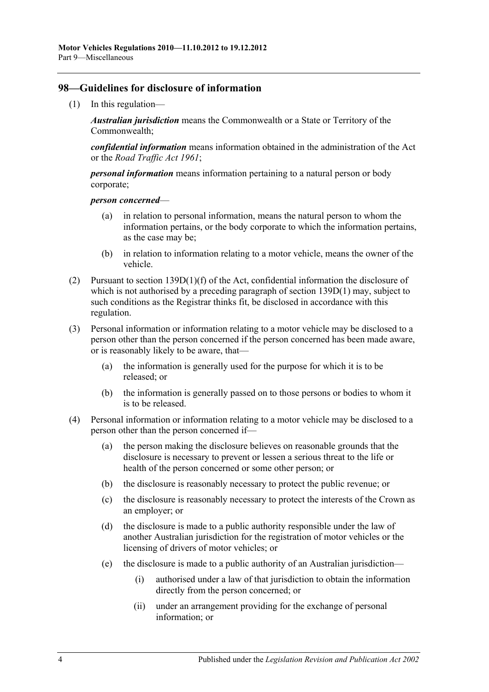## **98—Guidelines for disclosure of information**

(1) In this regulation—

*Australian jurisdiction* means the Commonwealth or a State or Territory of the Commonwealth;

*confidential information* means information obtained in the administration of the Act or the *[Road Traffic Act](http://www.legislation.sa.gov.au/index.aspx?action=legref&type=act&legtitle=Road%20Traffic%20Act%201961) 1961*;

*personal information* means information pertaining to a natural person or body corporate;

*person concerned*—

- (a) in relation to personal information, means the natural person to whom the information pertains, or the body corporate to which the information pertains, as the case may be;
- (b) in relation to information relating to a motor vehicle, means the owner of the vehicle.
- (2) Pursuant to section 139D(1)(f) of the Act, confidential information the disclosure of which is not authorised by a preceding paragraph of section 139D(1) may, subject to such conditions as the Registrar thinks fit, be disclosed in accordance with this regulation.
- (3) Personal information or information relating to a motor vehicle may be disclosed to a person other than the person concerned if the person concerned has been made aware, or is reasonably likely to be aware, that—
	- (a) the information is generally used for the purpose for which it is to be released; or
	- (b) the information is generally passed on to those persons or bodies to whom it is to be released.
- (4) Personal information or information relating to a motor vehicle may be disclosed to a person other than the person concerned if—
	- (a) the person making the disclosure believes on reasonable grounds that the disclosure is necessary to prevent or lessen a serious threat to the life or health of the person concerned or some other person; or
	- (b) the disclosure is reasonably necessary to protect the public revenue; or
	- (c) the disclosure is reasonably necessary to protect the interests of the Crown as an employer; or
	- (d) the disclosure is made to a public authority responsible under the law of another Australian jurisdiction for the registration of motor vehicles or the licensing of drivers of motor vehicles; or
	- (e) the disclosure is made to a public authority of an Australian jurisdiction—
		- (i) authorised under a law of that jurisdiction to obtain the information directly from the person concerned; or
		- (ii) under an arrangement providing for the exchange of personal information; or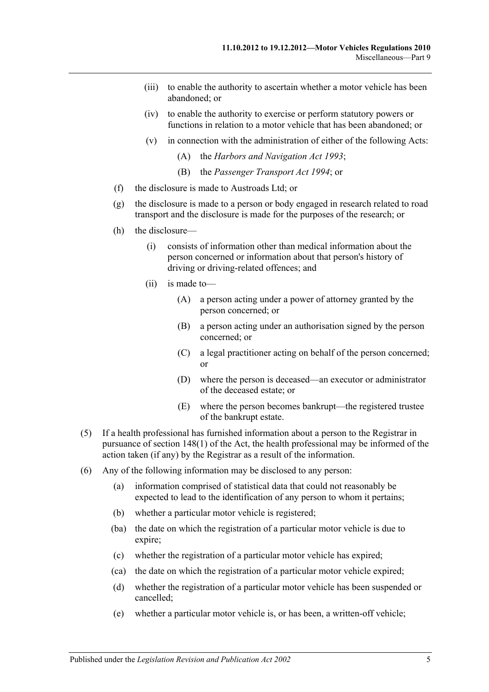- (iii) to enable the authority to ascertain whether a motor vehicle has been abandoned; or
- (iv) to enable the authority to exercise or perform statutory powers or functions in relation to a motor vehicle that has been abandoned; or
- (v) in connection with the administration of either of the following Acts:
	- (A) the *[Harbors and Navigation Act](http://www.legislation.sa.gov.au/index.aspx?action=legref&type=act&legtitle=Harbors%20and%20Navigation%20Act%201993) 1993*;
	- (B) the *[Passenger Transport Act](http://www.legislation.sa.gov.au/index.aspx?action=legref&type=act&legtitle=Passenger%20Transport%20Act%201994) 1994*; or
- (f) the disclosure is made to Austroads Ltd; or
- (g) the disclosure is made to a person or body engaged in research related to road transport and the disclosure is made for the purposes of the research; or
- (h) the disclosure—
	- (i) consists of information other than medical information about the person concerned or information about that person's history of driving or driving-related offences; and
	- (ii) is made to—
		- (A) a person acting under a power of attorney granted by the person concerned; or
		- (B) a person acting under an authorisation signed by the person concerned; or
		- (C) a legal practitioner acting on behalf of the person concerned; or
		- (D) where the person is deceased—an executor or administrator of the deceased estate; or
		- (E) where the person becomes bankrupt—the registered trustee of the bankrupt estate.
- (5) If a health professional has furnished information about a person to the Registrar in pursuance of section 148(1) of the Act, the health professional may be informed of the action taken (if any) by the Registrar as a result of the information.
- (6) Any of the following information may be disclosed to any person:
	- (a) information comprised of statistical data that could not reasonably be expected to lead to the identification of any person to whom it pertains;
	- (b) whether a particular motor vehicle is registered;
	- (ba) the date on which the registration of a particular motor vehicle is due to expire;
	- (c) whether the registration of a particular motor vehicle has expired;
	- (ca) the date on which the registration of a particular motor vehicle expired;
	- (d) whether the registration of a particular motor vehicle has been suspended or cancelled;
	- (e) whether a particular motor vehicle is, or has been, a written-off vehicle;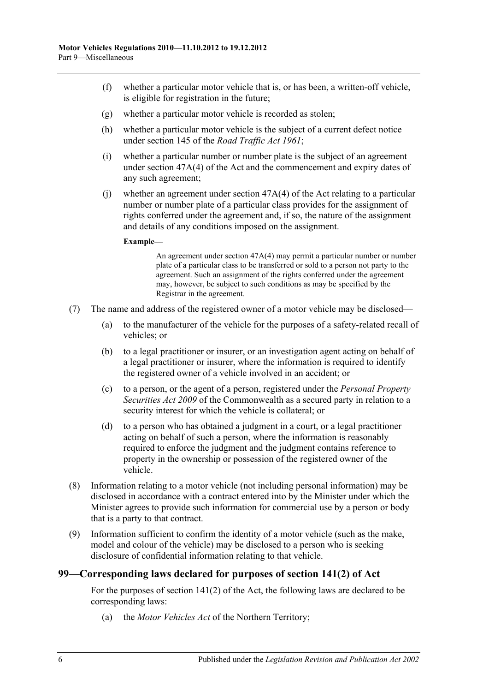- (f) whether a particular motor vehicle that is, or has been, a written-off vehicle, is eligible for registration in the future;
- (g) whether a particular motor vehicle is recorded as stolen;
- (h) whether a particular motor vehicle is the subject of a current defect notice under section 145 of the *[Road Traffic Act](http://www.legislation.sa.gov.au/index.aspx?action=legref&type=act&legtitle=Road%20Traffic%20Act%201961) 1961*;
- (i) whether a particular number or number plate is the subject of an agreement under section 47A(4) of the Act and the commencement and expiry dates of any such agreement;
- (i) whether an agreement under section  $47A(4)$  of the Act relating to a particular number or number plate of a particular class provides for the assignment of rights conferred under the agreement and, if so, the nature of the assignment and details of any conditions imposed on the assignment.

#### **Example—**

An agreement under section 47A(4) may permit a particular number or number plate of a particular class to be transferred or sold to a person not party to the agreement. Such an assignment of the rights conferred under the agreement may, however, be subject to such conditions as may be specified by the Registrar in the agreement.

- (7) The name and address of the registered owner of a motor vehicle may be disclosed—
	- (a) to the manufacturer of the vehicle for the purposes of a safety-related recall of vehicles; or
	- (b) to a legal practitioner or insurer, or an investigation agent acting on behalf of a legal practitioner or insurer, where the information is required to identify the registered owner of a vehicle involved in an accident; or
	- (c) to a person, or the agent of a person, registered under the *Personal Property Securities Act 2009* of the Commonwealth as a secured party in relation to a security interest for which the vehicle is collateral; or
	- (d) to a person who has obtained a judgment in a court, or a legal practitioner acting on behalf of such a person, where the information is reasonably required to enforce the judgment and the judgment contains reference to property in the ownership or possession of the registered owner of the vehicle.
- <span id="page-67-0"></span>(8) Information relating to a motor vehicle (not including personal information) may be disclosed in accordance with a contract entered into by the Minister under which the Minister agrees to provide such information for commercial use by a person or body that is a party to that contract.
- (9) Information sufficient to confirm the identity of a motor vehicle (such as the make, model and colour of the vehicle) may be disclosed to a person who is seeking disclosure of confidential information relating to that vehicle.

#### **99—Corresponding laws declared for purposes of section 141(2) of Act**

For the purposes of section 141(2) of the Act, the following laws are declared to be corresponding laws:

(a) the *Motor Vehicles Act* of the Northern Territory;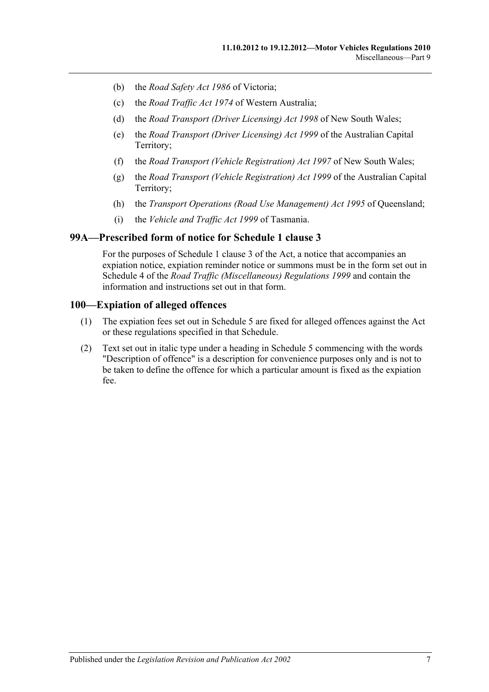- (b) the *Road Safety Act 1986* of Victoria;
- (c) the *Road Traffic Act 1974* of Western Australia;
- (d) the *Road Transport (Driver Licensing) Act 1998* of New South Wales;
- (e) the *Road Transport (Driver Licensing) Act 1999* of the Australian Capital Territory;
- (f) the *Road Transport (Vehicle Registration) Act 1997* of New South Wales;
- (g) the *Road Transport (Vehicle Registration) Act 1999* of the Australian Capital Territory;
- (h) the *Transport Operations (Road Use Management) Act 1995* of Queensland;
- (i) the *Vehicle and Traffic Act 1999* of Tasmania.

### **99A—Prescribed form of notice for Schedule 1 clause 3**

For the purposes of Schedule 1 clause 3 of the Act, a notice that accompanies an expiation notice, expiation reminder notice or summons must be in the form set out in Schedule 4 of the *[Road Traffic \(Miscellaneous\) Regulations](http://www.legislation.sa.gov.au/index.aspx?action=legref&type=subordleg&legtitle=Road%20Traffic%20(Miscellaneous)%20Regulations%201999) 1999* and contain the information and instructions set out in that form.

## **100—Expiation of alleged offences**

- (1) The expiation fees set out in [Schedule 5](#page-98-0) are fixed for alleged offences against the Act or these regulations specified in that Schedule.
- (2) Text set out in italic type under a heading in [Schedule 5](#page-98-0) commencing with the words "Description of offence" is a description for convenience purposes only and is not to be taken to define the offence for which a particular amount is fixed as the expiation fee.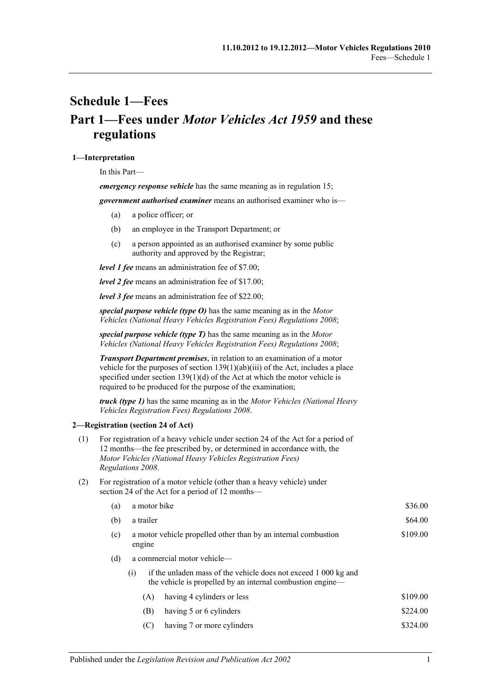# <span id="page-70-0"></span>**Schedule 1—Fees Part 1—Fees under** *Motor Vehicles Act 1959* **and these regulations**

#### **1—Interpretation**

In this Part—

*emergency response vehicle* has the same meaning as in [regulation](#page-13-1) 15;

*government authorised examiner* means an authorised examiner who is—

- (a) a police officer; or
- (b) an employee in the Transport Department; or
- (c) a person appointed as an authorised examiner by some public authority and approved by the Registrar;

*level 1 fee* means an administration fee of \$7.00;

*level 2 fee* means an administration fee of \$17.00;

*level 3 fee* means an administration fee of \$22.00;

*special purpose vehicle (type O)* has the same meaning as in the *[Motor](http://www.legislation.sa.gov.au/index.aspx?action=legref&type=subordleg&legtitle=Motor%20Vehicles%20(National%20Heavy%20Vehicles%20Registration%20Fees)%20Regulations%202008)  [Vehicles \(National Heavy Vehicles Registration Fees\) Regulations](http://www.legislation.sa.gov.au/index.aspx?action=legref&type=subordleg&legtitle=Motor%20Vehicles%20(National%20Heavy%20Vehicles%20Registration%20Fees)%20Regulations%202008) 2008*;

*special purpose vehicle (type T)* has the same meaning as in the *[Motor](http://www.legislation.sa.gov.au/index.aspx?action=legref&type=subordleg&legtitle=Motor%20Vehicles%20(National%20Heavy%20Vehicles%20Registration%20Fees)%20Regulations%202008)  [Vehicles \(National Heavy Vehicles Registration Fees\) Regulations](http://www.legislation.sa.gov.au/index.aspx?action=legref&type=subordleg&legtitle=Motor%20Vehicles%20(National%20Heavy%20Vehicles%20Registration%20Fees)%20Regulations%202008) 2008*;

*Transport Department premises*, in relation to an examination of a motor vehicle for the purposes of section 139(1)(ab)(iii) of the Act, includes a place specified under section  $139(1)(d)$  of the Act at which the motor vehicle is required to be produced for the purpose of the examination;

*truck (type 1)* has the same meaning as in the *[Motor Vehicles \(National Heavy](http://www.legislation.sa.gov.au/index.aspx?action=legref&type=subordleg&legtitle=Motor%20Vehicles%20(National%20Heavy%20Vehicles%20Registration%20Fees)%20Regulations%202008)  [Vehicles Registration Fees\) Regulations](http://www.legislation.sa.gov.au/index.aspx?action=legref&type=subordleg&legtitle=Motor%20Vehicles%20(National%20Heavy%20Vehicles%20Registration%20Fees)%20Regulations%202008) 2008*.

#### **2—Registration (section 24 of Act)**

- (1) For registration of a heavy vehicle under section 24 of the Act for a period of 12 months—the fee prescribed by, or determined in accordance with, the *[Motor Vehicles \(National Heavy Vehicles Registration Fees\)](http://www.legislation.sa.gov.au/index.aspx?action=legref&type=subordleg&legtitle=Motor%20Vehicles%20(National%20Heavy%20Vehicles%20Registration%20Fees)%20Regulations%202008)  [Regulations](http://www.legislation.sa.gov.au/index.aspx?action=legref&type=subordleg&legtitle=Motor%20Vehicles%20(National%20Heavy%20Vehicles%20Registration%20Fees)%20Regulations%202008) 2008*.
- (2) For registration of a motor vehicle (other than a heavy vehicle) under section 24 of the Act for a period of 12 months—

| (a) | a motor bike                                                                         | \$36.00                                                                                                                       |          |  |  |
|-----|--------------------------------------------------------------------------------------|-------------------------------------------------------------------------------------------------------------------------------|----------|--|--|
| (b) | a trailer                                                                            | \$64.00                                                                                                                       |          |  |  |
| (c) | \$109.00<br>a motor vehicle propelled other than by an internal combustion<br>engine |                                                                                                                               |          |  |  |
| (d) | a commercial motor vehicle—                                                          |                                                                                                                               |          |  |  |
|     | (1)                                                                                  | if the unladen mass of the vehicle does not exceed 1 000 kg and<br>the vehicle is propelled by an internal combustion engine— |          |  |  |
|     | (A)                                                                                  | having 4 cylinders or less                                                                                                    | \$109.00 |  |  |
|     | (B)                                                                                  | having 5 or 6 cylinders                                                                                                       | \$224.00 |  |  |
|     | (C)                                                                                  | having 7 or more cylinders                                                                                                    | \$324.00 |  |  |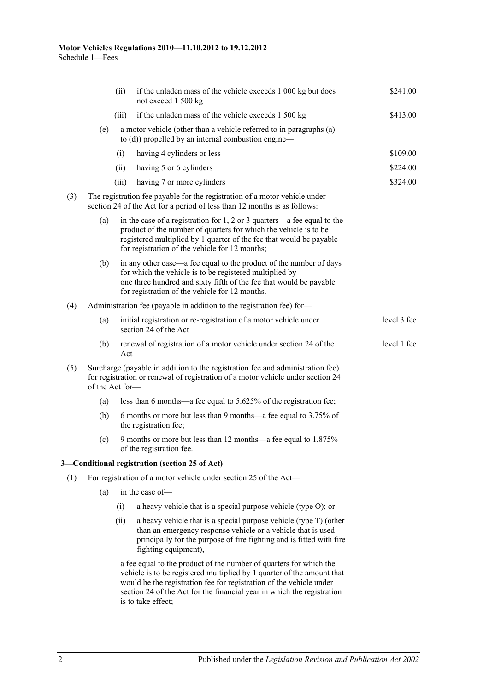|     |                                                                                                                                                        | (ii)                                                                                                                                                                                                                                                                     | if the unladen mass of the vehicle exceeds 1 000 kg but does<br>not exceed 1 500 kg                                                                                                                                                                                                                                 | \$241.00    |  |  |  |
|-----|--------------------------------------------------------------------------------------------------------------------------------------------------------|--------------------------------------------------------------------------------------------------------------------------------------------------------------------------------------------------------------------------------------------------------------------------|---------------------------------------------------------------------------------------------------------------------------------------------------------------------------------------------------------------------------------------------------------------------------------------------------------------------|-------------|--|--|--|
|     |                                                                                                                                                        | (iii)                                                                                                                                                                                                                                                                    | if the unladen mass of the vehicle exceeds 1 500 kg                                                                                                                                                                                                                                                                 | \$413.00    |  |  |  |
|     | (e)                                                                                                                                                    | a motor vehicle (other than a vehicle referred to in paragraphs (a)<br>to $(d)$ ) propelled by an internal combustion engine—                                                                                                                                            |                                                                                                                                                                                                                                                                                                                     |             |  |  |  |
|     |                                                                                                                                                        | (i)                                                                                                                                                                                                                                                                      | having 4 cylinders or less                                                                                                                                                                                                                                                                                          | \$109.00    |  |  |  |
|     |                                                                                                                                                        | (ii)                                                                                                                                                                                                                                                                     | having 5 or 6 cylinders                                                                                                                                                                                                                                                                                             | \$224.00    |  |  |  |
|     |                                                                                                                                                        | (iii)                                                                                                                                                                                                                                                                    | having 7 or more cylinders                                                                                                                                                                                                                                                                                          | \$324.00    |  |  |  |
| (3) | The registration fee payable for the registration of a motor vehicle under<br>section 24 of the Act for a period of less than 12 months is as follows: |                                                                                                                                                                                                                                                                          |                                                                                                                                                                                                                                                                                                                     |             |  |  |  |
|     | (a)                                                                                                                                                    | in the case of a registration for $1, 2$ or $3$ quarters—a fee equal to the<br>product of the number of quarters for which the vehicle is to be<br>registered multiplied by 1 quarter of the fee that would be payable<br>for registration of the vehicle for 12 months; |                                                                                                                                                                                                                                                                                                                     |             |  |  |  |
|     | (b)                                                                                                                                                    |                                                                                                                                                                                                                                                                          | in any other case—a fee equal to the product of the number of days<br>for which the vehicle is to be registered multiplied by<br>one three hundred and sixty fifth of the fee that would be payable<br>for registration of the vehicle for 12 months.                                                               |             |  |  |  |
| (4) | Administration fee (payable in addition to the registration fee) for-                                                                                  |                                                                                                                                                                                                                                                                          |                                                                                                                                                                                                                                                                                                                     |             |  |  |  |
|     | (a)                                                                                                                                                    |                                                                                                                                                                                                                                                                          | initial registration or re-registration of a motor vehicle under<br>section 24 of the Act                                                                                                                                                                                                                           | level 3 fee |  |  |  |
|     | (b)                                                                                                                                                    | Act                                                                                                                                                                                                                                                                      | renewal of registration of a motor vehicle under section 24 of the                                                                                                                                                                                                                                                  | level 1 fee |  |  |  |
| (5) |                                                                                                                                                        | Surcharge (payable in addition to the registration fee and administration fee)<br>for registration or renewal of registration of a motor vehicle under section 24<br>of the Act for-                                                                                     |                                                                                                                                                                                                                                                                                                                     |             |  |  |  |
|     | (a)                                                                                                                                                    |                                                                                                                                                                                                                                                                          | less than 6 months—a fee equal to 5.625% of the registration fee;                                                                                                                                                                                                                                                   |             |  |  |  |
|     | (b)                                                                                                                                                    |                                                                                                                                                                                                                                                                          | 6 months or more but less than 9 months—a fee equal to 3.75% of<br>the registration fee;                                                                                                                                                                                                                            |             |  |  |  |
|     | (c)                                                                                                                                                    |                                                                                                                                                                                                                                                                          | 9 months or more but less than 12 months—a fee equal to 1.875%<br>of the registration fee.                                                                                                                                                                                                                          |             |  |  |  |
|     |                                                                                                                                                        |                                                                                                                                                                                                                                                                          | 3-Conditional registration (section 25 of Act)                                                                                                                                                                                                                                                                      |             |  |  |  |
| (1) | For registration of a motor vehicle under section 25 of the Act-                                                                                       |                                                                                                                                                                                                                                                                          |                                                                                                                                                                                                                                                                                                                     |             |  |  |  |
|     | (a)                                                                                                                                                    |                                                                                                                                                                                                                                                                          | in the case of-                                                                                                                                                                                                                                                                                                     |             |  |  |  |
|     |                                                                                                                                                        | (i)                                                                                                                                                                                                                                                                      | a heavy vehicle that is a special purpose vehicle (type O); or                                                                                                                                                                                                                                                      |             |  |  |  |
|     |                                                                                                                                                        | (ii)                                                                                                                                                                                                                                                                     | a heavy vehicle that is a special purpose vehicle (type T) (other<br>than an emergency response vehicle or a vehicle that is used<br>principally for the purpose of fire fighting and is fitted with fire<br>fighting equipment),                                                                                   |             |  |  |  |
|     |                                                                                                                                                        |                                                                                                                                                                                                                                                                          | a fee equal to the product of the number of quarters for which the<br>vehicle is to be registered multiplied by 1 quarter of the amount that<br>would be the registration fee for registration of the vehicle under<br>section 24 of the Act for the financial year in which the registration<br>is to take effect; |             |  |  |  |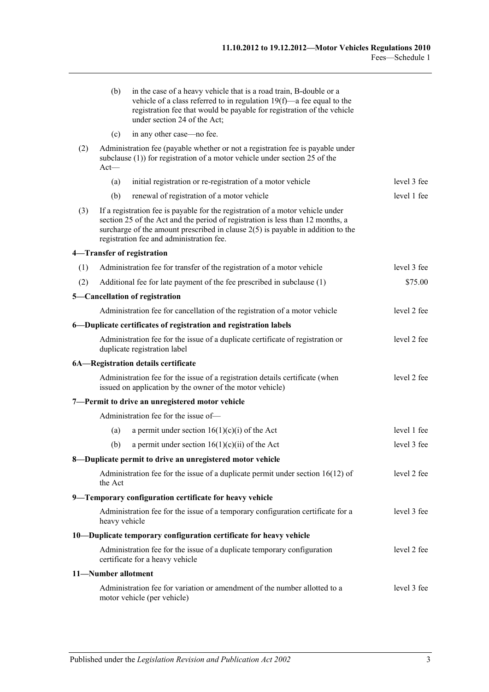|     | (b)                 | in the case of a heavy vehicle that is a road train, B-double or a<br>vehicle of a class referred to in regulation $19(f)$ —a fee equal to the<br>registration fee that would be payable for registration of the vehicle<br>under section 24 of the Act;                                          |             |
|-----|---------------------|---------------------------------------------------------------------------------------------------------------------------------------------------------------------------------------------------------------------------------------------------------------------------------------------------|-------------|
|     | (c)                 | in any other case—no fee.                                                                                                                                                                                                                                                                         |             |
| (2) | $Act-$              | Administration fee (payable whether or not a registration fee is payable under<br>subclause $(1)$ ) for registration of a motor vehicle under section 25 of the                                                                                                                                   |             |
|     | (a)                 | initial registration or re-registration of a motor vehicle                                                                                                                                                                                                                                        | level 3 fee |
|     | (b)                 | renewal of registration of a motor vehicle                                                                                                                                                                                                                                                        | level 1 fee |
| (3) |                     | If a registration fee is payable for the registration of a motor vehicle under<br>section 25 of the Act and the period of registration is less than 12 months, a<br>surcharge of the amount prescribed in clause $2(5)$ is payable in addition to the<br>registration fee and administration fee. |             |
|     |                     | 4-Transfer of registration                                                                                                                                                                                                                                                                        |             |
| (1) |                     | Administration fee for transfer of the registration of a motor vehicle                                                                                                                                                                                                                            | level 3 fee |
| (2) |                     | Additional fee for late payment of the fee prescribed in subclause (1)                                                                                                                                                                                                                            | \$75.00     |
|     |                     | 5-Cancellation of registration                                                                                                                                                                                                                                                                    |             |
|     |                     | Administration fee for cancellation of the registration of a motor vehicle                                                                                                                                                                                                                        | level 2 fee |
|     |                     | 6-Duplicate certificates of registration and registration labels                                                                                                                                                                                                                                  |             |
|     |                     | Administration fee for the issue of a duplicate certificate of registration or<br>duplicate registration label                                                                                                                                                                                    | level 2 fee |
|     |                     | 6A-Registration details certificate                                                                                                                                                                                                                                                               |             |
|     |                     | Administration fee for the issue of a registration details certificate (when<br>issued on application by the owner of the motor vehicle)                                                                                                                                                          | level 2 fee |
|     |                     | 7-Permit to drive an unregistered motor vehicle                                                                                                                                                                                                                                                   |             |
|     |                     | Administration fee for the issue of-                                                                                                                                                                                                                                                              |             |
|     | (a)                 | a permit under section $16(1)(c)(i)$ of the Act                                                                                                                                                                                                                                                   | level 1 fee |
|     | (b)                 | a permit under section $16(1)(c)(ii)$ of the Act                                                                                                                                                                                                                                                  | level 3 fee |
|     |                     | 8—Duplicate permit to drive an unregistered motor vehicle                                                                                                                                                                                                                                         |             |
|     | the Act             | Administration fee for the issue of a duplicate permit under section $16(12)$ of                                                                                                                                                                                                                  | level 2 fee |
|     |                     | 9—Temporary configuration certificate for heavy vehicle                                                                                                                                                                                                                                           |             |
|     | heavy vehicle       | Administration fee for the issue of a temporary configuration certificate for a                                                                                                                                                                                                                   | level 3 fee |
|     |                     | 10-Duplicate temporary configuration certificate for heavy vehicle                                                                                                                                                                                                                                |             |
|     |                     | Administration fee for the issue of a duplicate temporary configuration<br>certificate for a heavy vehicle                                                                                                                                                                                        | level 2 fee |
|     | 11-Number allotment |                                                                                                                                                                                                                                                                                                   |             |
|     |                     | Administration fee for variation or amendment of the number allotted to a<br>motor vehicle (per vehicle)                                                                                                                                                                                          | level 3 fee |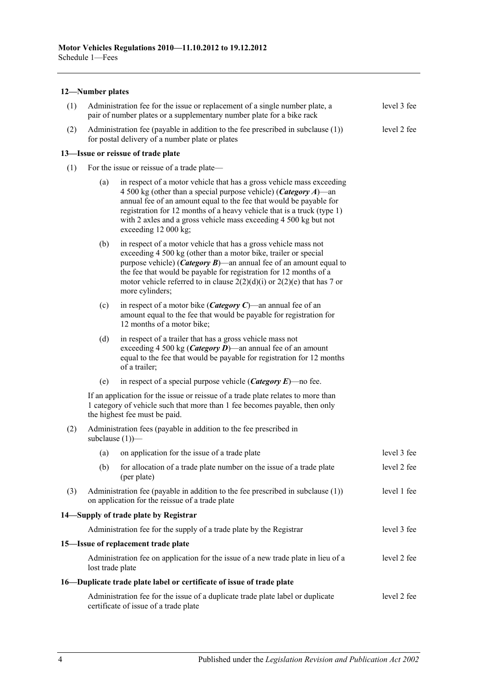#### **12—Number plates**

| (1) | Administration fee for the issue or replacement of a single number plate, a<br>pair of number plates or a supplementary number plate for a bike rack |                                                                                                                                                                                                                                                                                                                                                                                               |             |  |  |  |  |  |  |
|-----|------------------------------------------------------------------------------------------------------------------------------------------------------|-----------------------------------------------------------------------------------------------------------------------------------------------------------------------------------------------------------------------------------------------------------------------------------------------------------------------------------------------------------------------------------------------|-------------|--|--|--|--|--|--|
| (2) |                                                                                                                                                      | Administration fee (payable in addition to the fee prescribed in subclause $(1)$ )<br>level 2 fee<br>for postal delivery of a number plate or plates                                                                                                                                                                                                                                          |             |  |  |  |  |  |  |
|     |                                                                                                                                                      | 13-Issue or reissue of trade plate                                                                                                                                                                                                                                                                                                                                                            |             |  |  |  |  |  |  |
| (1) | For the issue or reissue of a trade plate—                                                                                                           |                                                                                                                                                                                                                                                                                                                                                                                               |             |  |  |  |  |  |  |
|     | (a)                                                                                                                                                  | in respect of a motor vehicle that has a gross vehicle mass exceeding<br>4 500 kg (other than a special purpose vehicle) ( <i>Category A</i> )—an<br>annual fee of an amount equal to the fee that would be payable for<br>registration for 12 months of a heavy vehicle that is a truck (type 1)<br>with 2 axles and a gross vehicle mass exceeding 4 500 kg but not<br>exceeding 12 000 kg; |             |  |  |  |  |  |  |
|     | (b)                                                                                                                                                  | in respect of a motor vehicle that has a gross vehicle mass not<br>exceeding 4 500 kg (other than a motor bike, trailer or special<br>purpose vehicle) ( <i>Category B</i> )—an annual fee of an amount equal to<br>the fee that would be payable for registration for 12 months of a<br>motor vehicle referred to in clause $2(2)(d)(i)$ or $2(2)(e)$ that has 7 or<br>more cylinders;       |             |  |  |  |  |  |  |
|     | (c)                                                                                                                                                  | in respect of a motor bike ( <i>Category C</i> )—an annual fee of an<br>amount equal to the fee that would be payable for registration for<br>12 months of a motor bike;                                                                                                                                                                                                                      |             |  |  |  |  |  |  |
|     | (d)                                                                                                                                                  | in respect of a trailer that has a gross vehicle mass not<br>exceeding 4 500 kg ( <i>Category D</i> )—an annual fee of an amount<br>equal to the fee that would be payable for registration for 12 months<br>of a trailer;                                                                                                                                                                    |             |  |  |  |  |  |  |
|     | (e)                                                                                                                                                  | in respect of a special purpose vehicle ( <i>Category E</i> )—no fee.                                                                                                                                                                                                                                                                                                                         |             |  |  |  |  |  |  |
|     |                                                                                                                                                      | If an application for the issue or reissue of a trade plate relates to more than<br>1 category of vehicle such that more than 1 fee becomes payable, then only<br>the highest fee must be paid.                                                                                                                                                                                               |             |  |  |  |  |  |  |
| (2) |                                                                                                                                                      | Administration fees (payable in addition to the fee prescribed in<br>subclause $(1)$ )—                                                                                                                                                                                                                                                                                                       |             |  |  |  |  |  |  |
|     | (a)                                                                                                                                                  | on application for the issue of a trade plate                                                                                                                                                                                                                                                                                                                                                 | level 3 fee |  |  |  |  |  |  |
|     |                                                                                                                                                      | (b) for allocation of a trade plate number on the issue of a trade plate<br>(per plate)                                                                                                                                                                                                                                                                                                       | level 2 fee |  |  |  |  |  |  |
| (3) |                                                                                                                                                      | Administration fee (payable in addition to the fee prescribed in subclause $(1)$ )<br>on application for the reissue of a trade plate                                                                                                                                                                                                                                                         | level 1 fee |  |  |  |  |  |  |
|     |                                                                                                                                                      | 14 Supply of trade plate by Registrar                                                                                                                                                                                                                                                                                                                                                         |             |  |  |  |  |  |  |
|     |                                                                                                                                                      | Administration fee for the supply of a trade plate by the Registrar                                                                                                                                                                                                                                                                                                                           | level 3 fee |  |  |  |  |  |  |
|     |                                                                                                                                                      | 15-Issue of replacement trade plate                                                                                                                                                                                                                                                                                                                                                           |             |  |  |  |  |  |  |
|     | lost trade plate                                                                                                                                     | Administration fee on application for the issue of a new trade plate in lieu of a                                                                                                                                                                                                                                                                                                             | level 2 fee |  |  |  |  |  |  |
|     |                                                                                                                                                      | 16—Duplicate trade plate label or certificate of issue of trade plate                                                                                                                                                                                                                                                                                                                         |             |  |  |  |  |  |  |
|     |                                                                                                                                                      | Administration fee for the issue of a duplicate trade plate label or duplicate<br>certificate of issue of a trade plate                                                                                                                                                                                                                                                                       | level 2 fee |  |  |  |  |  |  |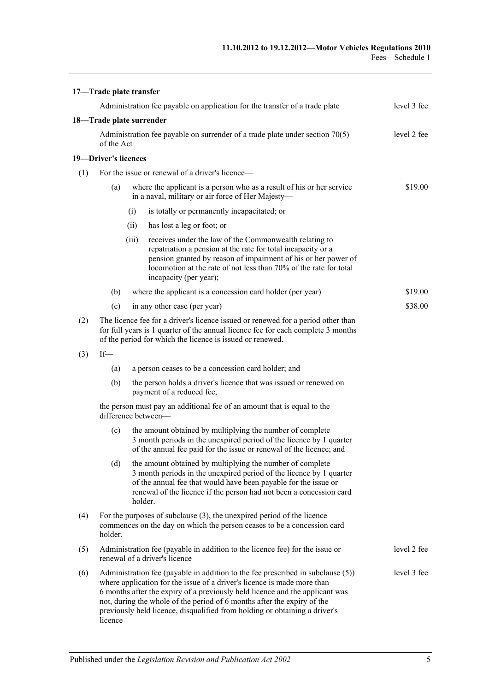|     | 17-Trade plate transfer                                                                                                                                                                                                           |             |                                                                                                                                                                                                                                                                                                                                                                                                     |             |  |
|-----|-----------------------------------------------------------------------------------------------------------------------------------------------------------------------------------------------------------------------------------|-------------|-----------------------------------------------------------------------------------------------------------------------------------------------------------------------------------------------------------------------------------------------------------------------------------------------------------------------------------------------------------------------------------------------------|-------------|--|
|     |                                                                                                                                                                                                                                   |             | Administration fee payable on application for the transfer of a trade plate                                                                                                                                                                                                                                                                                                                         | level 3 fee |  |
|     | 18-Trade plate surrender                                                                                                                                                                                                          |             |                                                                                                                                                                                                                                                                                                                                                                                                     |             |  |
|     | Administration fee payable on surrender of a trade plate under section $70(5)$<br>of the Act                                                                                                                                      | level 2 fee |                                                                                                                                                                                                                                                                                                                                                                                                     |             |  |
|     | 19-Driver's licences                                                                                                                                                                                                              |             |                                                                                                                                                                                                                                                                                                                                                                                                     |             |  |
| (1) | For the issue or renewal of a driver's licence—                                                                                                                                                                                   |             |                                                                                                                                                                                                                                                                                                                                                                                                     |             |  |
|     | (a)                                                                                                                                                                                                                               |             | where the applicant is a person who as a result of his or her service<br>in a naval, military or air force of Her Majesty-                                                                                                                                                                                                                                                                          | \$19.00     |  |
|     |                                                                                                                                                                                                                                   | (i)         | is totally or permanently incapacitated; or                                                                                                                                                                                                                                                                                                                                                         |             |  |
|     |                                                                                                                                                                                                                                   | (ii)        | has lost a leg or foot; or                                                                                                                                                                                                                                                                                                                                                                          |             |  |
|     |                                                                                                                                                                                                                                   | (iii)       | receives under the law of the Commonwealth relating to<br>repatriation a pension at the rate for total incapacity or a<br>pension granted by reason of impairment of his or her power of<br>locomotion at the rate of not less than 70% of the rate for total<br>incapacity (per year);                                                                                                             |             |  |
|     | (b)                                                                                                                                                                                                                               |             | where the applicant is a concession card holder (per year)                                                                                                                                                                                                                                                                                                                                          | \$19.00     |  |
|     | (c)                                                                                                                                                                                                                               |             | in any other case (per year)                                                                                                                                                                                                                                                                                                                                                                        | \$38.00     |  |
| (2) | The licence fee for a driver's licence issued or renewed for a period other than<br>for full years is 1 quarter of the annual licence fee for each complete 3 months<br>of the period for which the licence is issued or renewed. |             |                                                                                                                                                                                                                                                                                                                                                                                                     |             |  |
| (3) | $If$ —                                                                                                                                                                                                                            |             |                                                                                                                                                                                                                                                                                                                                                                                                     |             |  |
|     | (a)                                                                                                                                                                                                                               |             | a person ceases to be a concession card holder; and                                                                                                                                                                                                                                                                                                                                                 |             |  |
|     | (b)                                                                                                                                                                                                                               |             | the person holds a driver's licence that was issued or renewed on<br>payment of a reduced fee,                                                                                                                                                                                                                                                                                                      |             |  |
|     |                                                                                                                                                                                                                                   |             | the person must pay an additional fee of an amount that is equal to the<br>difference between-                                                                                                                                                                                                                                                                                                      |             |  |
|     | (c)                                                                                                                                                                                                                               |             | the amount obtained by multiplying the number of complete<br>3 month periods in the unexpired period of the licence by 1 quarter<br>of the annual fee paid for the issue or renewal of the licence; and                                                                                                                                                                                             |             |  |
|     | (d)                                                                                                                                                                                                                               |             | the amount obtained by multiplying the number of complete<br>3 month periods in the unexpired period of the licence by 1 quarter<br>of the annual fee that would have been payable for the issue or<br>renewal of the licence if the person had not been a concession card<br>holder.                                                                                                               |             |  |
| (4) | holder.                                                                                                                                                                                                                           |             | For the purposes of subclause $(3)$ , the unexpired period of the licence<br>commences on the day on which the person ceases to be a concession card                                                                                                                                                                                                                                                |             |  |
| (5) | level 2 fee<br>Administration fee (payable in addition to the licence fee) for the issue or<br>renewal of a driver's licence                                                                                                      |             |                                                                                                                                                                                                                                                                                                                                                                                                     |             |  |
| (6) | licence                                                                                                                                                                                                                           |             | Administration fee (payable in addition to the fee prescribed in subclause (5))<br>where application for the issue of a driver's licence is made more than<br>6 months after the expiry of a previously held licence and the applicant was<br>not, during the whole of the period of 6 months after the expiry of the<br>previously held licence, disqualified from holding or obtaining a driver's | level 3 fee |  |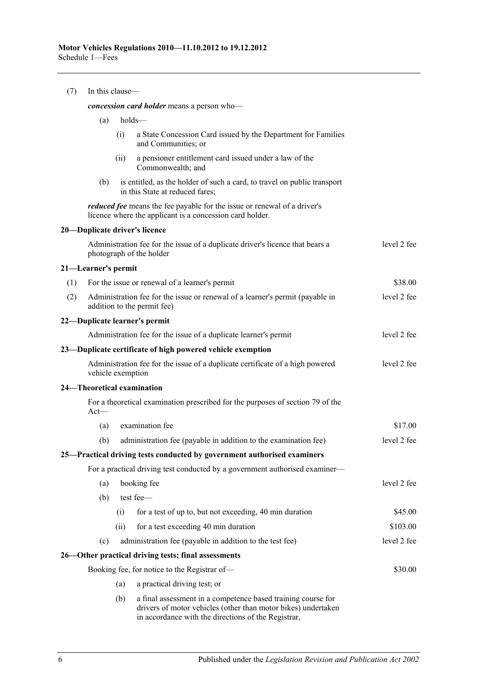| (7) | In this clause-                            |      |                                                                                                                                                                                      |             |  |  |  |  |
|-----|--------------------------------------------|------|--------------------------------------------------------------------------------------------------------------------------------------------------------------------------------------|-------------|--|--|--|--|
|     | concession card holder means a person who- |      |                                                                                                                                                                                      |             |  |  |  |  |
|     | (a)                                        |      | holds-                                                                                                                                                                               |             |  |  |  |  |
|     |                                            | (i)  | a State Concession Card issued by the Department for Families<br>and Communities; or                                                                                                 |             |  |  |  |  |
|     |                                            | (ii) | a pensioner entitlement card issued under a law of the<br>Commonwealth; and                                                                                                          |             |  |  |  |  |
|     | (b)                                        |      | is entitled, as the holder of such a card, to travel on public transport<br>in this State at reduced fares;                                                                          |             |  |  |  |  |
|     |                                            |      | <i>reduced fee</i> means the fee payable for the issue or renewal of a driver's<br>licence where the applicant is a concession card holder.                                          |             |  |  |  |  |
|     |                                            |      | 20-Duplicate driver's licence                                                                                                                                                        |             |  |  |  |  |
|     |                                            |      | Administration fee for the issue of a duplicate driver's licence that bears a<br>photograph of the holder                                                                            | level 2 fee |  |  |  |  |
|     | 21—Learner's permit                        |      |                                                                                                                                                                                      |             |  |  |  |  |
| (1) |                                            |      | For the issue or renewal of a learner's permit                                                                                                                                       | \$38.00     |  |  |  |  |
| (2) |                                            |      | Administration fee for the issue or renewal of a learner's permit (payable in<br>addition to the permit fee)                                                                         | level 2 fee |  |  |  |  |
|     |                                            |      | 22—Duplicate learner's permit                                                                                                                                                        |             |  |  |  |  |
|     |                                            |      | Administration fee for the issue of a duplicate learner's permit                                                                                                                     | level 2 fee |  |  |  |  |
|     |                                            |      | 23—Duplicate certificate of high powered vehicle exemption                                                                                                                           |             |  |  |  |  |
|     | vehicle exemption                          |      | Administration fee for the issue of a duplicate certificate of a high powered                                                                                                        | level 2 fee |  |  |  |  |
|     |                                            |      | 24-Theoretical examination                                                                                                                                                           |             |  |  |  |  |
|     | $Act$ —                                    |      | For a theoretical examination prescribed for the purposes of section 79 of the                                                                                                       |             |  |  |  |  |
|     | (a)                                        |      | examination fee                                                                                                                                                                      | \$17.00     |  |  |  |  |
|     | (b)                                        |      | administration fee (payable in addition to the examination fee)                                                                                                                      | level 2 fee |  |  |  |  |
|     |                                            |      | 25-Practical driving tests conducted by government authorised examiners                                                                                                              |             |  |  |  |  |
|     |                                            |      | For a practical driving test conducted by a government authorised examiner—                                                                                                          |             |  |  |  |  |
|     | (a)                                        |      | booking fee                                                                                                                                                                          | level 2 fee |  |  |  |  |
|     | (b)                                        |      | test fee-                                                                                                                                                                            |             |  |  |  |  |
|     |                                            | (i)  | for a test of up to, but not exceeding, 40 min duration                                                                                                                              | \$45.00     |  |  |  |  |
|     |                                            | (ii) | for a test exceeding 40 min duration                                                                                                                                                 | \$103.00    |  |  |  |  |
|     | (c)                                        |      | administration fee (payable in addition to the test fee)                                                                                                                             | level 2 fee |  |  |  |  |
|     |                                            |      | 26—Other practical driving tests; final assessments                                                                                                                                  |             |  |  |  |  |
|     |                                            |      | Booking fee, for notice to the Registrar of-                                                                                                                                         | \$30.00     |  |  |  |  |
|     |                                            | (a)  | a practical driving test; or                                                                                                                                                         |             |  |  |  |  |
|     |                                            | (b)  | a final assessment in a competence based training course for<br>drivers of motor vehicles (other than motor bikes) undertaken<br>in accordance with the directions of the Registrar, |             |  |  |  |  |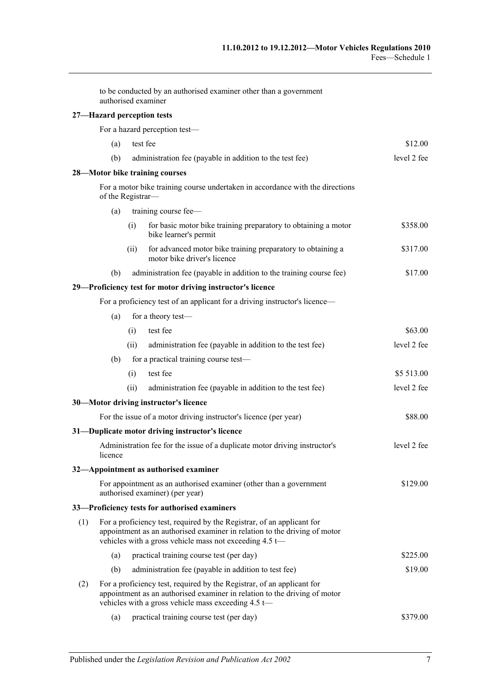|     |                   |      | to be conducted by an authorised examiner other than a government<br>authorised examiner                                                                                                                       |             |
|-----|-------------------|------|----------------------------------------------------------------------------------------------------------------------------------------------------------------------------------------------------------------|-------------|
|     |                   |      | 27-Hazard perception tests                                                                                                                                                                                     |             |
|     |                   |      | For a hazard perception test-                                                                                                                                                                                  |             |
|     | (a)               |      | test fee                                                                                                                                                                                                       | \$12.00     |
|     | (b)               |      | administration fee (payable in addition to the test fee)                                                                                                                                                       | level 2 fee |
|     |                   |      | 28-Motor bike training courses                                                                                                                                                                                 |             |
|     | of the Registrar- |      | For a motor bike training course undertaken in accordance with the directions                                                                                                                                  |             |
|     | (a)               |      | training course fee-                                                                                                                                                                                           |             |
|     |                   | (i)  | for basic motor bike training preparatory to obtaining a motor<br>bike learner's permit                                                                                                                        | \$358.00    |
|     |                   | (ii) | for advanced motor bike training preparatory to obtaining a<br>motor bike driver's licence                                                                                                                     | \$317.00    |
|     | (b)               |      | administration fee (payable in addition to the training course fee)                                                                                                                                            | \$17.00     |
|     |                   |      | 29-Proficiency test for motor driving instructor's licence                                                                                                                                                     |             |
|     |                   |      | For a proficiency test of an applicant for a driving instructor's licence—                                                                                                                                     |             |
|     | (a)               |      | for a theory test-                                                                                                                                                                                             |             |
|     |                   | (i)  | test fee                                                                                                                                                                                                       | \$63.00     |
|     |                   | (ii) | administration fee (payable in addition to the test fee)                                                                                                                                                       | level 2 fee |
|     | (b)               |      | for a practical training course test-                                                                                                                                                                          |             |
|     |                   | (i)  | test fee                                                                                                                                                                                                       | \$5 513.00  |
|     |                   | (ii) | administration fee (payable in addition to the test fee)                                                                                                                                                       | level 2 fee |
|     |                   |      | 30-Motor driving instructor's licence                                                                                                                                                                          |             |
|     |                   |      | For the issue of a motor driving instructor's licence (per year)                                                                                                                                               | \$88.00     |
|     |                   |      | 31-Duplicate motor driving instructor's licence                                                                                                                                                                |             |
|     | licence           |      | Administration fee for the issue of a duplicate motor driving instructor's                                                                                                                                     | level 2 fee |
|     |                   |      | 32—Appointment as authorised examiner                                                                                                                                                                          |             |
|     |                   |      | For appointment as an authorised examiner (other than a government<br>authorised examiner) (per year)                                                                                                          | \$129.00    |
|     |                   |      | 33—Proficiency tests for authorised examiners                                                                                                                                                                  |             |
| (1) |                   |      | For a proficiency test, required by the Registrar, of an applicant for<br>appointment as an authorised examiner in relation to the driving of motor<br>vehicles with a gross vehicle mass not exceeding 4.5 t- |             |
|     | (a)               |      | practical training course test (per day)                                                                                                                                                                       | \$225.00    |
|     | (b)               |      | administration fee (payable in addition to test fee)                                                                                                                                                           | \$19.00     |
| (2) |                   |      | For a proficiency test, required by the Registrar, of an applicant for<br>appointment as an authorised examiner in relation to the driving of motor<br>vehicles with a gross vehicle mass exceeding 4.5 t-     |             |

(a) practical training course test (per day) \$379.00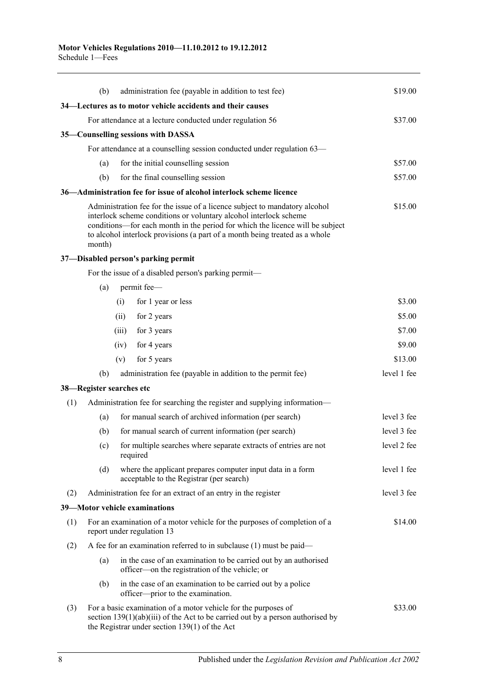|     | (b)    | administration fee (payable in addition to test fee)                                                                                                                                                                                                                                                            | \$19.00     |
|-----|--------|-----------------------------------------------------------------------------------------------------------------------------------------------------------------------------------------------------------------------------------------------------------------------------------------------------------------|-------------|
|     |        | 34—Lectures as to motor vehicle accidents and their causes                                                                                                                                                                                                                                                      |             |
|     |        | For attendance at a lecture conducted under regulation 56                                                                                                                                                                                                                                                       | \$37.00     |
|     |        | 35—Counselling sessions with DASSA                                                                                                                                                                                                                                                                              |             |
|     |        | For attendance at a counselling session conducted under regulation 63—                                                                                                                                                                                                                                          |             |
|     | (a)    | for the initial counselling session                                                                                                                                                                                                                                                                             | \$57.00     |
|     | (b)    | for the final counselling session                                                                                                                                                                                                                                                                               | \$57.00     |
|     |        | 36—Administration fee for issue of alcohol interlock scheme licence                                                                                                                                                                                                                                             |             |
|     | month) | Administration fee for the issue of a licence subject to mandatory alcohol<br>interlock scheme conditions or voluntary alcohol interlock scheme<br>conditions—for each month in the period for which the licence will be subject<br>to alcohol interlock provisions (a part of a month being treated as a whole | \$15.00     |
|     |        | 37-Disabled person's parking permit                                                                                                                                                                                                                                                                             |             |
|     |        | For the issue of a disabled person's parking permit—                                                                                                                                                                                                                                                            |             |
|     | (a)    | permit fee-                                                                                                                                                                                                                                                                                                     |             |
|     |        | for 1 year or less<br>(i)                                                                                                                                                                                                                                                                                       | \$3.00      |
|     |        | for 2 years<br>(ii)                                                                                                                                                                                                                                                                                             | \$5.00      |
|     |        | for 3 years<br>(iii)                                                                                                                                                                                                                                                                                            | \$7.00      |
|     |        | for 4 years<br>(iv)                                                                                                                                                                                                                                                                                             | \$9.00      |
|     |        | for 5 years<br>(v)                                                                                                                                                                                                                                                                                              | \$13.00     |
|     | (b)    | administration fee (payable in addition to the permit fee)                                                                                                                                                                                                                                                      | level 1 fee |
|     |        | 38—Register searches etc                                                                                                                                                                                                                                                                                        |             |
| (1) |        | Administration fee for searching the register and supplying information—                                                                                                                                                                                                                                        |             |
|     | (a)    | for manual search of archived information (per search)                                                                                                                                                                                                                                                          | level 3 fee |
|     | (b)    | for manual search of current information (per search)                                                                                                                                                                                                                                                           | level 3 fee |
|     | (c)    | for multiple searches where separate extracts of entries are not<br>required                                                                                                                                                                                                                                    | level 2 fee |
|     | (d)    | where the applicant prepares computer input data in a form<br>acceptable to the Registrar (per search)                                                                                                                                                                                                          | level 1 fee |
| (2) |        | Administration fee for an extract of an entry in the register                                                                                                                                                                                                                                                   | level 3 fee |
|     |        | 39-Motor vehicle examinations                                                                                                                                                                                                                                                                                   |             |
| (1) |        | For an examination of a motor vehicle for the purposes of completion of a<br>report under regulation 13                                                                                                                                                                                                         | \$14.00     |
| (2) |        | A fee for an examination referred to in subclause $(1)$ must be paid—                                                                                                                                                                                                                                           |             |
|     | (a)    | in the case of an examination to be carried out by an authorised<br>officer—on the registration of the vehicle; or                                                                                                                                                                                              |             |
|     | (b)    | in the case of an examination to be carried out by a police<br>officer—prior to the examination.                                                                                                                                                                                                                |             |
| (3) |        | For a basic examination of a motor vehicle for the purposes of<br>section $139(1)(ab)(iii)$ of the Act to be carried out by a person authorised by<br>the Registrar under section $139(1)$ of the Act                                                                                                           | \$33.00     |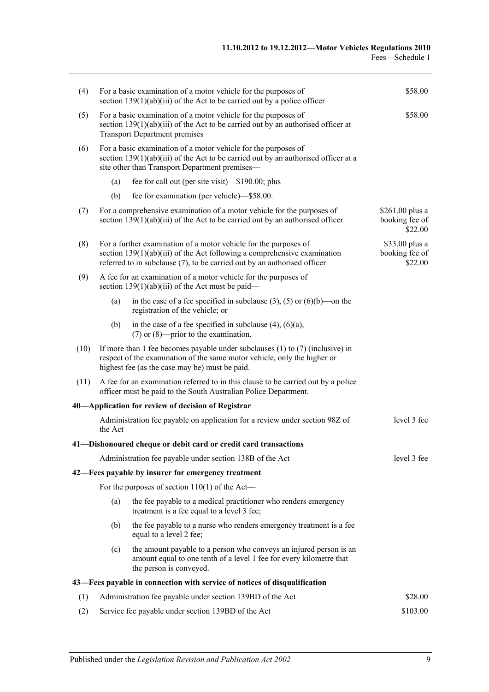| (4)  |                                                                                                                                                                                              | For a basic examination of a motor vehicle for the purposes of<br>section $139(1)(ab)(iii)$ of the Act to be carried out by a police officer                                                                               | \$58.00                                       |  |  |
|------|----------------------------------------------------------------------------------------------------------------------------------------------------------------------------------------------|----------------------------------------------------------------------------------------------------------------------------------------------------------------------------------------------------------------------------|-----------------------------------------------|--|--|
| (5)  | For a basic examination of a motor vehicle for the purposes of<br>section $139(1)(ab)(iii)$ of the Act to be carried out by an authorised officer at<br><b>Transport Department premises</b> | \$58.00                                                                                                                                                                                                                    |                                               |  |  |
| (6)  |                                                                                                                                                                                              | For a basic examination of a motor vehicle for the purposes of<br>section $139(1)(ab)(iii)$ of the Act to be carried out by an authorised officer at a<br>site other than Transport Department premises-                   |                                               |  |  |
|      | (a)                                                                                                                                                                                          | fee for call out (per site visit)—\$190.00; plus                                                                                                                                                                           |                                               |  |  |
|      | (b)                                                                                                                                                                                          | fee for examination (per vehicle)—\$58.00.                                                                                                                                                                                 |                                               |  |  |
| (7)  |                                                                                                                                                                                              | For a comprehensive examination of a motor vehicle for the purposes of<br>section $139(1)(ab)(iii)$ of the Act to be carried out by an authorised officer                                                                  | $$261.00$ plus a<br>booking fee of<br>\$22.00 |  |  |
| (8)  |                                                                                                                                                                                              | For a further examination of a motor vehicle for the purposes of<br>section $139(1)(ab)(iii)$ of the Act following a comprehensive examination<br>referred to in subclause (7), to be carried out by an authorised officer | \$33.00 plus a<br>booking fee of<br>\$22.00   |  |  |
| (9)  |                                                                                                                                                                                              | A fee for an examination of a motor vehicle for the purposes of<br>section $139(1)(ab)(iii)$ of the Act must be paid—                                                                                                      |                                               |  |  |
|      | (a)                                                                                                                                                                                          | in the case of a fee specified in subclause (3), (5) or (6)(b)—on the<br>registration of the vehicle; or                                                                                                                   |                                               |  |  |
|      | (b)                                                                                                                                                                                          | in the case of a fee specified in subclause $(4)$ , $(6)(a)$ ,<br>$(7)$ or $(8)$ —prior to the examination.                                                                                                                |                                               |  |  |
| (10) |                                                                                                                                                                                              | If more than 1 fee becomes payable under subclauses $(1)$ to $(7)$ (inclusive) in<br>respect of the examination of the same motor vehicle, only the higher or<br>highest fee (as the case may be) must be paid.            |                                               |  |  |
| (11) |                                                                                                                                                                                              | A fee for an examination referred to in this clause to be carried out by a police<br>officer must be paid to the South Australian Police Department.                                                                       |                                               |  |  |
|      |                                                                                                                                                                                              | 40—Application for review of decision of Registrar                                                                                                                                                                         |                                               |  |  |
|      | the Act                                                                                                                                                                                      | Administration fee payable on application for a review under section 98Z of                                                                                                                                                | level 3 fee                                   |  |  |
|      |                                                                                                                                                                                              | 41—Dishonoured cheque or debit card or credit card transactions                                                                                                                                                            |                                               |  |  |
|      |                                                                                                                                                                                              | Administration fee payable under section 138B of the Act                                                                                                                                                                   | level 3 fee                                   |  |  |
|      |                                                                                                                                                                                              | 42—Fees payable by insurer for emergency treatment                                                                                                                                                                         |                                               |  |  |
|      |                                                                                                                                                                                              | For the purposes of section $110(1)$ of the Act—                                                                                                                                                                           |                                               |  |  |
|      | (a)                                                                                                                                                                                          | the fee payable to a medical practitioner who renders emergency<br>treatment is a fee equal to a level 3 fee;                                                                                                              |                                               |  |  |
|      | (b)                                                                                                                                                                                          | the fee payable to a nurse who renders emergency treatment is a fee<br>equal to a level 2 fee;                                                                                                                             |                                               |  |  |
|      | (c)                                                                                                                                                                                          | the amount payable to a person who conveys an injured person is an<br>amount equal to one tenth of a level 1 fee for every kilometre that<br>the person is conveyed.                                                       |                                               |  |  |
|      |                                                                                                                                                                                              | 43—Fees payable in connection with service of notices of disqualification                                                                                                                                                  |                                               |  |  |
| (1)  |                                                                                                                                                                                              | Administration fee payable under section 139BD of the Act                                                                                                                                                                  | \$28.00                                       |  |  |
| (2)  | Service fee payable under section 139BD of the Act<br>\$103.00                                                                                                                               |                                                                                                                                                                                                                            |                                               |  |  |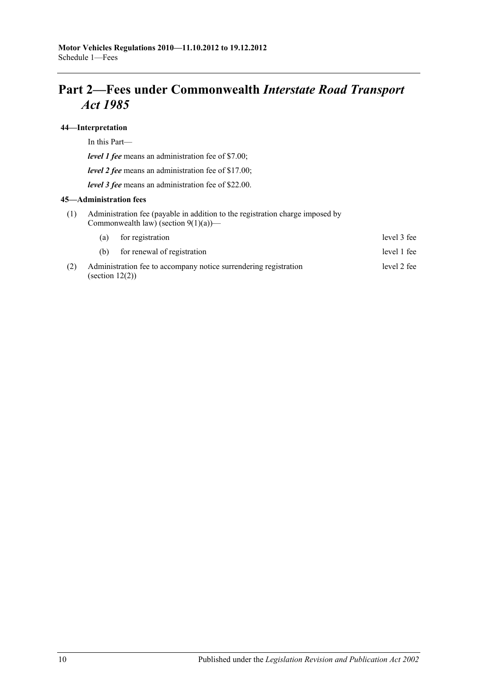# **Part 2—Fees under Commonwealth** *Interstate Road Transport Act 1985*

#### **44—Interpretation**

In this Part—

*level 1 fee* means an administration fee of \$7.00;

*level 2 fee* means an administration fee of \$17.00;

*level 3 fee* means an administration fee of \$22.00.

#### **45—Administration fees**

(1) Administration fee (payable in addition to the registration charge imposed by Commonwealth law) (section  $9(1)(a)$ )—

|     | (a)                | for registration                                                 | level 3 fee |
|-----|--------------------|------------------------------------------------------------------|-------------|
|     | (h)                | for renewal of registration                                      | level 1 fee |
| (2) | (section $12(2)$ ) | Administration fee to accompany notice surrendering registration | level 2 fee |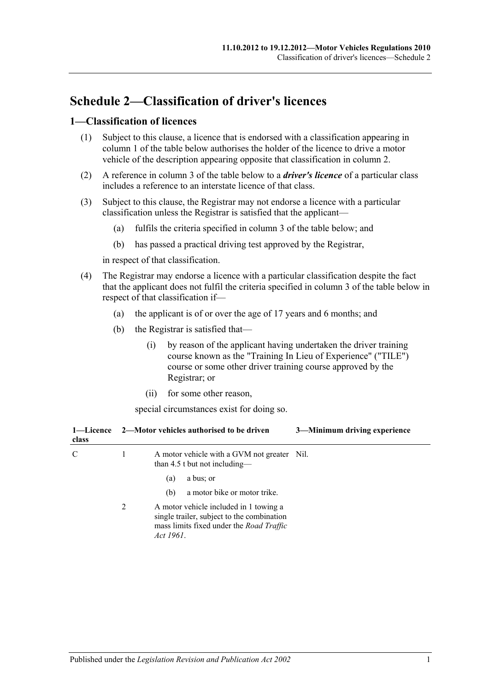# **Schedule 2—Classification of driver's licences**

#### **1—Classification of licences**

- (1) Subject to this clause, a licence that is endorsed with a classification appearing in column 1 of the table below authorises the holder of the licence to drive a motor vehicle of the description appearing opposite that classification in column 2.
- (2) A reference in column 3 of the table below to a *driver's licence* of a particular class includes a reference to an interstate licence of that class.
- (3) Subject to this clause, the Registrar may not endorse a licence with a particular classification unless the Registrar is satisfied that the applicant—
	- (a) fulfils the criteria specified in column 3 of the table below; and
	- (b) has passed a practical driving test approved by the Registrar,

in respect of that classification.

- (4) The Registrar may endorse a licence with a particular classification despite the fact that the applicant does not fulfil the criteria specified in column 3 of the table below in respect of that classification if—
	- (a) the applicant is of or over the age of 17 years and 6 months; and
	- (b) the Registrar is satisfied that—
		- (i) by reason of the applicant having undertaken the driver training course known as the "Training In Lieu of Experience" ("TILE") course or some other driver training course approved by the Registrar; or
		- (ii) for some other reason,

special circumstances exist for doing so.

| 1—Licence<br>class |   | 3-Minimum driving experience<br>2—Motor vehicles authorised to be driven                                                                      |
|--------------------|---|-----------------------------------------------------------------------------------------------------------------------------------------------|
| C                  | 1 | A motor vehicle with a GVM not greater Nil.<br>than 4.5 t but not including—                                                                  |
|                    |   | a bus; or<br>(a)                                                                                                                              |
|                    |   | a motor bike or motor trike.<br>(b)                                                                                                           |
|                    | 2 | A motor vehicle included in 1 towing a<br>single trailer, subject to the combination<br>mass limits fixed under the Road Traffic<br>Act 1961. |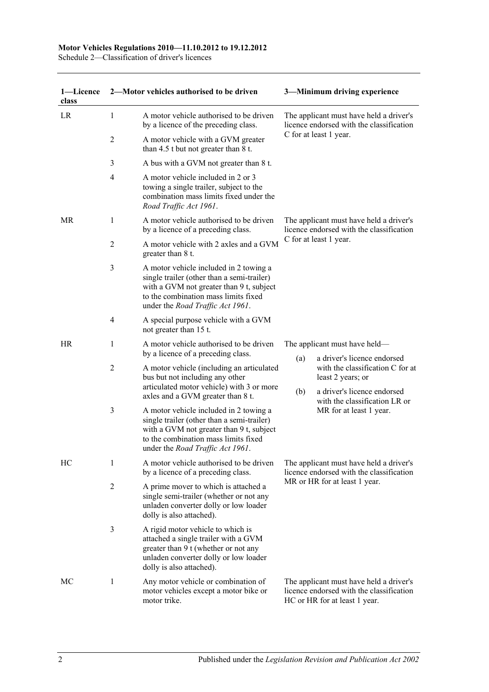#### **Motor Vehicles Regulations 2010—11.10.2012 to 19.12.2012**

Schedule 2—Classification of driver's licences

| 1-Licence<br>class |                | 2-Motor vehicles authorised to be driven                                                                                                                                                                     |                                                                                                               | 3-Minimum driving experience                                                                                         |
|--------------------|----------------|--------------------------------------------------------------------------------------------------------------------------------------------------------------------------------------------------------------|---------------------------------------------------------------------------------------------------------------|----------------------------------------------------------------------------------------------------------------------|
| LR                 | 1              | A motor vehicle authorised to be driven<br>by a licence of the preceding class.                                                                                                                              | The applicant must have held a driver's<br>licence endorsed with the classification                           |                                                                                                                      |
|                    | 2              | A motor vehicle with a GVM greater<br>than 4.5 t but not greater than 8 t.                                                                                                                                   |                                                                                                               | C for at least 1 year.                                                                                               |
|                    | 3              | A bus with a GVM not greater than 8 t.                                                                                                                                                                       |                                                                                                               |                                                                                                                      |
|                    | $\overline{4}$ | A motor vehicle included in 2 or 3<br>towing a single trailer, subject to the<br>combination mass limits fixed under the<br>Road Traffic Act 1961.                                                           |                                                                                                               |                                                                                                                      |
| MR                 | 1              | A motor vehicle authorised to be driven<br>by a licence of a preceding class.                                                                                                                                | The applicant must have held a driver's<br>licence endorsed with the classification<br>C for at least 1 year. |                                                                                                                      |
|                    | 2              | A motor vehicle with 2 axles and a GVM<br>greater than 8 t.                                                                                                                                                  |                                                                                                               |                                                                                                                      |
|                    | 3              | A motor vehicle included in 2 towing a<br>single trailer (other than a semi-trailer)<br>with a GVM not greater than 9 t, subject<br>to the combination mass limits fixed<br>under the Road Traffic Act 1961. |                                                                                                               |                                                                                                                      |
|                    | 4              | A special purpose vehicle with a GVM<br>not greater than 15 t.                                                                                                                                               |                                                                                                               |                                                                                                                      |
| HR                 | 1              | A motor vehicle authorised to be driven<br>by a licence of a preceding class.                                                                                                                                |                                                                                                               | The applicant must have held—                                                                                        |
|                    | $\overline{c}$ | A motor vehicle (including an articulated<br>bus but not including any other<br>articulated motor vehicle) with 3 or more                                                                                    | (a)                                                                                                           | a driver's licence endorsed<br>with the classification C for at<br>least 2 years; or                                 |
|                    |                | axles and a GVM greater than 8 t.                                                                                                                                                                            | (b)                                                                                                           | a driver's licence endorsed<br>with the classification LR or                                                         |
|                    | 3              | A motor vehicle included in 2 towing a<br>single trailer (other than a semi-trailer)<br>with a GVM not greater than 9 t, subject<br>to the combination mass limits fixed<br>under the Road Traffic Act 1961. |                                                                                                               | MR for at least 1 year.                                                                                              |
| HC                 | 1              | A motor vehicle authorised to be driven<br>by a licence of a preceding class.                                                                                                                                | The applicant must have held a driver's<br>licence endorsed with the classification                           |                                                                                                                      |
|                    | $\overline{2}$ | A prime mover to which is attached a<br>single semi-trailer (whether or not any<br>unladen converter dolly or low loader<br>dolly is also attached).                                                         |                                                                                                               | MR or HR for at least 1 year.                                                                                        |
|                    | 3              | A rigid motor vehicle to which is<br>attached a single trailer with a GVM<br>greater than 9 t (whether or not any<br>unladen converter dolly or low loader<br>dolly is also attached).                       |                                                                                                               |                                                                                                                      |
| МC                 | 1              | Any motor vehicle or combination of<br>motor vehicles except a motor bike or<br>motor trike.                                                                                                                 |                                                                                                               | The applicant must have held a driver's<br>licence endorsed with the classification<br>HC or HR for at least 1 year. |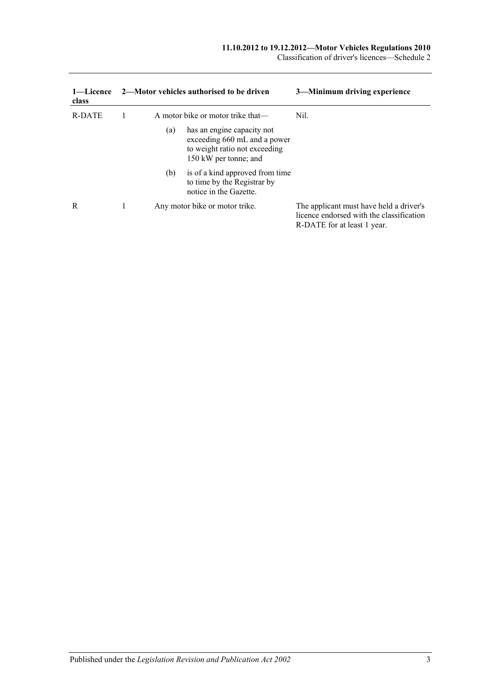#### **11.10.2012 to 19.12.2012—Motor Vehicles Regulations 2010**

Classification of driver's licences—Schedule 2

| 1—Licence<br>class |     | 2—Motor vehicles authorised to be driven                                                                             | 3—Minimum driving experience                                                                                       |
|--------------------|-----|----------------------------------------------------------------------------------------------------------------------|--------------------------------------------------------------------------------------------------------------------|
| R-DATE             |     | A motor bike or motor trike that—                                                                                    | Nil.                                                                                                               |
|                    | (a) | has an engine capacity not<br>exceeding 660 mL and a power<br>to weight ratio not exceeding<br>150 kW per tonne; and |                                                                                                                    |
|                    | (b) | is of a kind approved from time<br>to time by the Registrar by<br>notice in the Gazette.                             |                                                                                                                    |
| R                  |     | Any motor bike or motor trike.                                                                                       | The applicant must have held a driver's<br>licence endorsed with the classification<br>R-DATE for at least 1 year. |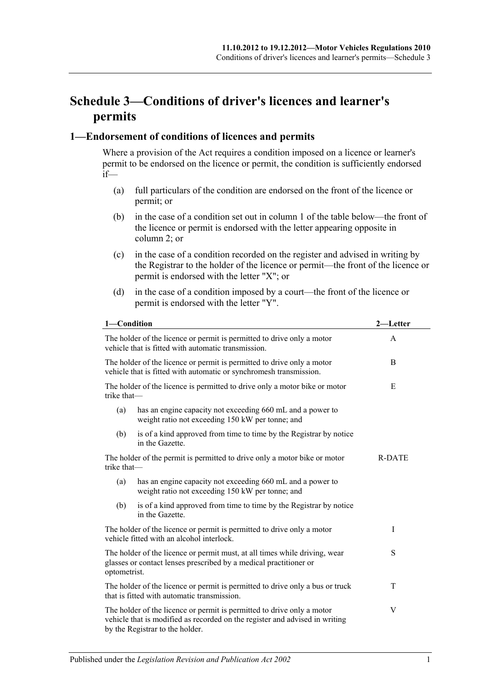# **Schedule 3—Conditions of driver's licences and learner's permits**

#### **1—Endorsement of conditions of licences and permits**

Where a provision of the Act requires a condition imposed on a licence or learner's permit to be endorsed on the licence or permit, the condition is sufficiently endorsed if—

- (a) full particulars of the condition are endorsed on the front of the licence or permit; or
- (b) in the case of a condition set out in column 1 of the table below—the front of the licence or permit is endorsed with the letter appearing opposite in column 2; or
- (c) in the case of a condition recorded on the register and advised in writing by the Registrar to the holder of the licence or permit—the front of the licence or permit is endorsed with the letter "X"; or
- (d) in the case of a condition imposed by a court—the front of the licence or permit is endorsed with the letter "Y".

| 1-Condition                                                                                                                                                     | 2—Letter                                                                                                                                                                                 |   |
|-----------------------------------------------------------------------------------------------------------------------------------------------------------------|------------------------------------------------------------------------------------------------------------------------------------------------------------------------------------------|---|
| The holder of the licence or permit is permitted to drive only a motor<br>vehicle that is fitted with automatic transmission.                                   | A                                                                                                                                                                                        |   |
|                                                                                                                                                                 | The holder of the licence or permit is permitted to drive only a motor<br>vehicle that is fitted with automatic or synchromesh transmission.                                             | B |
| trike that-                                                                                                                                                     | The holder of the licence is permitted to drive only a motor bike or motor                                                                                                               | E |
| (a)                                                                                                                                                             | has an engine capacity not exceeding 660 mL and a power to<br>weight ratio not exceeding 150 kW per tonne; and                                                                           |   |
| (b)                                                                                                                                                             | is of a kind approved from time to time by the Registrar by notice<br>in the Gazette.                                                                                                    |   |
| The holder of the permit is permitted to drive only a motor bike or motor<br>trike that-                                                                        | <b>R-DATE</b>                                                                                                                                                                            |   |
| (a)                                                                                                                                                             |                                                                                                                                                                                          |   |
| (b)                                                                                                                                                             | is of a kind approved from time to time by the Registrar by notice<br>in the Gazette.                                                                                                    |   |
| The holder of the licence or permit is permitted to drive only a motor<br>vehicle fitted with an alcohol interlock.                                             | I                                                                                                                                                                                        |   |
| The holder of the licence or permit must, at all times while driving, wear<br>glasses or contact lenses prescribed by a medical practitioner or<br>optometrist. | S                                                                                                                                                                                        |   |
| The holder of the licence or permit is permitted to drive only a bus or truck<br>that is fitted with automatic transmission.                                    | T                                                                                                                                                                                        |   |
|                                                                                                                                                                 | The holder of the licence or permit is permitted to drive only a motor<br>vehicle that is modified as recorded on the register and advised in writing<br>by the Registrar to the holder. | V |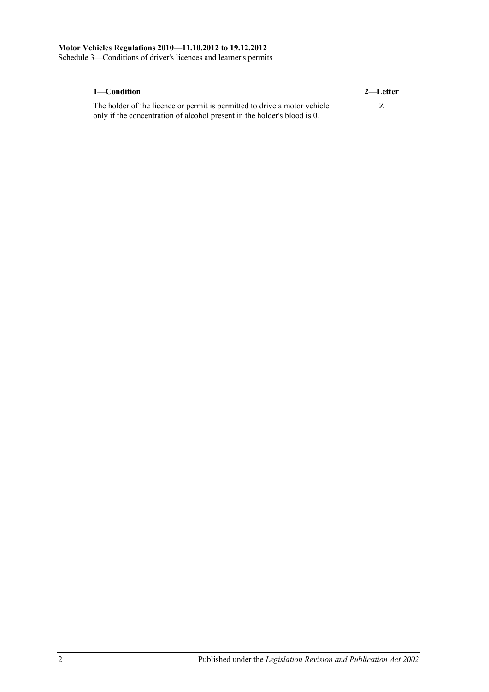Schedule 3—Conditions of driver's licences and learner's permits

| 1—Condition                                                               | 2—Letter |
|---------------------------------------------------------------------------|----------|
| The holder of the licence or permit is permitted to drive a motor vehicle |          |
| only if the concentration of alcohol present in the holder's blood is 0.  |          |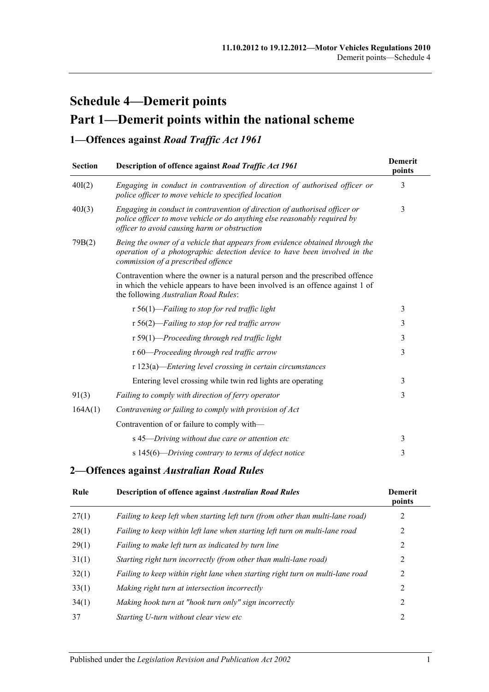# **Schedule 4—Demerit points Part 1—Demerit points within the national scheme**

## **1—Offences against** *Road Traffic Act 1961*

| <b>Section</b> | Description of offence against Road Traffic Act 1961                                                                                                                                                    | <b>Demerit</b><br>points |
|----------------|---------------------------------------------------------------------------------------------------------------------------------------------------------------------------------------------------------|--------------------------|
| 40I(2)         | Engaging in conduct in contravention of direction of authorised officer or<br>police officer to move vehicle to specified location                                                                      | 3                        |
| 40J(3)         | Engaging in conduct in contravention of direction of authorised officer or<br>police officer to move vehicle or do anything else reasonably required by<br>officer to avoid causing harm or obstruction | 3                        |
| 79B(2)         | Being the owner of a vehicle that appears from evidence obtained through the<br>operation of a photographic detection device to have been involved in the<br>commission of a prescribed offence         |                          |
|                | Contravention where the owner is a natural person and the prescribed offence<br>in which the vehicle appears to have been involved is an offence against 1 of<br>the following Australian Road Rules:   |                          |
|                | r 56(1)—Failing to stop for red traffic light                                                                                                                                                           | 3                        |
|                | $r 56(2)$ —Failing to stop for red traffic arrow                                                                                                                                                        | 3                        |
|                | $r 59(1)$ -Proceeding through red traffic light                                                                                                                                                         | 3                        |
|                | r 60—Proceeding through red traffic arrow                                                                                                                                                               | 3                        |
|                | $r 123(a)$ -Entering level crossing in certain circumstances                                                                                                                                            |                          |
|                | Entering level crossing while twin red lights are operating                                                                                                                                             | 3                        |
| 91(3)          | Failing to comply with direction of ferry operator                                                                                                                                                      | 3                        |
| 164A(1)        | Contravening or failing to comply with provision of Act                                                                                                                                                 |                          |
|                | Contravention of or failure to comply with-                                                                                                                                                             |                          |
|                | s 45-Driving without due care or attention etc                                                                                                                                                          | 3                        |
|                | s 145(6)—Driving contrary to terms of defect notice                                                                                                                                                     | 3                        |

#### **2—Offences against** *Australian Road Rules*

| Rule  | <b>Description of offence against Australian Road Rules</b>                    | <b>Demerit</b><br>points |
|-------|--------------------------------------------------------------------------------|--------------------------|
| 27(1) | Failing to keep left when starting left turn (from other than multi-lane road) | 2                        |
| 28(1) | Failing to keep within left lane when starting left turn on multi-lane road    | 2                        |
| 29(1) | Failing to make left turn as indicated by turn line                            | 2                        |
| 31(1) | Starting right turn incorrectly (from other than multi-lane road)              | 2                        |
| 32(1) | Failing to keep within right lane when starting right turn on multi-lane road  | 2                        |
| 33(1) | Making right turn at intersection incorrectly                                  | 2                        |
| 34(1) | Making hook turn at "hook turn only" sign incorrectly                          | 2                        |
| 37    | Starting U-turn without clear view etc                                         | 2                        |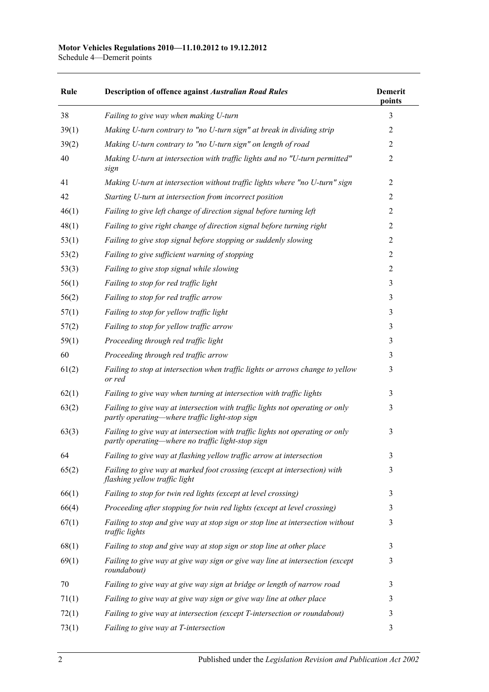Schedule 4—Demerit points

| Rule  | <b>Description of offence against Australian Road Rules</b>                                                                        | <b>Demerit</b><br>points |
|-------|------------------------------------------------------------------------------------------------------------------------------------|--------------------------|
| 38    | Failing to give way when making U-turn                                                                                             | 3                        |
| 39(1) | Making U-turn contrary to "no U-turn sign" at break in dividing strip                                                              | $\overline{2}$           |
| 39(2) | Making U-turn contrary to "no U-turn sign" on length of road                                                                       | $\overline{2}$           |
| 40    | Making U-turn at intersection with traffic lights and no "U-turn permitted"<br>sign                                                | $\overline{2}$           |
| 41    | Making U-turn at intersection without traffic lights where "no U-turn" sign                                                        | $\overline{2}$           |
| 42    | Starting U-turn at intersection from incorrect position                                                                            | 2                        |
| 46(1) | Failing to give left change of direction signal before turning left                                                                | $\overline{2}$           |
| 48(1) | Failing to give right change of direction signal before turning right                                                              | $\overline{2}$           |
| 53(1) | Failing to give stop signal before stopping or suddenly slowing                                                                    | $\overline{2}$           |
| 53(2) | Failing to give sufficient warning of stopping                                                                                     | $\overline{2}$           |
| 53(3) | Failing to give stop signal while slowing                                                                                          | $\overline{2}$           |
| 56(1) | Failing to stop for red traffic light                                                                                              | 3                        |
| 56(2) | Failing to stop for red traffic arrow                                                                                              | 3                        |
| 57(1) | Failing to stop for yellow traffic light                                                                                           | 3                        |
| 57(2) | Failing to stop for yellow traffic arrow                                                                                           | 3                        |
| 59(1) | Proceeding through red traffic light                                                                                               | 3                        |
| 60    | Proceeding through red traffic arrow                                                                                               | 3                        |
| 61(2) | Failing to stop at intersection when traffic lights or arrows change to yellow<br>or red                                           | 3                        |
| 62(1) | Failing to give way when turning at intersection with traffic lights                                                               | 3                        |
| 63(2) | Failing to give way at intersection with traffic lights not operating or only<br>partly operating—where traffic light-stop sign    | 3                        |
| 63(3) | Failing to give way at intersection with traffic lights not operating or only<br>partly operating—where no traffic light-stop sign | 3                        |
| 64    | Failing to give way at flashing yellow traffic arrow at intersection                                                               | 3                        |
| 65(2) | Failing to give way at marked foot crossing (except at intersection) with<br>flashing yellow traffic light                         | 3                        |
| 66(1) | Failing to stop for twin red lights (except at level crossing)                                                                     | 3                        |
| 66(4) | Proceeding after stopping for twin red lights (except at level crossing)                                                           | 3                        |
| 67(1) | Failing to stop and give way at stop sign or stop line at intersection without<br>traffic lights                                   | 3                        |
| 68(1) | Failing to stop and give way at stop sign or stop line at other place                                                              | 3                        |
| 69(1) | Failing to give way at give way sign or give way line at intersection (except<br>roundabout)                                       | 3                        |
| 70    | Failing to give way at give way sign at bridge or length of narrow road                                                            | 3                        |
| 71(1) | Failing to give way at give way sign or give way line at other place                                                               | 3                        |
| 72(1) | Failing to give way at intersection (except T-intersection or roundabout)                                                          | 3                        |
| 73(1) | Failing to give way at T-intersection                                                                                              | 3                        |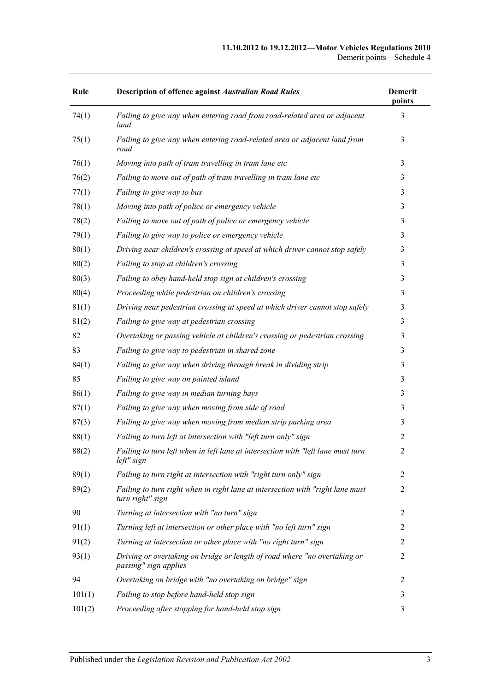#### **11.10.2012 to 19.12.2012—Motor Vehicles Regulations 2010** Demerit points—Schedule 4

| Rule   | <b>Description of offence against Australian Road Rules</b>                                         | <b>Demerit</b><br>points |
|--------|-----------------------------------------------------------------------------------------------------|--------------------------|
| 74(1)  | Failing to give way when entering road from road-related area or adjacent<br>land                   | 3                        |
| 75(1)  | Failing to give way when entering road-related area or adjacent land from<br>road                   | 3                        |
| 76(1)  | Moving into path of tram travelling in tram lane etc                                                | 3                        |
| 76(2)  | Failing to move out of path of tram travelling in tram lane etc                                     | 3                        |
| 77(1)  | Failing to give way to bus                                                                          | 3                        |
| 78(1)  | Moving into path of police or emergency vehicle                                                     | 3                        |
| 78(2)  | Failing to move out of path of police or emergency vehicle                                          | 3                        |
| 79(1)  | Failing to give way to police or emergency vehicle                                                  | 3                        |
| 80(1)  | Driving near children's crossing at speed at which driver cannot stop safely                        | 3                        |
| 80(2)  | Failing to stop at children's crossing                                                              | 3                        |
| 80(3)  | Failing to obey hand-held stop sign at children's crossing                                          | 3                        |
| 80(4)  | Proceeding while pedestrian on children's crossing                                                  | 3                        |
| 81(1)  | Driving near pedestrian crossing at speed at which driver cannot stop safely                        | 3                        |
| 81(2)  | Failing to give way at pedestrian crossing                                                          | 3                        |
| 82     | Overtaking or passing vehicle at children's crossing or pedestrian crossing                         | 3                        |
| 83     | Failing to give way to pedestrian in shared zone                                                    | 3                        |
| 84(1)  | Failing to give way when driving through break in dividing strip                                    | 3                        |
| 85     | Failing to give way on painted island                                                               | 3                        |
| 86(1)  | Failing to give way in median turning bays                                                          | 3                        |
| 87(1)  | Failing to give way when moving from side of road                                                   | 3                        |
| 87(3)  | Failing to give way when moving from median strip parking area                                      | 3                        |
| 88(1)  | Failing to turn left at intersection with "left turn only" sign                                     | 2                        |
| 88(2)  | Failing to turn left when in left lane at intersection with "left lane must turn<br>left" sign      | 2                        |
| 89(1)  | Failing to turn right at intersection with "right turn only" sign                                   | $\overline{2}$           |
| 89(2)  | Failing to turn right when in right lane at intersection with "right lane must"<br>turn right" sign | $\overline{2}$           |
| 90     | Turning at intersection with "no turn" sign                                                         | 2                        |
| 91(1)  | Turning left at intersection or other place with "no left turn" sign                                | 2                        |
| 91(2)  | Turning at intersection or other place with "no right turn" sign                                    | 2                        |
| 93(1)  | Driving or overtaking on bridge or length of road where "no overtaking or<br>passing" sign applies  | $\overline{2}$           |
| 94     | Overtaking on bridge with "no overtaking on bridge" sign                                            | $\overline{2}$           |
| 101(1) | Failing to stop before hand-held stop sign                                                          | 3                        |
| 101(2) | Proceeding after stopping for hand-held stop sign                                                   | 3                        |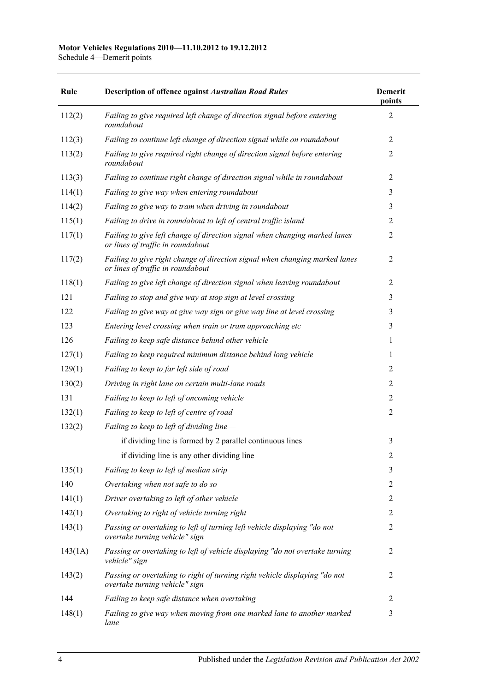| Rule    | <b>Description of offence against Australian Road Rules</b>                                                      | <b>Demerit</b><br>points |
|---------|------------------------------------------------------------------------------------------------------------------|--------------------------|
| 112(2)  | Failing to give required left change of direction signal before entering<br>roundabout                           | $\overline{2}$           |
| 112(3)  | Failing to continue left change of direction signal while on roundabout                                          | $\overline{2}$           |
| 113(2)  | Failing to give required right change of direction signal before entering<br>roundabout                          | $\overline{2}$           |
| 113(3)  | Failing to continue right change of direction signal while in roundabout                                         | $\overline{2}$           |
| 114(1)  | Failing to give way when entering roundabout                                                                     | 3                        |
| 114(2)  | Failing to give way to tram when driving in roundabout                                                           | 3                        |
| 115(1)  | Failing to drive in roundabout to left of central traffic island                                                 | $\overline{2}$           |
| 117(1)  | Failing to give left change of direction signal when changing marked lanes<br>or lines of traffic in roundabout  | $\overline{2}$           |
| 117(2)  | Failing to give right change of direction signal when changing marked lanes<br>or lines of traffic in roundabout | $\overline{2}$           |
| 118(1)  | Failing to give left change of direction signal when leaving roundabout                                          | $\overline{2}$           |
| 121     | Failing to stop and give way at stop sign at level crossing                                                      | 3                        |
| 122     | Failing to give way at give way sign or give way line at level crossing                                          | 3                        |
| 123     | Entering level crossing when train or tram approaching etc                                                       | 3                        |
| 126     | Failing to keep safe distance behind other vehicle                                                               | 1                        |
| 127(1)  | Failing to keep required minimum distance behind long vehicle                                                    | 1                        |
| 129(1)  | Failing to keep to far left side of road                                                                         | $\overline{2}$           |
| 130(2)  | Driving in right lane on certain multi-lane roads                                                                | $\overline{2}$           |
| 131     | Failing to keep to left of oncoming vehicle                                                                      | $\overline{2}$           |
| 132(1)  | Failing to keep to left of centre of road                                                                        | $\overline{2}$           |
| 132(2)  | Failing to keep to left of dividing line-                                                                        |                          |
|         | if dividing line is formed by 2 parallel continuous lines                                                        | 3                        |
|         | if dividing line is any other dividing line                                                                      | $\overline{c}$           |
| 135(1)  | Failing to keep to left of median strip                                                                          | 3                        |
| 140     | Overtaking when not safe to do so                                                                                | $\overline{2}$           |
| 141(1)  | Driver overtaking to left of other vehicle                                                                       | $\overline{2}$           |
| 142(1)  | Overtaking to right of vehicle turning right                                                                     | $\overline{2}$           |
| 143(1)  | Passing or overtaking to left of turning left vehicle displaying "do not<br>overtake turning vehicle" sign       | $\overline{2}$           |
| 143(1A) | Passing or overtaking to left of vehicle displaying "do not overtake turning<br>vehicle" sign                    | $\overline{2}$           |
| 143(2)  | Passing or overtaking to right of turning right vehicle displaying "do not<br>overtake turning vehicle" sign     | $\overline{2}$           |
| 144     | Failing to keep safe distance when overtaking                                                                    | 2                        |
| 148(1)  | Failing to give way when moving from one marked lane to another marked<br>lane                                   | 3                        |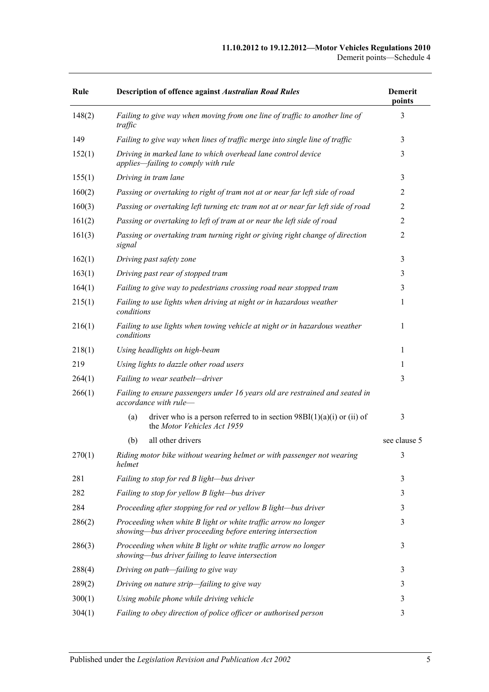#### **11.10.2012 to 19.12.2012—Motor Vehicles Regulations 2010** Demerit points—Schedule 4

| Rule   | <b>Description of offence against Australian Road Rules</b>                                                                  | <b>Demerit</b><br>points |
|--------|------------------------------------------------------------------------------------------------------------------------------|--------------------------|
| 148(2) | Failing to give way when moving from one line of traffic to another line of<br>traffic                                       | 3                        |
| 149    | Failing to give way when lines of traffic merge into single line of traffic                                                  | 3                        |
| 152(1) | Driving in marked lane to which overhead lane control device<br>applies-failing to comply with rule                          | 3                        |
| 155(1) | Driving in tram lane                                                                                                         | 3                        |
| 160(2) | Passing or overtaking to right of tram not at or near far left side of road                                                  | 2                        |
| 160(3) | Passing or overtaking left turning etc tram not at or near far left side of road                                             | 2                        |
| 161(2) | Passing or overtaking to left of tram at or near the left side of road                                                       | $\overline{2}$           |
| 161(3) | Passing or overtaking tram turning right or giving right change of direction<br>signal                                       | $\overline{2}$           |
| 162(1) | Driving past safety zone                                                                                                     | 3                        |
| 163(1) | Driving past rear of stopped tram                                                                                            | 3                        |
| 164(1) | Failing to give way to pedestrians crossing road near stopped tram                                                           | 3                        |
| 215(1) | Failing to use lights when driving at night or in hazardous weather<br>conditions                                            | 1                        |
| 216(1) | Failing to use lights when towing vehicle at night or in hazardous weather<br>conditions                                     | 1                        |
| 218(1) | Using headlights on high-beam                                                                                                | 1                        |
| 219    | Using lights to dazzle other road users                                                                                      | 1                        |
| 264(1) | Failing to wear seatbelt—driver                                                                                              | 3                        |
| 266(1) | Failing to ensure passengers under 16 years old are restrained and seated in<br>accordance with rule-                        |                          |
|        | driver who is a person referred to in section $98B(1)(a)(i)$ or (ii) of<br>(a)<br>the Motor Vehicles Act 1959                | 3                        |
|        | all other drivers<br>(b)                                                                                                     | see clause 5             |
| 270(1) | Riding motor bike without wearing helmet or with passenger not wearing<br>helmet                                             | 3                        |
| 281    | Failing to stop for red B light-bus driver                                                                                   | 3                        |
| 282    | Failing to stop for yellow B light-bus driver                                                                                | 3                        |
| 284    | Proceeding after stopping for red or yellow B light-bus driver                                                               | 3                        |
| 286(2) | Proceeding when white B light or white traffic arrow no longer<br>showing—bus driver proceeding before entering intersection | 3                        |
| 286(3) | Proceeding when white B light or white traffic arrow no longer<br>showing-bus driver failing to leave intersection           | 3                        |
| 288(4) | Driving on path-failing to give way                                                                                          | 3                        |
| 289(2) | Driving on nature strip-failing to give way                                                                                  | 3                        |
| 300(1) | Using mobile phone while driving vehicle                                                                                     | 3                        |
| 304(1) | Failing to obey direction of police officer or authorised person                                                             | 3                        |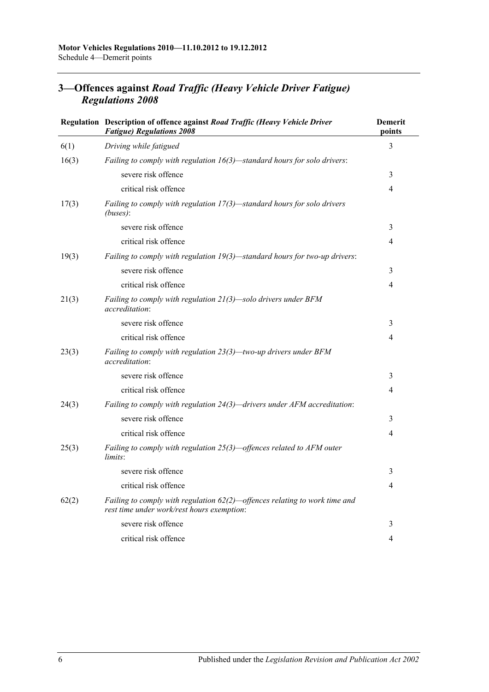|       | Regulation Description of offence against Road Traffic (Heavy Vehicle Driver<br><b>Fatigue) Regulations 2008</b>            | <b>Demerit</b><br>points |
|-------|-----------------------------------------------------------------------------------------------------------------------------|--------------------------|
| 6(1)  | Driving while fatigued                                                                                                      | 3                        |
| 16(3) | Failing to comply with regulation $16(3)$ —standard hours for solo drivers:                                                 |                          |
|       | severe risk offence                                                                                                         | 3                        |
|       | critical risk offence                                                                                                       | 4                        |
| 17(3) | Failing to comply with regulation $17(3)$ —standard hours for solo drivers<br>(buses):                                      |                          |
|       | severe risk offence                                                                                                         | 3                        |
|       | critical risk offence                                                                                                       | 4                        |
| 19(3) | Failing to comply with regulation $19(3)$ —standard hours for two-up drivers:                                               |                          |
|       | severe risk offence                                                                                                         | 3                        |
|       | critical risk offence                                                                                                       | 4                        |
| 21(3) | Failing to comply with regulation $21(3)$ —solo drivers under BFM<br><i>accreditation:</i>                                  |                          |
|       | severe risk offence                                                                                                         | 3                        |
|       | critical risk offence                                                                                                       | 4                        |
| 23(3) | Failing to comply with regulation 23(3)-two-up drivers under BFM<br>accreditation:                                          |                          |
|       | severe risk offence                                                                                                         | 3                        |
|       | critical risk offence                                                                                                       | 4                        |
| 24(3) | Failing to comply with regulation 24(3)—drivers under AFM accreditation:                                                    |                          |
|       | severe risk offence                                                                                                         | 3                        |
|       | critical risk offence                                                                                                       | 4                        |
| 25(3) | Failing to comply with regulation $25(3)$ —offences related to AFM outer<br>limits:                                         |                          |
|       | severe risk offence                                                                                                         | 3                        |
|       | critical risk offence                                                                                                       | 4                        |
| 62(2) | Failing to comply with regulation $62(2)$ —offences relating to work time and<br>rest time under work/rest hours exemption: |                          |
|       | severe risk offence                                                                                                         | 3                        |
|       | critical risk offence                                                                                                       | 4                        |

## **3—Offences against** *Road Traffic (Heavy Vehicle Driver Fatigue) Regulations 2008*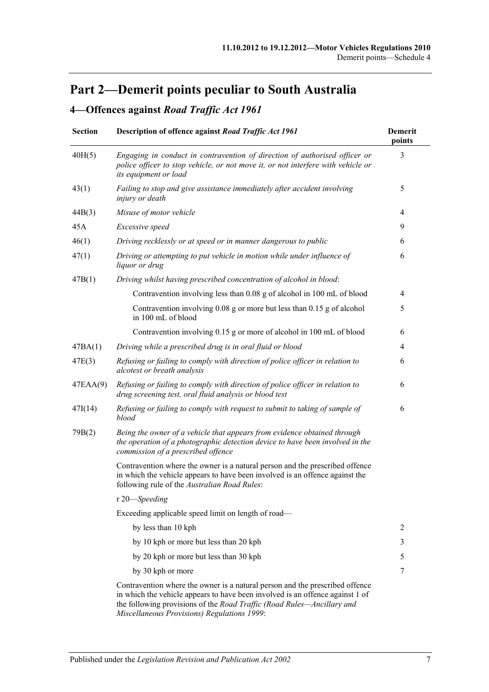# **Part 2—Demerit points peculiar to South Australia**

## **4—Offences against** *Road Traffic Act 1961*

| <b>Section</b> | Description of offence against Road Traffic Act 1961                                                                                                                                                                                                                                   | <b>Demerit</b><br>points |
|----------------|----------------------------------------------------------------------------------------------------------------------------------------------------------------------------------------------------------------------------------------------------------------------------------------|--------------------------|
| 40H(5)         | Engaging in conduct in contravention of direction of authorised officer or<br>police officer to stop vehicle, or not move it, or not interfere with vehicle or<br>its equipment or load                                                                                                | 3                        |
| 43(1)          | Failing to stop and give assistance immediately after accident involving<br>injury or death                                                                                                                                                                                            | 5                        |
| 44B(3)         | Misuse of motor vehicle                                                                                                                                                                                                                                                                | 4                        |
| 45A            | Excessive speed                                                                                                                                                                                                                                                                        | 9                        |
| 46(1)          | Driving recklessly or at speed or in manner dangerous to public                                                                                                                                                                                                                        | 6                        |
| 47(1)          | Driving or attempting to put vehicle in motion while under influence of<br>liquor or drug                                                                                                                                                                                              | 6                        |
| 47B(1)         | Driving whilst having prescribed concentration of alcohol in blood:                                                                                                                                                                                                                    |                          |
|                | Contravention involving less than 0.08 g of alcohol in 100 mL of blood                                                                                                                                                                                                                 | 4                        |
|                | Contravention involving 0.08 g or more but less than 0.15 g of alcohol<br>in 100 mL of blood                                                                                                                                                                                           | 5                        |
|                | Contravention involving 0.15 g or more of alcohol in 100 mL of blood                                                                                                                                                                                                                   | 6                        |
| 47BA(1)        | Driving while a prescribed drug is in oral fluid or blood                                                                                                                                                                                                                              | $\overline{4}$           |
| 47E(3)         | Refusing or failing to comply with direction of police officer in relation to<br>alcotest or breath analysis                                                                                                                                                                           | 6                        |
| 47EAA(9)       | Refusing or failing to comply with direction of police officer in relation to<br>drug screening test, oral fluid analysis or blood test                                                                                                                                                | 6                        |
| 47I(14)        | Refusing or failing to comply with request to submit to taking of sample of<br>blood                                                                                                                                                                                                   | 6                        |
| 79B(2)         | Being the owner of a vehicle that appears from evidence obtained through<br>the operation of a photographic detection device to have been involved in the<br>commission of a prescribed offence                                                                                        |                          |
|                | Contravention where the owner is a natural person and the prescribed offence<br>in which the vehicle appears to have been involved is an offence against the<br>following rule of the Australian Road Rules:                                                                           |                          |
|                | r 20-Speeding                                                                                                                                                                                                                                                                          |                          |
|                | Exceeding applicable speed limit on length of road-                                                                                                                                                                                                                                    |                          |
|                | by less than 10 kph                                                                                                                                                                                                                                                                    | 2                        |
|                | by 10 kph or more but less than 20 kph                                                                                                                                                                                                                                                 | 3                        |
|                | by 20 kph or more but less than 30 kph                                                                                                                                                                                                                                                 | 5                        |
|                | by 30 kph or more                                                                                                                                                                                                                                                                      | 7                        |
|                | Contravention where the owner is a natural person and the prescribed offence<br>in which the vehicle appears to have been involved is an offence against 1 of<br>the following provisions of the Road Traffic (Road Rules—Ancillary and<br>Miscellaneous Provisions) Regulations 1999: |                          |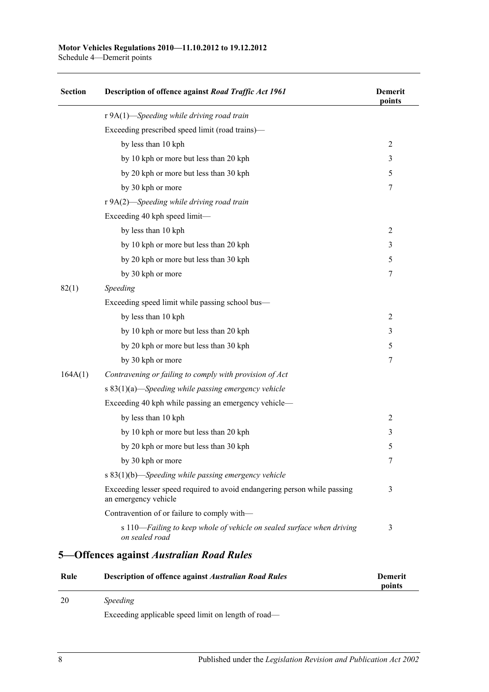Schedule 4—Demerit points

| <b>Section</b> | Description of offence against Road Traffic Act 1961                                              | <b>Demerit</b><br>points |
|----------------|---------------------------------------------------------------------------------------------------|--------------------------|
|                | r 9A(1)-Speeding while driving road train                                                         |                          |
|                | Exceeding prescribed speed limit (road trains)—                                                   |                          |
|                | by less than 10 kph                                                                               | 2                        |
|                | by 10 kph or more but less than 20 kph                                                            | 3                        |
|                | by 20 kph or more but less than 30 kph                                                            | 5                        |
|                | by 30 kph or more                                                                                 | 7                        |
|                | r 9A(2)-Speeding while driving road train                                                         |                          |
|                | Exceeding 40 kph speed limit-                                                                     |                          |
|                | by less than 10 kph                                                                               | $\overline{2}$           |
|                | by 10 kph or more but less than 20 kph                                                            | 3                        |
|                | by 20 kph or more but less than 30 kph                                                            | 5                        |
|                | by 30 kph or more                                                                                 | 7                        |
| 82(1)          | Speeding                                                                                          |                          |
|                | Exceeding speed limit while passing school bus—                                                   |                          |
|                | by less than 10 kph                                                                               | 2                        |
|                | by 10 kph or more but less than 20 kph                                                            | 3                        |
|                | by 20 kph or more but less than 30 kph                                                            | 5                        |
|                | by 30 kph or more                                                                                 | 7                        |
| 164A(1)        | Contravening or failing to comply with provision of Act                                           |                          |
|                | s 83(1)(a)—Speeding while passing emergency vehicle                                               |                          |
|                | Exceeding 40 kph while passing an emergency vehicle-                                              |                          |
|                | by less than 10 kph                                                                               | $\overline{2}$           |
|                | by 10 kph or more but less than 20 kph                                                            | 3                        |
|                | by 20 kph or more but less than 30 kph                                                            | 5                        |
|                | by 30 kph or more                                                                                 | 7                        |
|                | s $83(1)(b)$ —Speeding while passing emergency vehicle                                            |                          |
|                | Exceeding lesser speed required to avoid endangering person while passing<br>an emergency vehicle | 3                        |
|                | Contravention of or failure to comply with-                                                       |                          |
|                | s 110—Failing to keep whole of vehicle on sealed surface when driving<br>on sealed road           | 3                        |
|                | 5—Offences against Australian Road Rules                                                          |                          |
| Rule           | <b>Description of offence against Australian Road Rules</b>                                       | Demerit                  |

| nun | Description of onemed against <i>them about Kotta Takes</i> | решен  |  |
|-----|-------------------------------------------------------------|--------|--|
|     |                                                             | points |  |
| 20  | Speeding                                                    |        |  |

Exceeding applicable speed limit on length of road—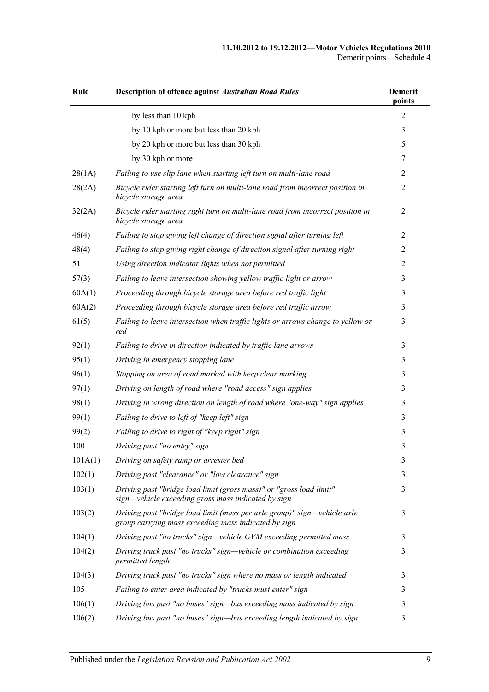| Rule    | Description of offence against Australian Road Rules                                                                             | <b>Demerit</b><br>points |
|---------|----------------------------------------------------------------------------------------------------------------------------------|--------------------------|
|         | by less than 10 kph                                                                                                              | $\overline{2}$           |
|         | by 10 kph or more but less than 20 kph                                                                                           | 3                        |
|         | by 20 kph or more but less than 30 kph                                                                                           | 5                        |
|         | by 30 kph or more                                                                                                                | 7                        |
| 28(1A)  | Failing to use slip lane when starting left turn on multi-lane road                                                              | 2                        |
| 28(2A)  | Bicycle rider starting left turn on multi-lane road from incorrect position in<br>bicycle storage area                           | $\overline{2}$           |
| 32(2A)  | Bicycle rider starting right turn on multi-lane road from incorrect position in<br>bicycle storage area                          | $\overline{2}$           |
| 46(4)   | Failing to stop giving left change of direction signal after turning left                                                        | 2                        |
| 48(4)   | Failing to stop giving right change of direction signal after turning right                                                      | $\overline{2}$           |
| 51      | Using direction indicator lights when not permitted                                                                              | $\overline{2}$           |
| 57(3)   | Failing to leave intersection showing yellow traffic light or arrow                                                              | 3                        |
| 60A(1)  | Proceeding through bicycle storage area before red traffic light                                                                 | 3                        |
| 60A(2)  | Proceeding through bicycle storage area before red traffic arrow                                                                 | 3                        |
| 61(5)   | Failing to leave intersection when traffic lights or arrows change to yellow or<br>red                                           | 3                        |
| 92(1)   | Failing to drive in direction indicated by traffic lane arrows                                                                   | 3                        |
| 95(1)   | Driving in emergency stopping lane                                                                                               | 3                        |
| 96(1)   | Stopping on area of road marked with keep clear marking                                                                          | 3                        |
| 97(1)   | Driving on length of road where "road access" sign applies                                                                       | 3                        |
| 98(1)   | Driving in wrong direction on length of road where "one-way" sign applies                                                        | 3                        |
| 99(1)   | Failing to drive to left of "keep left" sign                                                                                     | 3                        |
| 99(2)   | Failing to drive to right of "keep right" sign                                                                                   | 3                        |
| 100     | Driving past "no entry" sign                                                                                                     | 3                        |
| 101A(1) | Driving on safety ramp or arrester bed                                                                                           | 3                        |
| 102(1)  | Driving past "clearance" or "low clearance" sign                                                                                 | 3                        |
| 103(1)  | Driving past "bridge load limit (gross mass)" or "gross load limit"<br>sign—vehicle exceeding gross mass indicated by sign       | 3                        |
| 103(2)  | Driving past "bridge load limit (mass per axle group)" sign—vehicle axle<br>group carrying mass exceeding mass indicated by sign | 3                        |
| 104(1)  | Driving past "no trucks" sign—vehicle GVM exceeding permitted mass                                                               | 3                        |
| 104(2)  | Driving truck past "no trucks" sign—vehicle or combination exceeding<br>permitted length                                         | 3                        |
| 104(3)  | Driving truck past "no trucks" sign where no mass or length indicated                                                            | 3                        |
| 105     | Failing to enter area indicated by "trucks must enter" sign                                                                      | 3                        |
| 106(1)  | Driving bus past "no buses" sign—bus exceeding mass indicated by sign                                                            | 3                        |
| 106(2)  | Driving bus past "no buses" sign—bus exceeding length indicated by sign                                                          | 3                        |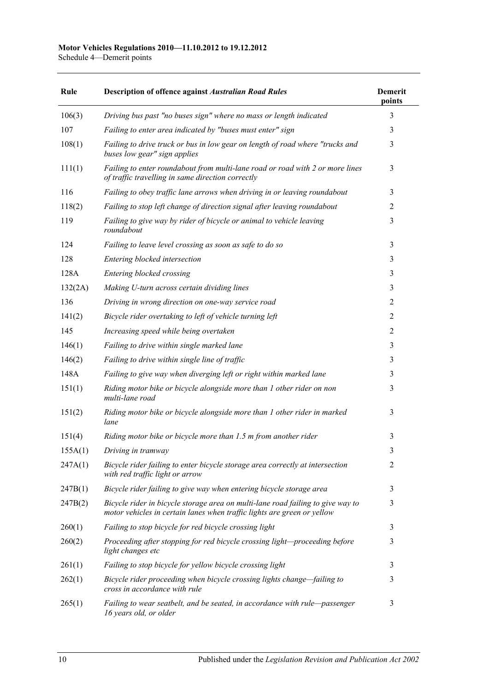Schedule 4—Demerit points

| Rule    | <b>Description of offence against Australian Road Rules</b>                                                                                                | <b>Demerit</b><br>points |
|---------|------------------------------------------------------------------------------------------------------------------------------------------------------------|--------------------------|
| 106(3)  | Driving bus past "no buses sign" where no mass or length indicated                                                                                         | 3                        |
| 107     | Failing to enter area indicated by "buses must enter" sign                                                                                                 | 3                        |
| 108(1)  | Failing to drive truck or bus in low gear on length of road where "trucks and<br>buses low gear" sign applies                                              | 3                        |
| 111(1)  | Failing to enter roundabout from multi-lane road or road with 2 or more lines<br>of traffic travelling in same direction correctly                         | 3                        |
| 116     | Failing to obey traffic lane arrows when driving in or leaving roundabout                                                                                  | 3                        |
| 118(2)  | Failing to stop left change of direction signal after leaving roundabout                                                                                   | $\overline{2}$           |
| 119     | Failing to give way by rider of bicycle or animal to vehicle leaving<br>roundabout                                                                         | 3                        |
| 124     | Failing to leave level crossing as soon as safe to do so                                                                                                   | 3                        |
| 128     | Entering blocked intersection                                                                                                                              | 3                        |
| 128A    | Entering blocked crossing                                                                                                                                  | 3                        |
| 132(2A) | Making U-turn across certain dividing lines                                                                                                                | 3                        |
| 136     | Driving in wrong direction on one-way service road                                                                                                         | $\overline{2}$           |
| 141(2)  | Bicycle rider overtaking to left of vehicle turning left                                                                                                   | 2                        |
| 145     | Increasing speed while being overtaken                                                                                                                     | $\overline{2}$           |
| 146(1)  | Failing to drive within single marked lane                                                                                                                 | 3                        |
| 146(2)  | Failing to drive within single line of traffic                                                                                                             | 3                        |
| 148A    | Failing to give way when diverging left or right within marked lane                                                                                        | 3                        |
| 151(1)  | Riding motor bike or bicycle alongside more than 1 other rider on non<br>multi-lane road                                                                   | 3                        |
| 151(2)  | Riding motor bike or bicycle alongside more than 1 other rider in marked<br>lane                                                                           | 3                        |
| 151(4)  | Riding motor bike or bicycle more than 1.5 m from another rider                                                                                            | 3                        |
| 155A(1) | Driving in tramway                                                                                                                                         | 3                        |
| 247A(1) | Bicycle rider failing to enter bicycle storage area correctly at intersection<br>with red traffic light or arrow                                           | $\overline{2}$           |
| 247B(1) | Bicycle rider failing to give way when entering bicycle storage area                                                                                       | 3                        |
| 247B(2) | Bicycle rider in bicycle storage area on multi-lane road failing to give way to<br>motor vehicles in certain lanes when traffic lights are green or yellow | 3                        |
| 260(1)  | Failing to stop bicycle for red bicycle crossing light                                                                                                     | 3                        |
| 260(2)  | Proceeding after stopping for red bicycle crossing light-proceeding before<br>light changes etc                                                            | 3                        |
| 261(1)  | Failing to stop bicycle for yellow bicycle crossing light                                                                                                  | 3                        |
| 262(1)  | Bicycle rider proceeding when bicycle crossing lights change-failing to<br>cross in accordance with rule                                                   | 3                        |
| 265(1)  | Failing to wear seatbelt, and be seated, in accordance with rule-passenger<br>16 years old, or older                                                       | 3                        |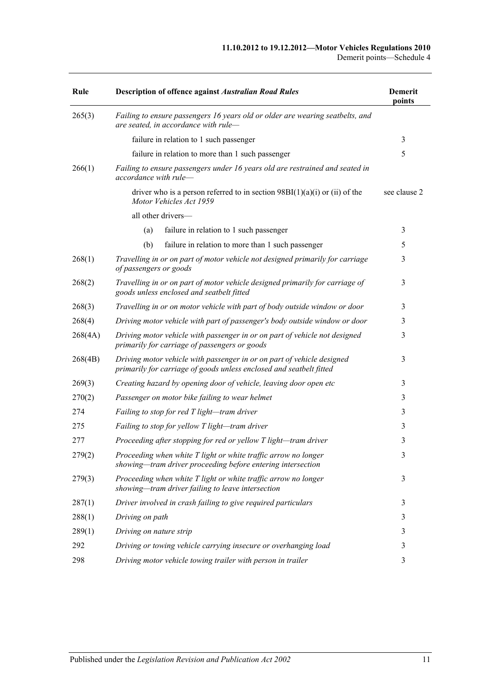| Rule    | <b>Description of offence against Australian Road Rules</b>                                                                                   | <b>Demerit</b><br>points |
|---------|-----------------------------------------------------------------------------------------------------------------------------------------------|--------------------------|
| 265(3)  | Failing to ensure passengers 16 years old or older are wearing seatbelts, and<br>are seated, in accordance with rule-                         |                          |
|         | failure in relation to 1 such passenger                                                                                                       | 3                        |
|         | failure in relation to more than 1 such passenger                                                                                             | 5                        |
| 266(1)  | Failing to ensure passengers under 16 years old are restrained and seated in<br>accordance with rule-                                         |                          |
|         | driver who is a person referred to in section $98BI(1)(a)(i)$ or (ii) of the<br>Motor Vehicles Act 1959                                       | see clause 2             |
|         | all other drivers-                                                                                                                            |                          |
|         | (a)<br>failure in relation to 1 such passenger                                                                                                | 3                        |
|         | (b)<br>failure in relation to more than 1 such passenger                                                                                      | 5                        |
| 268(1)  | Travelling in or on part of motor vehicle not designed primarily for carriage<br>of passengers or goods                                       | 3                        |
| 268(2)  | Travelling in or on part of motor vehicle designed primarily for carriage of<br>goods unless enclosed and seatbelt fitted                     | 3                        |
| 268(3)  | Travelling in or on motor vehicle with part of body outside window or door                                                                    | 3                        |
| 268(4)  | Driving motor vehicle with part of passenger's body outside window or door                                                                    | 3                        |
| 268(4A) | Driving motor vehicle with passenger in or on part of vehicle not designed<br>primarily for carriage of passengers or goods                   | 3                        |
| 268(4B) | Driving motor vehicle with passenger in or on part of vehicle designed<br>primarily for carriage of goods unless enclosed and seatbelt fitted | 3                        |
| 269(3)  | Creating hazard by opening door of vehicle, leaving door open etc                                                                             | 3                        |
| 270(2)  | Passenger on motor bike failing to wear helmet                                                                                                | 3                        |
| 274     | Failing to stop for red T light-tram driver                                                                                                   | 3                        |
| 275     | Failing to stop for yellow T light-tram driver                                                                                                | 3                        |
| 277     | Proceeding after stopping for red or yellow T light-tram driver                                                                               | 3                        |
| 279(2)  | Proceeding when white T light or white traffic arrow no longer<br>showing—tram driver proceeding before entering intersection                 | $\mathfrak{Z}$           |
| 279(3)  | Proceeding when white T light or white traffic arrow no longer<br>showing-tram driver failing to leave intersection                           | 3                        |
| 287(1)  | Driver involved in crash failing to give required particulars                                                                                 | 3                        |
| 288(1)  | Driving on path                                                                                                                               | 3                        |
| 289(1)  | Driving on nature strip                                                                                                                       | 3                        |
| 292     | Driving or towing vehicle carrying insecure or overhanging load                                                                               | 3                        |
| 298     | Driving motor vehicle towing trailer with person in trailer                                                                                   | 3                        |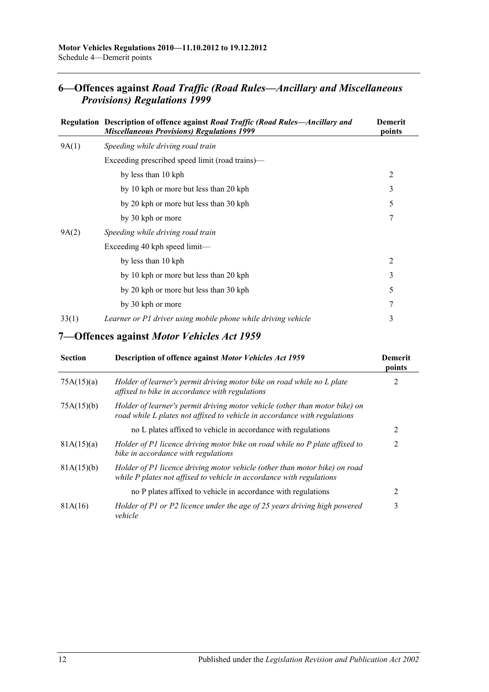## **6—Offences against** *Road Traffic (Road Rules—Ancillary and Miscellaneous Provisions) Regulations 1999*

|       | Regulation Description of offence against Road Traffic (Road Rules—Ancillary and<br><b>Miscellaneous Provisions) Regulations 1999</b> | <b>Demerit</b><br>points |
|-------|---------------------------------------------------------------------------------------------------------------------------------------|--------------------------|
| 9A(1) | Speeding while driving road train                                                                                                     |                          |
|       | Exceeding prescribed speed limit (road trains)—                                                                                       |                          |
|       | by less than 10 kph                                                                                                                   | $\overline{2}$           |
|       | by 10 kph or more but less than 20 kph                                                                                                | 3                        |
|       | by 20 kph or more but less than 30 kph                                                                                                | 5                        |
|       | by 30 kph or more                                                                                                                     | 7                        |
| 9A(2) | Speeding while driving road train                                                                                                     |                          |
|       | Exceeding 40 kph speed limit—                                                                                                         |                          |
|       | by less than 10 kph                                                                                                                   | 2                        |
|       | by 10 kph or more but less than 20 kph                                                                                                | 3                        |
|       | by 20 kph or more but less than 30 kph                                                                                                | 5                        |
|       | by 30 kph or more                                                                                                                     | 7                        |
| 33(1) | Learner or P1 driver using mobile phone while driving vehicle                                                                         | 3                        |

### **7—Offences against** *Motor Vehicles Act 1959*

| <b>Section</b> | Description of offence against Motor Vehicles Act 1959                                                                                                   | Demerit<br>points |
|----------------|----------------------------------------------------------------------------------------------------------------------------------------------------------|-------------------|
| 75A(15)(a)     | Holder of learner's permit driving motor bike on road while no L plate<br>affixed to bike in accordance with regulations                                 |                   |
| 75A(15)(b)     | Holder of learner's permit driving motor vehicle (other than motor bike) on<br>road while L plates not affixed to vehicle in accordance with regulations |                   |
|                | no L plates affixed to vehicle in accordance with regulations                                                                                            |                   |
| 81A(15)(a)     | Holder of P1 licence driving motor bike on road while no P plate affixed to<br>bike in accordance with regulations                                       | 2                 |
| 81A(15)(b)     | Holder of P1 licence driving motor vehicle (other than motor bike) on road<br>while P plates not affixed to vehicle in accordance with regulations       |                   |
|                | no P plates affixed to vehicle in accordance with regulations                                                                                            | 2                 |
| 81A(16)        | Holder of P1 or P2 licence under the age of 25 years driving high powered<br>vehicle                                                                     | 3                 |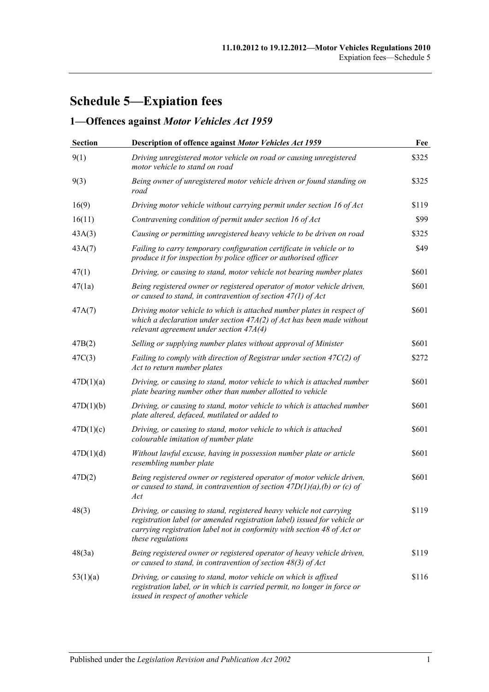# **Schedule 5—Expiation fees**

## **1—Offences against** *Motor Vehicles Act 1959*

| <b>Section</b> | Description of offence against Motor Vehicles Act 1959                                                                                                                                                                                          | Fee   |
|----------------|-------------------------------------------------------------------------------------------------------------------------------------------------------------------------------------------------------------------------------------------------|-------|
| 9(1)           | Driving unregistered motor vehicle on road or causing unregistered<br>motor vehicle to stand on road                                                                                                                                            | \$325 |
| 9(3)           | Being owner of unregistered motor vehicle driven or found standing on<br>road                                                                                                                                                                   | \$325 |
| 16(9)          | Driving motor vehicle without carrying permit under section 16 of Act                                                                                                                                                                           | \$119 |
| 16(11)         | Contravening condition of permit under section 16 of Act                                                                                                                                                                                        | \$99  |
| 43A(3)         | Causing or permitting unregistered heavy vehicle to be driven on road                                                                                                                                                                           | \$325 |
| 43A(7)         | Failing to carry temporary configuration certificate in vehicle or to<br>produce it for inspection by police officer or authorised officer                                                                                                      | \$49  |
| 47(1)          | Driving, or causing to stand, motor vehicle not bearing number plates                                                                                                                                                                           | \$601 |
| 47(1a)         | Being registered owner or registered operator of motor vehicle driven,<br>or caused to stand, in contravention of section $47(1)$ of Act                                                                                                        | \$601 |
| 47A(7)         | Driving motor vehicle to which is attached number plates in respect of<br>which a declaration under section $47A(2)$ of Act has been made without<br>relevant agreement under section $47A(4)$                                                  |       |
| 47B(2)         | Selling or supplying number plates without approval of Minister                                                                                                                                                                                 | \$601 |
| 47C(3)         | Failing to comply with direction of Registrar under section $47C(2)$ of<br>Act to return number plates                                                                                                                                          |       |
| 47D(1)(a)      | Driving, or causing to stand, motor vehicle to which is attached number<br>plate bearing number other than number allotted to vehicle                                                                                                           | \$601 |
| 47D(1)(b)      | Driving, or causing to stand, motor vehicle to which is attached number<br>plate altered, defaced, mutilated or added to                                                                                                                        | \$601 |
| 47D(1)(c)      | Driving, or causing to stand, motor vehicle to which is attached<br>colourable imitation of number plate                                                                                                                                        | \$601 |
| 47D(1)(d)      | Without lawful excuse, having in possession number plate or article<br>resembling number plate                                                                                                                                                  | \$601 |
| 47D(2)         | Being registered owner or registered operator of motor vehicle driven,<br>or caused to stand, in contravention of section $47D(1)(a)$ , (b) or (c) of<br>Act                                                                                    | \$601 |
| 48(3)          | Driving, or causing to stand, registered heavy vehicle not carrying<br>registration label (or amended registration label) issued for vehicle or<br>carrying registration label not in conformity with section 48 of Act or<br>these regulations | \$119 |
| 48(3a)         | Being registered owner or registered operator of heavy vehicle driven,<br>or caused to stand, in contravention of section $48(3)$ of Act                                                                                                        |       |
| 53(1)(a)       | Driving, or causing to stand, motor vehicle on which is affixed<br>registration label, or in which is carried permit, no longer in force or<br>issued in respect of another vehicle                                                             | \$116 |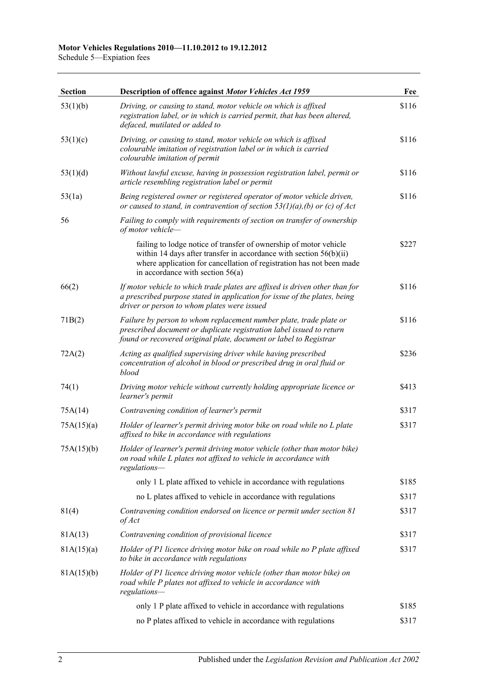Schedule 5—Expiation fees

| <b>Section</b> | Description of offence against Motor Vehicles Act 1959                                                                                                                                                                                                  | Fee   |
|----------------|---------------------------------------------------------------------------------------------------------------------------------------------------------------------------------------------------------------------------------------------------------|-------|
| 53(1)(b)       | Driving, or causing to stand, motor vehicle on which is affixed<br>registration label, or in which is carried permit, that has been altered,<br>defaced, mutilated or added to                                                                          | \$116 |
| 53(1)(c)       | Driving, or causing to stand, motor vehicle on which is affixed<br>colourable imitation of registration label or in which is carried<br>colourable imitation of permit                                                                                  | \$116 |
| 53(1)(d)       | Without lawful excuse, having in possession registration label, permit or<br>article resembling registration label or permit                                                                                                                            | \$116 |
| 53(1a)         | Being registered owner or registered operator of motor vehicle driven,<br>or caused to stand, in contravention of section $53(1)(a)$ , (b) or (c) of Act                                                                                                | \$116 |
| 56             | Failing to comply with requirements of section on transfer of ownership<br>of motor vehicle-                                                                                                                                                            |       |
|                | failing to lodge notice of transfer of ownership of motor vehicle<br>within 14 days after transfer in accordance with section $56(b)(ii)$<br>where application for cancellation of registration has not been made<br>in accordance with section $56(a)$ | \$227 |
| 66(2)          | If motor vehicle to which trade plates are affixed is driven other than for<br>a prescribed purpose stated in application for issue of the plates, being<br>driver or person to whom plates were issued                                                 | \$116 |
| 71B(2)         | Failure by person to whom replacement number plate, trade plate or<br>prescribed document or duplicate registration label issued to return<br>found or recovered original plate, document or label to Registrar                                         | \$116 |
| 72A(2)         | Acting as qualified supervising driver while having prescribed<br>concentration of alcohol in blood or prescribed drug in oral fluid or<br>blood                                                                                                        | \$236 |
| 74(1)          | Driving motor vehicle without currently holding appropriate licence or<br>learner's permit                                                                                                                                                              | \$413 |
| 75A(14)        | Contravening condition of learner's permit                                                                                                                                                                                                              | \$317 |
| 75A(15)(a)     | Holder of learner's permit driving motor bike on road while no L plate<br>affixed to bike in accordance with regulations                                                                                                                                | \$317 |
| 75A(15)(b)     | Holder of learner's permit driving motor vehicle (other than motor bike)<br>on road while L plates not affixed to vehicle in accordance with<br>regulations—                                                                                            |       |
|                | only 1 L plate affixed to vehicle in accordance with regulations                                                                                                                                                                                        | \$185 |
|                | no L plates affixed to vehicle in accordance with regulations                                                                                                                                                                                           | \$317 |
| 81(4)          | Contravening condition endorsed on licence or permit under section 81<br>of Act                                                                                                                                                                         | \$317 |
| 81A(13)        | Contravening condition of provisional licence                                                                                                                                                                                                           | \$317 |
| 81A(15)(a)     | Holder of P1 licence driving motor bike on road while no P plate affixed<br>to bike in accordance with regulations                                                                                                                                      | \$317 |
| 81A(15)(b)     | Holder of P1 licence driving motor vehicle (other than motor bike) on<br>road while P plates not affixed to vehicle in accordance with<br>regulations-                                                                                                  |       |
|                | only 1 P plate affixed to vehicle in accordance with regulations                                                                                                                                                                                        | \$185 |
|                | no P plates affixed to vehicle in accordance with regulations                                                                                                                                                                                           | \$317 |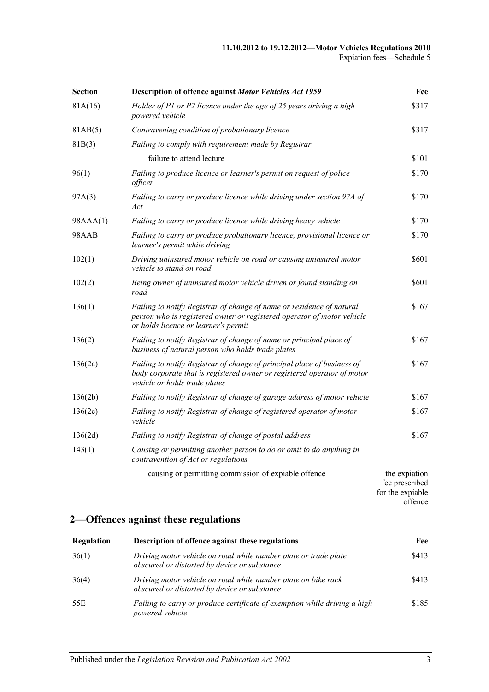#### **11.10.2012 to 19.12.2012—Motor Vehicles Regulations 2010** Expiation fees—Schedule 5

| Section  | Description of offence against Motor Vehicles Act 1959                                                                                                                                  | Fee                             |
|----------|-----------------------------------------------------------------------------------------------------------------------------------------------------------------------------------------|---------------------------------|
| 81A(16)  | Holder of P1 or P2 licence under the age of 25 years driving a high<br>powered vehicle                                                                                                  | \$317                           |
| 81AB(5)  | Contravening condition of probationary licence                                                                                                                                          | \$317                           |
| 81B(3)   | Failing to comply with requirement made by Registrar                                                                                                                                    |                                 |
|          | failure to attend lecture                                                                                                                                                               | \$101                           |
| 96(1)    | Failing to produce licence or learner's permit on request of police<br>officer                                                                                                          | \$170                           |
| 97A(3)   | Failing to carry or produce licence while driving under section 97A of<br>Act                                                                                                           | \$170                           |
| 98AAA(1) | Failing to carry or produce licence while driving heavy vehicle                                                                                                                         | \$170                           |
| 98AAB    | Failing to carry or produce probationary licence, provisional licence or<br>learner's permit while driving                                                                              | \$170                           |
| 102(1)   | Driving uninsured motor vehicle on road or causing uninsured motor<br>vehicle to stand on road                                                                                          | \$601                           |
| 102(2)   | Being owner of uninsured motor vehicle driven or found standing on<br>road                                                                                                              | \$601                           |
| 136(1)   | Failing to notify Registrar of change of name or residence of natural<br>person who is registered owner or registered operator of motor vehicle<br>or holds licence or learner's permit | \$167                           |
| 136(2)   | Failing to notify Registrar of change of name or principal place of<br>business of natural person who holds trade plates                                                                | \$167                           |
| 136(2a)  | Failing to notify Registrar of change of principal place of business of<br>body corporate that is registered owner or registered operator of motor<br>vehicle or holds trade plates     | \$167                           |
| 136(2b)  | Failing to notify Registrar of change of garage address of motor vehicle                                                                                                                | \$167                           |
| 136(2c)  | Failing to notify Registrar of change of registered operator of motor<br>vehicle                                                                                                        | \$167                           |
| 136(2d)  | Failing to notify Registrar of change of postal address                                                                                                                                 | \$167                           |
| 143(1)   | Causing or permitting another person to do or omit to do anything in<br>contravention of Act or regulations                                                                             |                                 |
|          | causing or permitting commission of expiable offence                                                                                                                                    | the expiation<br>fee prescribed |

## **2—Offences against these regulations**

| Regulation | Description of offence against these regulations                                                                | Fee   |
|------------|-----------------------------------------------------------------------------------------------------------------|-------|
| 36(1)      | Driving motor vehicle on road while number plate or trade plate<br>obscured or distorted by device or substance | \$413 |
| 36(4)      | Driving motor vehicle on road while number plate on bike rack<br>obscured or distorted by device or substance   | \$413 |
| 55E        | Failing to carry or produce certificate of exemption while driving a high<br>powered vehicle                    | \$185 |

for the expiable offence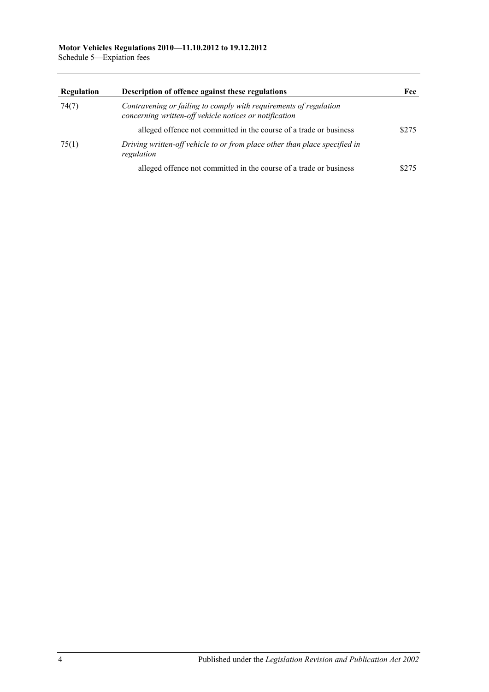Schedule 5—Expiation fees

| <b>Regulation</b> | Description of offence against these regulations                                                                            | Fee   |
|-------------------|-----------------------------------------------------------------------------------------------------------------------------|-------|
| 74(7)             | Contravening or failing to comply with requirements of regulation<br>concerning written-off vehicle notices or notification |       |
|                   | alleged offence not committed in the course of a trade or business                                                          | \$275 |
| 75(1)             | Driving written-off vehicle to or from place other than place specified in<br>regulation                                    |       |
|                   | alleged offence not committed in the course of a trade or business                                                          | 8275  |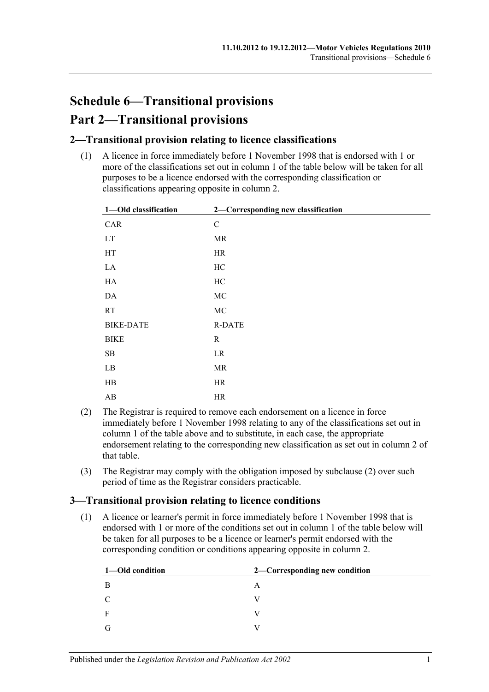# **Schedule 6—Transitional provisions Part 2—Transitional provisions**

### **2—Transitional provision relating to licence classifications**

(1) A licence in force immediately before 1 November 1998 that is endorsed with 1 or more of the classifications set out in column 1 of the table below will be taken for all purposes to be a licence endorsed with the corresponding classification or classifications appearing opposite in column 2.

| 1-Old classification       | 2-Corresponding new classification |
|----------------------------|------------------------------------|
| CAR                        | $\mathbf C$                        |
| $\mathop{\rm LT}\nolimits$ | MR                                 |
| HT                         | HR                                 |
| $\rm LA$                   | HC                                 |
| ${\rm HA}$                 | $\rm HC$                           |
| $\mathbf{DA}$              | $\rm MC$                           |
| RT                         | $\rm MC$                           |
| <b>BIKE-DATE</b>           | <b>R-DATE</b>                      |
| <b>BIKE</b>                | $\mathbf R$                        |
| ${\bf SB}$                 | LR                                 |
| $\rm LB$                   | MR                                 |
| $\rm HB$                   | HR                                 |
| $\mathbf{A}\mathbf{B}$     | HR                                 |

- <span id="page-102-0"></span>(2) The Registrar is required to remove each endorsement on a licence in force immediately before 1 November 1998 relating to any of the classifications set out in column 1 of the table above and to substitute, in each case, the appropriate endorsement relating to the corresponding new classification as set out in column 2 of that table.
- (3) The Registrar may comply with the obligation imposed by [subclause](#page-102-0) (2) over such period of time as the Registrar considers practicable.

### **3—Transitional provision relating to licence conditions**

(1) A licence or learner's permit in force immediately before 1 November 1998 that is endorsed with 1 or more of the conditions set out in column 1 of the table below will be taken for all purposes to be a licence or learner's permit endorsed with the corresponding condition or conditions appearing opposite in column 2.

| 1—Old condition | 2—Corresponding new condition |
|-----------------|-------------------------------|
| -B              | A                             |
| C               |                               |
| $\mathbf{F}$    |                               |
| G               |                               |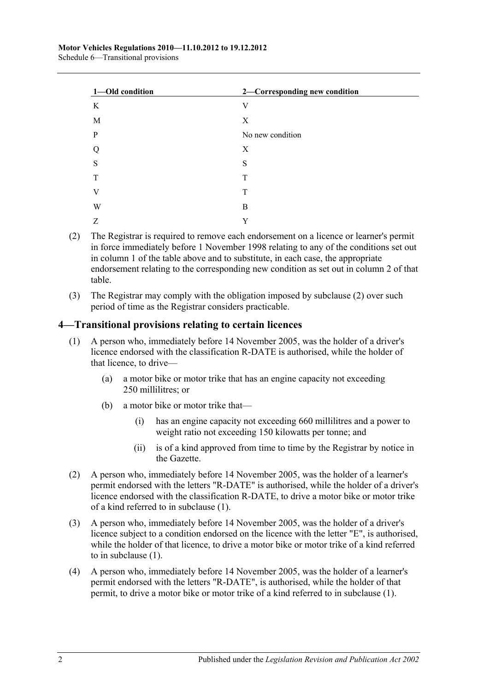| 1-Old condition | 2-Corresponding new condition |
|-----------------|-------------------------------|
| K               | V                             |
| M               | X                             |
| P               | No new condition              |
| Q               | X                             |
| S               | S                             |
| T               | T                             |
| V               | T                             |
| W               | B                             |
| Z               | Y                             |

- <span id="page-103-0"></span>(2) The Registrar is required to remove each endorsement on a licence or learner's permit in force immediately before 1 November 1998 relating to any of the conditions set out in column 1 of the table above and to substitute, in each case, the appropriate endorsement relating to the corresponding new condition as set out in column 2 of that table.
- (3) The Registrar may comply with the obligation imposed by [subclause](#page-103-0) (2) over such period of time as the Registrar considers practicable.

### <span id="page-103-1"></span>**4—Transitional provisions relating to certain licences**

- (1) A person who, immediately before 14 November 2005, was the holder of a driver's licence endorsed with the classification R-DATE is authorised, while the holder of that licence, to drive—
	- (a) a motor bike or motor trike that has an engine capacity not exceeding 250 millilitres; or
	- (b) a motor bike or motor trike that—
		- (i) has an engine capacity not exceeding 660 millilitres and a power to weight ratio not exceeding 150 kilowatts per tonne; and
		- (ii) is of a kind approved from time to time by the Registrar by notice in the Gazette.
- (2) A person who, immediately before 14 November 2005, was the holder of a learner's permit endorsed with the letters "R-DATE" is authorised, while the holder of a driver's licence endorsed with the classification R-DATE, to drive a motor bike or motor trike of a kind referred to in [subclause](#page-103-1) (1).
- (3) A person who, immediately before 14 November 2005, was the holder of a driver's licence subject to a condition endorsed on the licence with the letter "E", is authorised, while the holder of that licence, to drive a motor bike or motor trike of a kind referred to in [subclause](#page-103-1) (1).
- (4) A person who, immediately before 14 November 2005, was the holder of a learner's permit endorsed with the letters "R-DATE", is authorised, while the holder of that permit, to drive a motor bike or motor trike of a kind referred to in [subclause](#page-103-1) (1).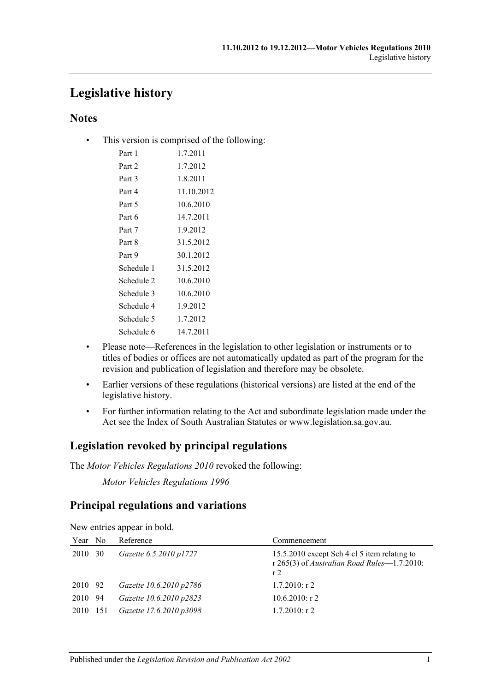## **Legislative history**

### **Notes**

• This version is comprised of the following:

| 1.7.2011   |
|------------|
| 1.7.2012   |
| 1.8.2011   |
| 11.10.2012 |
| 10.6.2010  |
| 14.7.2011  |
| 1.9.2012   |
| 31.5.2012  |
| 30.1.2012  |
| 31.5.2012  |
| 10.6.2010  |
| 10.6.2010  |
| 1.9.2012   |
| 1.7.2012   |
| 14.7.2011  |
|            |

- Please note—References in the legislation to other legislation or instruments or to titles of bodies or offices are not automatically updated as part of the program for the revision and publication of legislation and therefore may be obsolete.
- Earlier versions of these regulations (historical versions) are listed at the end of the legislative history.
- For further information relating to the Act and subordinate legislation made under the Act see the Index of South Australian Statutes or www.legislation.sa.gov.au.

## **Legislation revoked by principal regulations**

The *Motor Vehicles Regulations 2010* revoked the following:

*Motor Vehicles Regulations 1996*

## **Principal regulations and variations**

| Reference                                            | Commencement                                                                                                  |
|------------------------------------------------------|---------------------------------------------------------------------------------------------------------------|
| Gazette 6.5.2010 p1727                               | 15.5.2010 except Sch 4 cl 5 item relating to<br>r 265(3) of Australian Road Rules-1.7.2010:<br>r <sub>2</sub> |
| Gazette 10.6.2010 p2786                              | $1.7.2010:$ r 2                                                                                               |
| Gazette 10.6.2010 p2823                              | $10.6.2010$ : r 2                                                                                             |
| Gazette 17.6.2010 p3098                              | $1.7.2010$ : r 2                                                                                              |
| Year No<br>2010 30<br>2010 92<br>2010 94<br>2010 151 |                                                                                                               |

New entries appear in bold.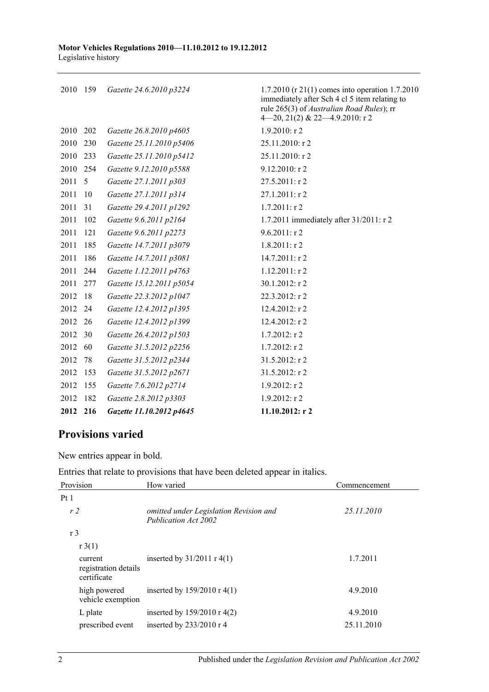| 2010 159 |     | Gazette 24.6.2010 p3224  | 1.7.2010 (r 21(1) comes into operation 1.7.2010<br>immediately after Sch 4 cl 5 item relating to<br>rule 265(3) of Australian Road Rules); rr<br>4-20, 21(2) & 22-4.9.2010: r 2 |
|----------|-----|--------------------------|---------------------------------------------------------------------------------------------------------------------------------------------------------------------------------|
| 2010     | 202 | Gazette 26.8.2010 p4605  | $1.9.2010:$ r 2                                                                                                                                                                 |
| 2010     | 230 | Gazette 25.11.2010 p5406 | 25.11.2010: r 2                                                                                                                                                                 |
| 2010     | 233 | Gazette 25.11.2010 p5412 | 25.11.2010: r 2                                                                                                                                                                 |
| 2010     | 254 | Gazette 9.12.2010 p5588  | $9.12.2010:$ r2                                                                                                                                                                 |
| 2011     | 5   | Gazette 27.1.2011 p303   | 27.5.2011: r 2                                                                                                                                                                  |
| 2011     | 10  | Gazette 27.1.2011 p314   | 27.1.2011: r 2                                                                                                                                                                  |
| 2011     | 31  | Gazette 29.4.2011 p1292  | $1.7.2011:$ r 2                                                                                                                                                                 |
| 2011     | 102 | Gazette 9.6.2011 p2164   | 1.7.2011 immediately after 31/2011: r 2                                                                                                                                         |
| 2011     | 121 | Gazette 9.6.2011 p2273   | $9.6.2011:$ r2                                                                                                                                                                  |
| 2011     | 185 | Gazette 14.7.2011 p3079  | $1.8.2011:$ r2                                                                                                                                                                  |
| 2011     | 186 | Gazette 14.7.2011 p3081  | $14.7.2011:$ r 2                                                                                                                                                                |
| 2011     | 244 | Gazette 1.12.2011 p4763  | $1.12.2011:$ r 2                                                                                                                                                                |
| 2011     | 277 | Gazette 15.12.2011 p5054 | 30.1.2012: r 2                                                                                                                                                                  |
| 2012     | 18  | Gazette 22.3.2012 p1047  | 22.3.2012: r 2                                                                                                                                                                  |
| 2012     | 24  | Gazette 12.4.2012 p1395  | $12.4.2012:$ r 2                                                                                                                                                                |
| 2012     | 26  | Gazette 12.4.2012 p1399  | 12.4.2012: r 2                                                                                                                                                                  |
| 2012     | 30  | Gazette 26.4.2012 p1503  | $1.7.2012$ : r 2                                                                                                                                                                |
| 2012     | 60  | Gazette 31.5.2012 p2256  | $1.7.2012:$ r 2                                                                                                                                                                 |
| 2012     | 78  | Gazette 31.5.2012 p2344  | 31.5.2012: r 2                                                                                                                                                                  |
| 2012     | 153 | Gazette 31.5.2012 p2671  | 31.5.2012: r 2                                                                                                                                                                  |
| 2012     | 155 | Gazette 7.6.2012 p2714   | $1.9.2012:$ r 2                                                                                                                                                                 |
| 2012     | 182 | Gazette 2.8.2012 p3303   | $1.9.2012:$ r2                                                                                                                                                                  |
| 2012     | 216 | Gazette 11.10.2012 p4645 | $11.10.2012$ : r 2                                                                                                                                                              |

## **Provisions varied**

New entries appear in bold.

Entries that relate to provisions that have been deleted appear in italics.

| Provision                                      | How varied                                                     | Commencement |
|------------------------------------------------|----------------------------------------------------------------|--------------|
| Pt1                                            |                                                                |              |
| r2                                             | omitted under Legislation Revision and<br>Publication Act 2002 | 25.11.2010   |
| r <sub>3</sub>                                 |                                                                |              |
| r3(1)                                          |                                                                |              |
| current<br>registration details<br>certificate | inserted by $31/2011$ r 4(1)                                   | 1.7.2011     |
| high powered<br>vehicle exemption              | inserted by 159/2010 r 4(1)                                    | 4.9.2010     |
| L plate                                        | inserted by $159/2010 \text{ r } 4(2)$                         | 4.9.2010     |
| prescribed event                               | inserted by $233/2010$ r 4                                     | 25.11.2010   |

2 Published under the *Legislation Revision and Publication Act 2002*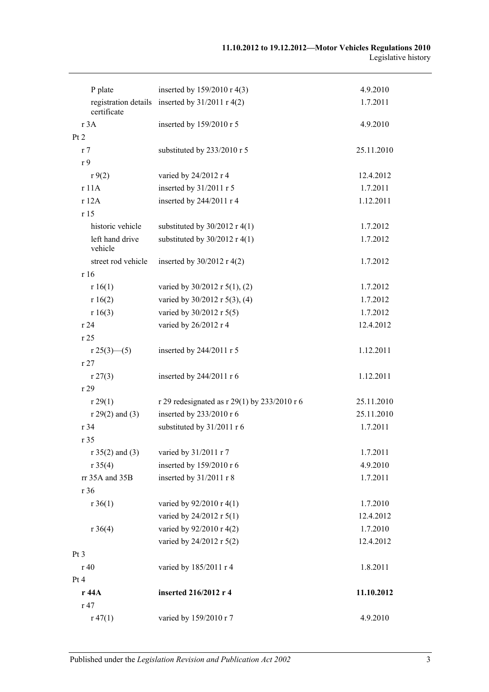| P plate                    | inserted by 159/2010 r 4(3)                       | 4.9.2010   |
|----------------------------|---------------------------------------------------|------------|
| certificate                | registration details inserted by $31/2011$ r 4(2) | 1.7.2011   |
| r 3A                       | inserted by 159/2010 r 5                          | 4.9.2010   |
| Pt 2                       |                                                   |            |
| r <sub>7</sub>             | substituted by 233/2010 r 5                       | 25.11.2010 |
| r <sub>9</sub>             |                                                   |            |
| r9(2)                      | varied by 24/2012 r 4                             | 12.4.2012  |
| r 11A                      | inserted by 31/2011 r 5                           | 1.7.2011   |
| r 12A                      | inserted by 244/2011 r 4                          | 1.12.2011  |
| r15                        |                                                   |            |
| historic vehicle           | substituted by $30/2012$ r 4(1)                   | 1.7.2012   |
| left hand drive<br>vehicle | substituted by $30/2012$ r 4(1)                   | 1.7.2012   |
| street rod vehicle         | inserted by $30/2012$ r 4(2)                      | 1.7.2012   |
| r16                        |                                                   |            |
| r 16(1)                    | varied by $30/2012$ r $5(1)$ , (2)                | 1.7.2012   |
| r 16(2)                    | varied by 30/2012 r 5(3), (4)                     | 1.7.2012   |
| r 16(3)                    | varied by 30/2012 r 5(5)                          | 1.7.2012   |
| r24                        | varied by 26/2012 r 4                             | 12.4.2012  |
| r 25                       |                                                   |            |
| $r 25(3)$ - (5)            | inserted by 244/2011 r 5                          | 1.12.2011  |
| r27                        |                                                   |            |
| r 27(3)                    | inserted by 244/2011 r 6                          | 1.12.2011  |
| r 29                       |                                                   |            |
| r 29(1)                    | r 29 redesignated as r 29(1) by 233/2010 r 6      | 25.11.2010 |
| $r 29(2)$ and (3)          | inserted by 233/2010 r 6                          | 25.11.2010 |
| r 34                       | substituted by 31/2011 r 6                        | 1.7.2011   |
| r 35                       |                                                   |            |
| $r 35(2)$ and (3)          | varied by 31/2011 r 7                             | 1.7.2011   |
| r 35(4)                    | inserted by 159/2010 r 6                          | 4.9.2010   |
| rr 35A and 35B             | inserted by 31/2011 r 8                           | 1.7.2011   |
| r 36                       |                                                   |            |
| $r \, 36(1)$               | varied by 92/2010 r 4(1)                          | 1.7.2010   |
|                            | varied by 24/2012 r 5(1)                          | 12.4.2012  |
| $r \, 36(4)$               | varied by 92/2010 r 4(2)                          | 1.7.2010   |
|                            | varied by 24/2012 r 5(2)                          | 12.4.2012  |
| Pt <sub>3</sub>            |                                                   |            |
| r 40                       | varied by 185/2011 r 4                            | 1.8.2011   |
| Pt 4                       |                                                   |            |
| r 44A                      | inserted 216/2012 r 4                             | 11.10.2012 |
| r 47                       |                                                   |            |
| r 47(1)                    | varied by 159/2010 r 7                            | 4.9.2010   |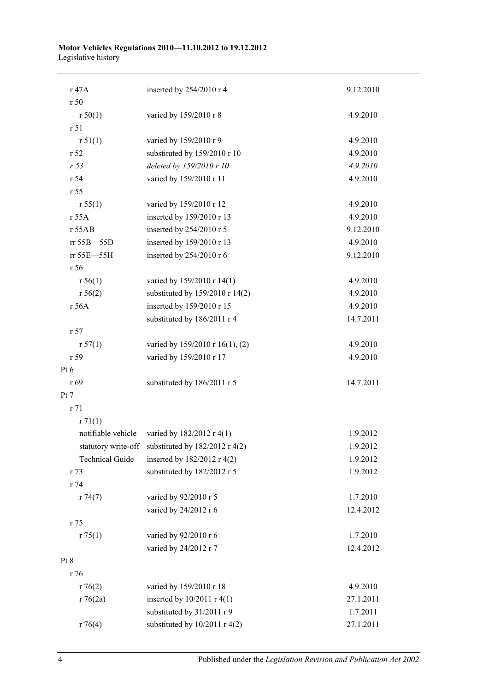#### **Motor Vehicles Regulations 2010—11.10.2012 to 19.12.2012** Legislative history

| r 47A                  | inserted by 254/2010 r 4                           | 9.12.2010 |
|------------------------|----------------------------------------------------|-----------|
| r50                    |                                                    |           |
| r 50(1)                | varied by 159/2010 r 8                             | 4.9.2010  |
| r 51                   |                                                    |           |
| r 51(1)                | varied by 159/2010 r 9                             | 4.9.2010  |
| r 52                   | substituted by 159/2010 r 10                       | 4.9.2010  |
| r 53                   | deleted by 159/2010 r 10                           | 4.9.2010  |
| r 54                   | varied by 159/2010 r 11                            | 4.9.2010  |
| r 55                   |                                                    |           |
| r 55(1)                | varied by 159/2010 r 12                            | 4.9.2010  |
| r 55A                  | inserted by 159/2010 r 13                          | 4.9.2010  |
| r 55AB                 | inserted by 254/2010 r 5                           | 9.12.2010 |
| rr 55B-55D             | inserted by 159/2010 r 13                          | 4.9.2010  |
| rr 55E-55H             | inserted by 254/2010 r 6                           | 9.12.2010 |
| r 56                   |                                                    |           |
| r 56(1)                | varied by 159/2010 r 14(1)                         | 4.9.2010  |
| r 56(2)                | substituted by 159/2010 r 14(2)                    | 4.9.2010  |
| r 56A                  | inserted by 159/2010 r 15                          | 4.9.2010  |
|                        | substituted by 186/2011 r 4                        | 14.7.2011 |
| r 57                   |                                                    |           |
| r 57(1)                | varied by 159/2010 r 16(1), (2)                    | 4.9.2010  |
| r 59                   | varied by 159/2010 r 17                            | 4.9.2010  |
| Pt $6$                 |                                                    |           |
| r 69                   | substituted by 186/2011 r 5                        | 14.7.2011 |
| Pt 7                   |                                                    |           |
| r 71                   |                                                    |           |
| r71(1)                 |                                                    |           |
| notifiable vehicle     | varied by 182/2012 r 4(1)                          | 1.9.2012  |
|                        | statutory write-off substituted by 182/2012 r 4(2) | 1.9.2012  |
| <b>Technical Guide</b> | inserted by 182/2012 r 4(2)                        | 1.9.2012  |
| r 73                   | substituted by 182/2012 r 5                        | 1.9.2012  |
| r 74                   |                                                    |           |
| r74(7)                 | varied by 92/2010 r 5                              | 1.7.2010  |
|                        | varied by 24/2012 r 6                              | 12.4.2012 |
| r 75                   |                                                    |           |
| r 75(1)                | varied by 92/2010 r 6                              | 1.7.2010  |
|                        | varied by 24/2012 r 7                              | 12.4.2012 |
| Pt 8                   |                                                    |           |
| r 76                   |                                                    |           |
| r76(2)                 | varied by 159/2010 r 18                            | 4.9.2010  |
| r76(2a)                | inserted by $10/2011$ r 4(1)                       | 27.1.2011 |
|                        | substituted by 31/2011 r 9                         | 1.7.2011  |
| r76(4)                 | substituted by $10/2011$ r 4(2)                    | 27.1.2011 |
|                        |                                                    |           |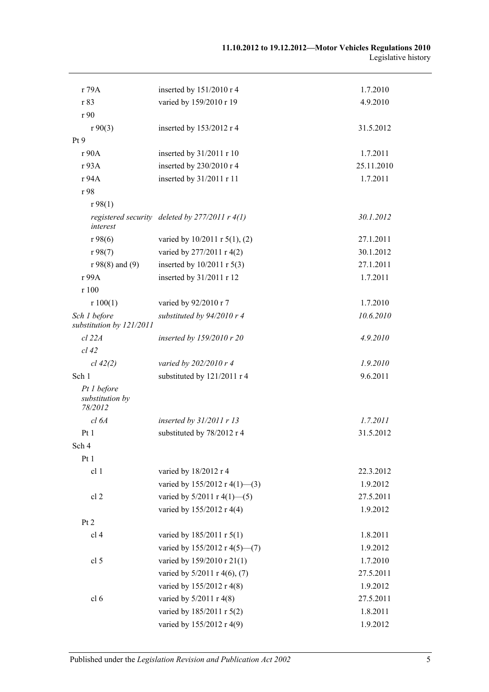| r 79A                                     | inserted by 151/2010 r 4                           | 1.7.2010   |
|-------------------------------------------|----------------------------------------------------|------------|
| r 83                                      | varied by 159/2010 r 19                            | 4.9.2010   |
| r 90                                      |                                                    |            |
| r90(3)                                    | inserted by 153/2012 r 4                           | 31.5.2012  |
| Pt9                                       |                                                    |            |
| r 90A                                     | inserted by 31/2011 r 10                           | 1.7.2011   |
| r 93A                                     | inserted by 230/2010 r 4                           | 25.11.2010 |
| r 94A                                     | inserted by 31/2011 r 11                           | 1.7.2011   |
| r 98                                      |                                                    |            |
| r98(1)                                    |                                                    |            |
| interest                                  | registered security deleted by $277/2011$ r $4(1)$ | 30.1.2012  |
| r98(6)                                    | varied by 10/2011 r 5(1), (2)                      | 27.1.2011  |
| r98(7)                                    | varied by 277/2011 r 4(2)                          | 30.1.2012  |
| $r 98(8)$ and (9)                         | inserted by $10/2011$ r $5(3)$                     | 27.1.2011  |
| r 99A                                     | inserted by 31/2011 r 12                           | 1.7.2011   |
| r 100                                     |                                                    |            |
| r 100(1)                                  | varied by 92/2010 r 7                              | 1.7.2010   |
| Sch 1 before<br>substitution by 121/2011  | substituted by 94/2010 r 4                         | 10.6.2010  |
| $cl$ 22 $A$                               | inserted by 159/2010 r 20                          | 4.9.2010   |
| $cl$ 42                                   |                                                    |            |
| cl 42(2)                                  | varied by 202/2010 r 4                             | 1.9.2010   |
| Sch 1                                     | substituted by 121/2011 r 4                        | 9.6.2011   |
| Pt 1 before<br>substitution by<br>78/2012 |                                                    |            |
| cl 6A                                     | inserted by $31/2011$ r 13                         | 1.7.2011   |
| Pt1                                       | substituted by 78/2012 r 4                         | 31.5.2012  |
| Sch 4                                     |                                                    |            |
| Pt <sub>1</sub>                           |                                                    |            |
| cl 1                                      | varied by 18/2012 r 4                              | 22.3.2012  |
|                                           | varied by 155/2012 r 4(1)-(3)                      | 1.9.2012   |
| cl 2                                      | varied by $5/2011$ r $4(1)$ - (5)                  | 27.5.2011  |
|                                           | varied by 155/2012 r 4(4)                          | 1.9.2012   |
| Pt 2                                      |                                                    |            |
| cl 4                                      | varied by 185/2011 r 5(1)                          | 1.8.2011   |
|                                           | varied by 155/2012 r 4(5)–(7)                      | 1.9.2012   |
| cl 5                                      | varied by 159/2010 r 21(1)                         | 1.7.2010   |
|                                           | varied by 5/2011 r 4(6), (7)                       | 27.5.2011  |
|                                           | varied by 155/2012 r 4(8)                          | 1.9.2012   |
| cl 6                                      | varied by 5/2011 r 4(8)                            | 27.5.2011  |
|                                           | varied by 185/2011 r 5(2)                          | 1.8.2011   |
|                                           | varied by 155/2012 r 4(9)                          | 1.9.2012   |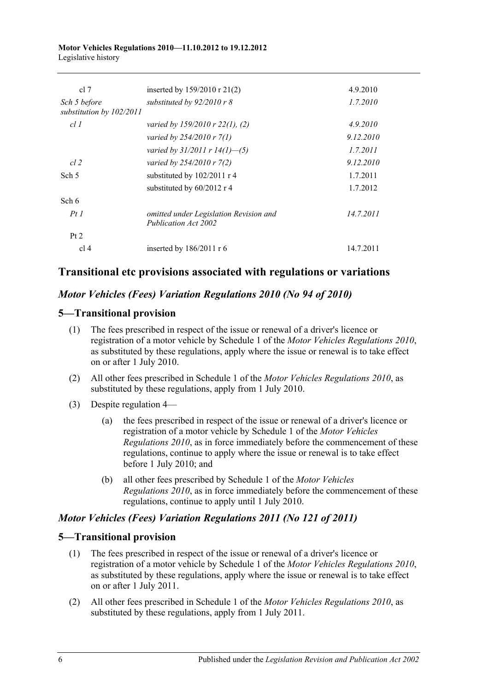#### **Motor Vehicles Regulations 2010—11.10.2012 to 19.12.2012** Legislative history

| cl 7                                     | inserted by $159/2010$ r $21(2)$                               | 4.9.2010  |
|------------------------------------------|----------------------------------------------------------------|-----------|
| Sch 5 before<br>substitution by 102/2011 | substituted by $92/2010$ r 8                                   | 1.7.2010  |
| cl1                                      | varied by $159/2010$ r $22(1)$ , (2)                           | 4.9.2010  |
|                                          | varied by $254/2010 r 7(1)$                                    | 9.12.2010 |
|                                          | varied by $31/2011$ r $14(1)$ —(5)                             | 1.7.2011  |
| $cl$ 2                                   | varied by 254/2010 r 7(2)                                      | 9.12.2010 |
| Sch 5                                    | substituted by $102/2011$ r 4                                  | 1.7.2011  |
|                                          | substituted by 60/2012 r 4                                     | 1.7.2012  |
| Sch 6                                    |                                                                |           |
| PtI                                      | omitted under Legislation Revision and<br>Publication Act 2002 | 14.7.2011 |
| Pt 2                                     |                                                                |           |
| cl 4                                     | inserted by $186/2011$ r 6                                     | 14.7.2011 |

# **Transitional etc provisions associated with regulations or variations**

#### *Motor Vehicles (Fees) Variation Regulations 2010 (No 94 of 2010)*

#### **5—Transitional provision**

- (1) The fees prescribed in respect of the issue or renewal of a driver's licence or registration of a motor vehicle by Schedule 1 of the *[Motor Vehicles Regulations](http://www.legislation.sa.gov.au/index.aspx?action=legref&type=subordleg&legtitle=Motor%20Vehicles%20Regulations%202010) 2010*, as substituted by these regulations, apply where the issue or renewal is to take effect on or after 1 July 2010.
- (2) All other fees prescribed in Schedule 1 of the *[Motor Vehicles Regulations](http://www.legislation.sa.gov.au/index.aspx?action=legref&type=subordleg&legtitle=Motor%20Vehicles%20Regulations%202010) 2010*, as substituted by these regulations, apply from 1 July 2010.
- (3) Despite regulation 4—
	- (a) the fees prescribed in respect of the issue or renewal of a driver's licence or registration of a motor vehicle by Schedule 1 of the *[Motor Vehicles](http://www.legislation.sa.gov.au/index.aspx?action=legref&type=subordleg&legtitle=Motor%20Vehicles%20Regulations%202010)  [Regulations](http://www.legislation.sa.gov.au/index.aspx?action=legref&type=subordleg&legtitle=Motor%20Vehicles%20Regulations%202010) 2010*, as in force immediately before the commencement of these regulations, continue to apply where the issue or renewal is to take effect before 1 July 2010; and
	- (b) all other fees prescribed by Schedule 1 of the *[Motor Vehicles](http://www.legislation.sa.gov.au/index.aspx?action=legref&type=subordleg&legtitle=Motor%20Vehicles%20Regulations%202010)  [Regulations](http://www.legislation.sa.gov.au/index.aspx?action=legref&type=subordleg&legtitle=Motor%20Vehicles%20Regulations%202010) 2010*, as in force immediately before the commencement of these regulations, continue to apply until 1 July 2010.

#### *Motor Vehicles (Fees) Variation Regulations 2011 (No 121 of 2011)*

#### **5—Transitional provision**

- (1) The fees prescribed in respect of the issue or renewal of a driver's licence or registration of a motor vehicle by Schedule 1 of the *[Motor Vehicles Regulations](http://www.legislation.sa.gov.au/index.aspx?action=legref&type=subordleg&legtitle=Motor%20Vehicles%20Regulations%202010) 2010*, as substituted by these regulations, apply where the issue or renewal is to take effect on or after 1 July 2011.
- (2) All other fees prescribed in Schedule 1 of the *[Motor Vehicles Regulations](http://www.legislation.sa.gov.au/index.aspx?action=legref&type=subordleg&legtitle=Motor%20Vehicles%20Regulations%202010) 2010*, as substituted by these regulations, apply from 1 July 2011.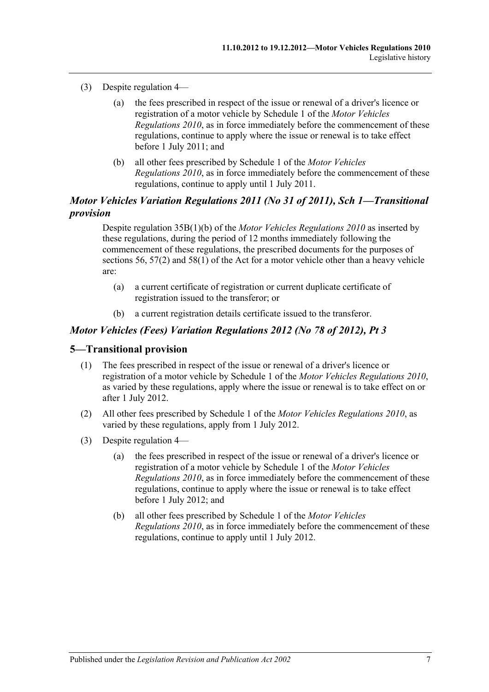- (3) Despite regulation 4—
	- (a) the fees prescribed in respect of the issue or renewal of a driver's licence or registration of a motor vehicle by Schedule 1 of the *[Motor Vehicles](http://www.legislation.sa.gov.au/index.aspx?action=legref&type=subordleg&legtitle=Motor%20Vehicles%20Regulations%202010)  [Regulations](http://www.legislation.sa.gov.au/index.aspx?action=legref&type=subordleg&legtitle=Motor%20Vehicles%20Regulations%202010) 2010*, as in force immediately before the commencement of these regulations, continue to apply where the issue or renewal is to take effect before 1 July 2011; and
	- (b) all other fees prescribed by Schedule 1 of the *[Motor Vehicles](http://www.legislation.sa.gov.au/index.aspx?action=legref&type=subordleg&legtitle=Motor%20Vehicles%20Regulations%202010)  [Regulations](http://www.legislation.sa.gov.au/index.aspx?action=legref&type=subordleg&legtitle=Motor%20Vehicles%20Regulations%202010) 2010*, as in force immediately before the commencement of these regulations, continue to apply until 1 July 2011.

### *Motor Vehicles Variation Regulations 2011 (No 31 of 2011), Sch 1—Transitional provision*

Despite regulation 35B(1)(b) of the *[Motor Vehicles Regulations](http://www.legislation.sa.gov.au/index.aspx?action=legref&type=subordleg&legtitle=Motor%20Vehicles%20Regulations%202010) 2010* as inserted by these regulations, during the period of 12 months immediately following the commencement of these regulations, the prescribed documents for the purposes of sections 56, 57(2) and 58(1) of the Act for a motor vehicle other than a heavy vehicle are:

- (a) a current certificate of registration or current duplicate certificate of registration issued to the transferor; or
- (b) a current registration details certificate issued to the transferor.

#### *Motor Vehicles (Fees) Variation Regulations 2012 (No 78 of 2012), Pt 3*

#### **5—Transitional provision**

- (1) The fees prescribed in respect of the issue or renewal of a driver's licence or registration of a motor vehicle by Schedule 1 of the *[Motor Vehicles Regulations](http://www.legislation.sa.gov.au/index.aspx?action=legref&type=subordleg&legtitle=Motor%20Vehicles%20Regulations%202010) 2010*, as varied by these regulations, apply where the issue or renewal is to take effect on or after 1 July 2012.
- (2) All other fees prescribed by Schedule 1 of the *[Motor Vehicles Regulations](http://www.legislation.sa.gov.au/index.aspx?action=legref&type=subordleg&legtitle=Motor%20Vehicles%20Regulations%202010) 2010*, as varied by these regulations, apply from 1 July 2012.
- (3) Despite regulation 4—
	- (a) the fees prescribed in respect of the issue or renewal of a driver's licence or registration of a motor vehicle by Schedule 1 of the *[Motor Vehicles](http://www.legislation.sa.gov.au/index.aspx?action=legref&type=subordleg&legtitle=Motor%20Vehicles%20Regulations%202010)  [Regulations](http://www.legislation.sa.gov.au/index.aspx?action=legref&type=subordleg&legtitle=Motor%20Vehicles%20Regulations%202010) 2010*, as in force immediately before the commencement of these regulations, continue to apply where the issue or renewal is to take effect before 1 July 2012; and
	- (b) all other fees prescribed by Schedule 1 of the *[Motor Vehicles](http://www.legislation.sa.gov.au/index.aspx?action=legref&type=subordleg&legtitle=Motor%20Vehicles%20Regulations%202010)  [Regulations](http://www.legislation.sa.gov.au/index.aspx?action=legref&type=subordleg&legtitle=Motor%20Vehicles%20Regulations%202010) 2010*, as in force immediately before the commencement of these regulations, continue to apply until 1 July 2012.